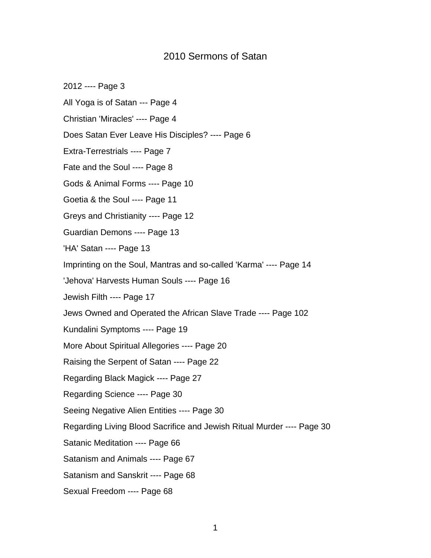#### 2010 Sermons of Satan

2012 ---- Page 3 All Yoga is of Satan --- Page 4 Christian 'Miracles' ---- Page 4 Does Satan Ever Leave His Disciples? ---- Page 6 Extra-Terrestrials ---- Page 7 Fate and the Soul ---- Page 8 Gods & Animal Forms ---- Page 10 Goetia & the Soul ---- Page 11 Greys and Christianity ---- Page 12 Guardian Demons ---- Page 13 'HA' Satan ---- Page 13 Imprinting on the Soul, Mantras and so-called 'Karma' ---- Page 14 'Jehova' Harvests Human Souls ---- Page 16 Jewish Filth ---- Page 17 Jews Owned and Operated the African Slave Trade ---- Page 102 Kundalini Symptoms ---- Page 19 More About Spiritual Allegories ---- Page 20 Raising the Serpent of Satan ---- Page 22 Regarding Black Magick ---- Page 27 Regarding Science ---- Page 30 Seeing Negative Alien Entities ---- Page 30 Regarding Living Blood Sacrifice and Jewish Ritual Murder ---- Page 30 Satanic Meditation ---- Page 66 Satanism and Animals ---- Page 67 Satanism and Sanskrit ---- Page 68 Sexual Freedom ---- Page 68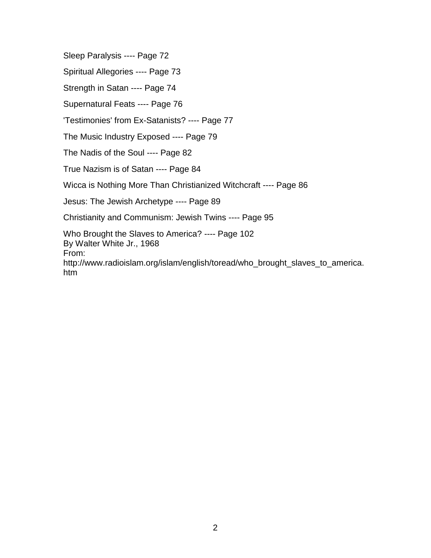Sleep Paralysis ---- Page 72

Spiritual Allegories ---- Page 73

Strength in Satan ---- Page 74

Supernatural Feats ---- Page 76

'Testimonies' from Ex-Satanists? ---- Page 77

The Music Industry Exposed ---- Page 79

The Nadis of the Soul ---- Page 82

True Nazism is of Satan ---- Page 84

Wicca is Nothing More Than Christianized Witchcraft ---- Page 86

Jesus: The Jewish Archetype ---- Page 89

Christianity and Communism: Jewish Twins ---- Page 95

Who Brought the Slaves to America? ---- Page 102 By Walter White Jr., 1968 From: http://www.radioislam.org/islam/english/toread/who\_brought\_slaves\_to\_america. htm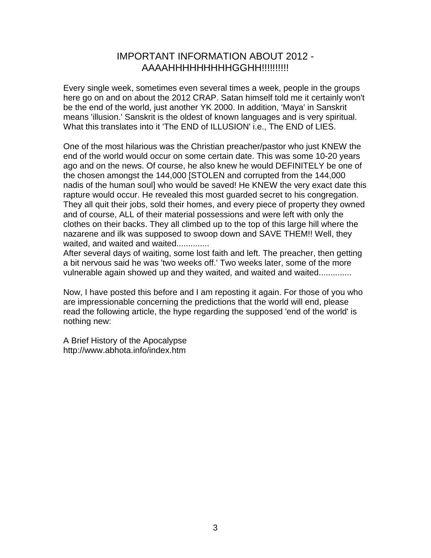## IMPORTANT INFORMATION ABOUT 2012 - AAAAHHHHHHHHHGGHH!!!!!!!!!!

Every single week, sometimes even several times a week, people in the groups here go on and on about the 2012 CRAP. Satan himself told me it certainly won't be the end of the world, just another YK 2000. In addition, 'Maya' in Sanskrit means 'illusion.' Sanskrit is the oldest of known languages and is very spiritual. What this translates into it 'The END of ILLUSION' i.e., The END of LIES.

One of the most hilarious was the Christian preacher/pastor who just KNEW the end of the world would occur on some certain date. This was some 10-20 years ago and on the news. Of course, he also knew he would DEFINITELY be one of the chosen amongst the 144,000 [STOLEN and corrupted from the 144,000 nadis of the human soul] who would be saved! He KNEW the very exact date this rapture would occur. He revealed this most guarded secret to his congregation. They all quit their jobs, sold their homes, and every piece of property they owned and of course, ALL of their material possessions and were left with only the clothes on their backs. They all climbed up to the top of this large hill where the nazarene and ilk was supposed to swoop down and SAVE THEM!! Well, they waited, and waited and waited..............

After several days of waiting, some lost faith and left. The preacher, then getting a bit nervous said he was 'two weeks off.' Two weeks later, some of the more vulnerable again showed up and they waited, and waited and waited...............

Now, I have posted this before and I am reposting it again. For those of you who are impressionable concerning the predictions that the world will end, please read the following article, the hype regarding the supposed 'end of the world' is nothing new:

A Brief History of the Apocalypse http://www.abhota.info/index.htm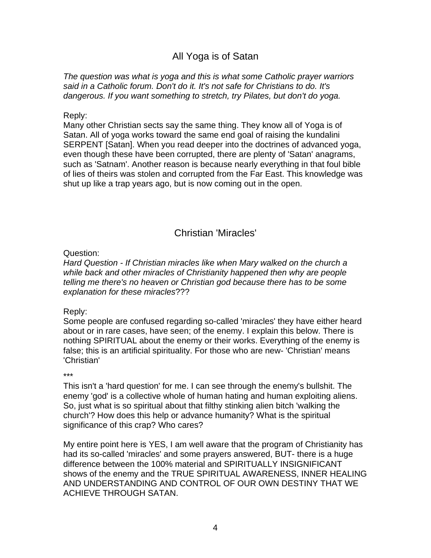## All Yoga is of Satan

*The question was what is yoga and this is what some Catholic prayer warriors said in a Catholic forum. Don't do it. It's not safe for Christians to do. It's dangerous. If you want something to stretch, try Pilates, but don't do yoga.* 

#### Reply:

Many other Christian sects say the same thing. They know all of Yoga is of Satan. All of yoga works toward the same end goal of raising the kundalini SERPENT [Satan]. When you read deeper into the doctrines of advanced yoga, even though these have been corrupted, there are plenty of 'Satan' anagrams, such as 'Satnam'. Another reason is because nearly everything in that foul bible of lies of theirs was stolen and corrupted from the Far East. This knowledge was shut up like a trap years ago, but is now coming out in the open.

# Christian 'Miracles'

#### Question:

*Hard Question - If Christian miracles like when Mary walked on the church a while back and other miracles of Christianity happened then why are people telling me there's no heaven or Christian god because there has to be some explanation for these miracles*???

#### Reply:

Some people are confused regarding so-called 'miracles' they have either heard about or in rare cases, have seen; of the enemy. I explain this below. There is nothing SPIRITUAL about the enemy or their works. Everything of the enemy is false; this is an artificial spirituality. For those who are new- 'Christian' means 'Christian'

\*\*\*

This isn't a 'hard question' for me. I can see through the enemy's bullshit. The enemy 'god' is a collective whole of human hating and human exploiting aliens. So, just what is so spiritual about that filthy stinking alien bitch 'walking the church'? How does this help or advance humanity? What is the spiritual significance of this crap? Who cares?

My entire point here is YES, I am well aware that the program of Christianity has had its so-called 'miracles' and some prayers answered, BUT- there is a huge difference between the 100% material and SPIRITUALLY INSIGNIFICANT shows of the enemy and the TRUE SPIRITUAL AWARENESS, INNER HEALING AND UNDERSTANDING AND CONTROL OF OUR OWN DESTINY THAT WE ACHIEVE THROUGH SATAN.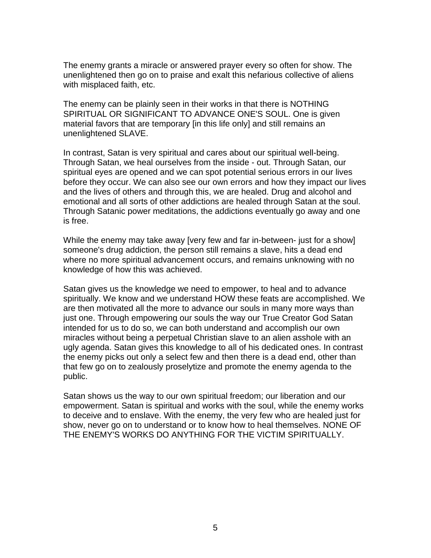The enemy grants a miracle or answered prayer every so often for show. The unenlightened then go on to praise and exalt this nefarious collective of aliens with misplaced faith, etc.

The enemy can be plainly seen in their works in that there is NOTHING SPIRITUAL OR SIGNIFICANT TO ADVANCE ONE'S SOUL. One is given material favors that are temporary [in this life only] and still remains an unenlightened SLAVE.

In contrast, Satan is very spiritual and cares about our spiritual well-being. Through Satan, we heal ourselves from the inside - out. Through Satan, our spiritual eyes are opened and we can spot potential serious errors in our lives before they occur. We can also see our own errors and how they impact our lives and the lives of others and through this, we are healed. Drug and alcohol and emotional and all sorts of other addictions are healed through Satan at the soul. Through Satanic power meditations, the addictions eventually go away and one is free.

While the enemy may take away [very few and far in-between- just for a show] someone's drug addiction, the person still remains a slave, hits a dead end where no more spiritual advancement occurs, and remains unknowing with no knowledge of how this was achieved.

Satan gives us the knowledge we need to empower, to heal and to advance spiritually. We know and we understand HOW these feats are accomplished. We are then motivated all the more to advance our souls in many more ways than just one. Through empowering our souls the way our True Creator God Satan intended for us to do so, we can both understand and accomplish our own miracles without being a perpetual Christian slave to an alien asshole with an ugly agenda. Satan gives this knowledge to all of his dedicated ones. In contrast the enemy picks out only a select few and then there is a dead end, other than that few go on to zealously proselytize and promote the enemy agenda to the public.

Satan shows us the way to our own spiritual freedom; our liberation and our empowerment. Satan is spiritual and works with the soul, while the enemy works to deceive and to enslave. With the enemy, the very few who are healed just for show, never go on to understand or to know how to heal themselves. NONE OF THE ENEMY'S WORKS DO ANYTHING FOR THE VICTIM SPIRITUALLY.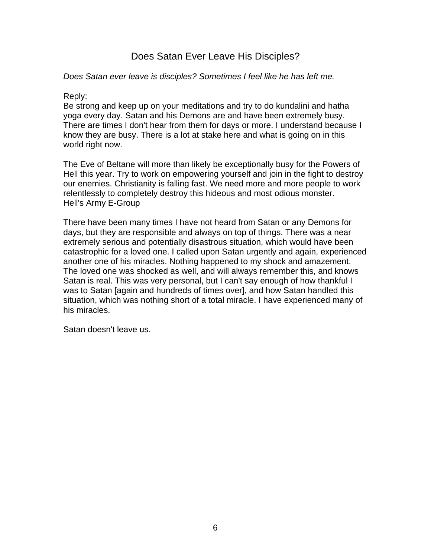# Does Satan Ever Leave His Disciples?

#### *Does Satan ever leave is disciples? Sometimes I feel like he has left me.*

Reply:

Be strong and keep up on your meditations and try to do kundalini and hatha yoga every day. Satan and his Demons are and have been extremely busy. There are times I don't hear from them for days or more. I understand because I know they are busy. There is a lot at stake here and what is going on in this world right now.

The Eve of Beltane will more than likely be exceptionally busy for the Powers of Hell this year. Try to work on empowering yourself and join in the fight to destroy our enemies. Christianity is falling fast. We need more and more people to work relentlessly to completely destroy this hideous and most odious monster. Hell's Army E-Group

There have been many times I have not heard from Satan or any Demons for days, but they are responsible and always on top of things. There was a near extremely serious and potentially disastrous situation, which would have been catastrophic for a loved one. I called upon Satan urgently and again, experienced another one of his miracles. Nothing happened to my shock and amazement. The loved one was shocked as well, and will always remember this, and knows Satan is real. This was very personal, but I can't say enough of how thankful I was to Satan [again and hundreds of times over], and how Satan handled this situation, which was nothing short of a total miracle. I have experienced many of his miracles.

Satan doesn't leave us.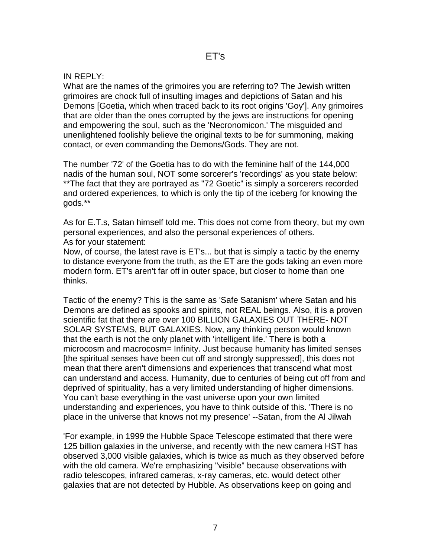#### IN REPLY:

What are the names of the grimoires you are referring to? The Jewish written grimoires are chock full of insulting images and depictions of Satan and his Demons [Goetia, which when traced back to its root origins 'Goy']. Any grimoires that are older than the ones corrupted by the jews are instructions for opening and empowering the soul, such as the 'Necronomicon.' The misguided and unenlightened foolishly believe the original texts to be for summoning, making contact, or even commanding the Demons/Gods. They are not.

The number '72' of the Goetia has to do with the feminine half of the 144,000 nadis of the human soul, NOT some sorcerer's 'recordings' as you state below: \*\*The fact that they are portrayed as "72 Goetic" is simply a sorcerers recorded and ordered experiences, to which is only the tip of the iceberg for knowing the gods.\*\*

As for E.T.s, Satan himself told me. This does not come from theory, but my own personal experiences, and also the personal experiences of others. As for your statement:

Now, of course, the latest rave is ET's... but that is simply a tactic by the enemy to distance everyone from the truth, as the ET are the gods taking an even more modern form. ET's aren't far off in outer space, but closer to home than one thinks.

Tactic of the enemy? This is the same as 'Safe Satanism' where Satan and his Demons are defined as spooks and spirits, not REAL beings. Also, it is a proven scientific fat that there are over 100 BILLION GALAXIES OUT THERE- NOT SOLAR SYSTEMS, BUT GALAXIES. Now, any thinking person would known that the earth is not the only planet with 'intelligent life.' There is both a microcosm and macrocosm= Infinity. Just because humanity has limited senses [the spiritual senses have been cut off and strongly suppressed], this does not mean that there aren't dimensions and experiences that transcend what most can understand and access. Humanity, due to centuries of being cut off from and deprived of spirituality, has a very limited understanding of higher dimensions. You can't base everything in the vast universe upon your own limited understanding and experiences, you have to think outside of this. 'There is no place in the universe that knows not my presence' --Satan, from the Al Jilwah

'For example, in 1999 the Hubble Space Telescope estimated that there were 125 billion galaxies in the universe, and recently with the new camera HST has observed 3,000 visible galaxies, which is twice as much as they observed before with the old camera. We're emphasizing "visible" because observations with radio telescopes, infrared cameras, x-ray cameras, etc. would detect other galaxies that are not detected by Hubble. As observations keep on going and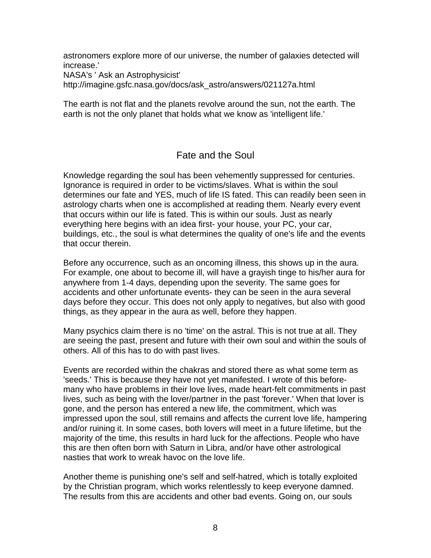astronomers explore more of our universe, the number of galaxies detected will increase.'

NASA's ' Ask an Astrophysicist'

http://imagine.gsfc.nasa.gov/docs/ask\_astro/answers/021127a.html

The earth is not flat and the planets revolve around the sun, not the earth. The earth is not the only planet that holds what we know as 'intelligent life.'

# Fate and the Soul

Knowledge regarding the soul has been vehemently suppressed for centuries. Ignorance is required in order to be victims/slaves. What is within the soul determines our fate and YES, much of life IS fated. This can readily been seen in astrology charts when one is accomplished at reading them. Nearly every event that occurs within our life is fated. This is within our souls. Just as nearly everything here begins with an idea first- your house, your PC, your car, buildings, etc., the soul is what determines the quality of one's life and the events that occur therein.

Before any occurrence, such as an oncoming illness, this shows up in the aura. For example, one about to become ill, will have a grayish tinge to his/her aura for anywhere from 1-4 days, depending upon the severity. The same goes for accidents and other unfortunate events- they can be seen in the aura several days before they occur. This does not only apply to negatives, but also with good things, as they appear in the aura as well, before they happen.

Many psychics claim there is no 'time' on the astral. This is not true at all. They are seeing the past, present and future with their own soul and within the souls of others. All of this has to do with past lives.

Events are recorded within the chakras and stored there as what some term as 'seeds.' This is because they have not yet manifested. I wrote of this beforemany who have problems in their love lives, made heart-felt commitments in past lives, such as being with the lover/partner in the past 'forever.' When that lover is gone, and the person has entered a new life, the commitment, which was impressed upon the soul, still remains and affects the current love life, hampering and/or ruining it. In some cases, both lovers will meet in a future lifetime, but the majority of the time, this results in hard luck for the affections. People who have this are then often born with Saturn in Libra, and/or have other astrological nasties that work to wreak havoc on the love life.

Another theme is punishing one's self and self-hatred, which is totally exploited by the Christian program, which works relentlessly to keep everyone damned. The results from this are accidents and other bad events. Going on, our souls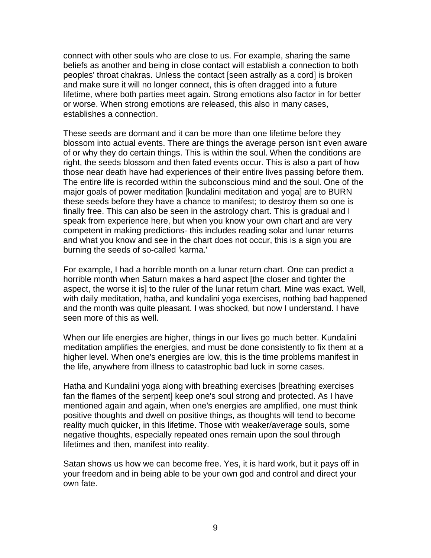connect with other souls who are close to us. For example, sharing the same beliefs as another and being in close contact will establish a connection to both peoples' throat chakras. Unless the contact [seen astrally as a cord] is broken and make sure it will no longer connect, this is often dragged into a future lifetime, where both parties meet again. Strong emotions also factor in for better or worse. When strong emotions are released, this also in many cases, establishes a connection.

These seeds are dormant and it can be more than one lifetime before they blossom into actual events. There are things the average person isn't even aware of or why they do certain things. This is within the soul. When the conditions are right, the seeds blossom and then fated events occur. This is also a part of how those near death have had experiences of their entire lives passing before them. The entire life is recorded within the subconscious mind and the soul. One of the major goals of power meditation [kundalini meditation and yoga] are to BURN these seeds before they have a chance to manifest; to destroy them so one is finally free. This can also be seen in the astrology chart. This is gradual and I speak from experience here, but when you know your own chart and are very competent in making predictions- this includes reading solar and lunar returns and what you know and see in the chart does not occur, this is a sign you are burning the seeds of so-called 'karma.'

For example, I had a horrible month on a lunar return chart. One can predict a horrible month when Saturn makes a hard aspect [the closer and tighter the aspect, the worse it is] to the ruler of the lunar return chart. Mine was exact. Well, with daily meditation, hatha, and kundalini yoga exercises, nothing bad happened and the month was quite pleasant. I was shocked, but now I understand. I have seen more of this as well.

When our life energies are higher, things in our lives go much better. Kundalini meditation amplifies the energies, and must be done consistently to fix them at a higher level. When one's energies are low, this is the time problems manifest in the life, anywhere from illness to catastrophic bad luck in some cases.

Hatha and Kundalini yoga along with breathing exercises [breathing exercises fan the flames of the serpent] keep one's soul strong and protected. As I have mentioned again and again, when one's energies are amplified, one must think positive thoughts and dwell on positive things, as thoughts will tend to become reality much quicker, in this lifetime. Those with weaker/average souls, some negative thoughts, especially repeated ones remain upon the soul through lifetimes and then, manifest into reality.

Satan shows us how we can become free. Yes, it is hard work, but it pays off in your freedom and in being able to be your own god and control and direct your own fate.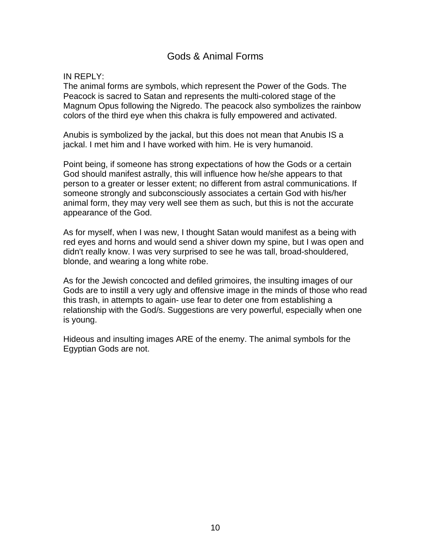### Gods & Animal Forms

#### IN REPLY:

The animal forms are symbols, which represent the Power of the Gods. The Peacock is sacred to Satan and represents the multi-colored stage of the Magnum Opus following the Nigredo. The peacock also symbolizes the rainbow colors of the third eye when this chakra is fully empowered and activated.

Anubis is symbolized by the jackal, but this does not mean that Anubis IS a jackal. I met him and I have worked with him. He is very humanoid.

Point being, if someone has strong expectations of how the Gods or a certain God should manifest astrally, this will influence how he/she appears to that person to a greater or lesser extent; no different from astral communications. If someone strongly and subconsciously associates a certain God with his/her animal form, they may very well see them as such, but this is not the accurate appearance of the God.

As for myself, when I was new, I thought Satan would manifest as a being with red eyes and horns and would send a shiver down my spine, but I was open and didn't really know. I was very surprised to see he was tall, broad-shouldered, blonde, and wearing a long white robe.

As for the Jewish concocted and defiled grimoires, the insulting images of our Gods are to instill a very ugly and offensive image in the minds of those who read this trash, in attempts to again- use fear to deter one from establishing a relationship with the God/s. Suggestions are very powerful, especially when one is young.

Hideous and insulting images ARE of the enemy. The animal symbols for the Egyptian Gods are not.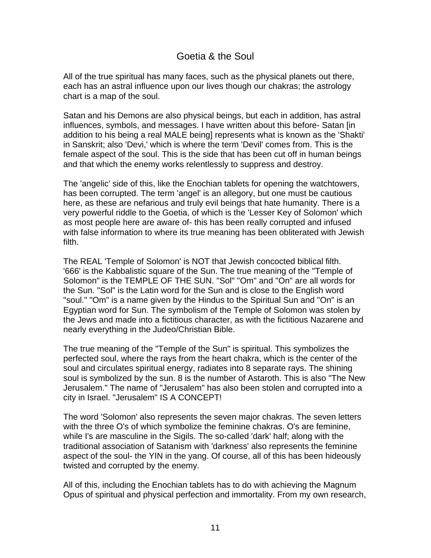# Goetia & the Soul

All of the true spiritual has many faces, such as the physical planets out there, each has an astral influence upon our lives though our chakras; the astrology chart is a map of the soul.

Satan and his Demons are also physical beings, but each in addition, has astral influences, symbols, and messages. I have written about this before- Satan [in addition to his being a real MALE being] represents what is known as the 'Shakti' in Sanskrit; also 'Devi,' which is where the term 'Devil' comes from. This is the female aspect of the soul. This is the side that has been cut off in human beings and that which the enemy works relentlessly to suppress and destroy.

The 'angelic' side of this, like the Enochian tablets for opening the watchtowers, has been corrupted. The term 'angel' is an allegory, but one must be cautious here, as these are nefarious and truly evil beings that hate humanity. There is a very powerful riddle to the Goetia, of which is the 'Lesser Key of Solomon' which as most people here are aware of- this has been really corrupted and infused with false information to where its true meaning has been obliterated with Jewish filth.

The REAL 'Temple of Solomon' is NOT that Jewish concocted biblical filth. '666' is the Kabbalistic square of the Sun. The true meaning of the "Temple of Solomon" is the TEMPLE OF THE SUN. "Sol" "Om" and "On" are all words for the Sun. "Sol" is the Latin word for the Sun and is close to the English word "soul." "Om" is a name given by the Hindus to the Spiritual Sun and "On" is an Egyptian word for Sun. The symbolism of the Temple of Solomon was stolen by the Jews and made into a fictitious character, as with the fictitious Nazarene and nearly everything in the Judeo/Christian Bible.

The true meaning of the "Temple of the Sun" is spiritual. This symbolizes the perfected soul, where the rays from the heart chakra, which is the center of the soul and circulates spiritual energy, radiates into 8 separate rays. The shining soul is symbolized by the sun. 8 is the number of Astaroth. This is also "The New Jerusalem." The name of "Jerusalem" has also been stolen and corrupted into a city in Israel. "Jerusalem" IS A CONCEPT!

The word 'Solomon' also represents the seven major chakras. The seven letters with the three O's of which symbolize the feminine chakras. O's are feminine, while I's are masculine in the Sigils. The so-called 'dark' half; along with the traditional association of Satanism with 'darkness' also represents the feminine aspect of the soul- the YIN in the yang. Of course, all of this has been hideously twisted and corrupted by the enemy.

All of this, including the Enochian tablets has to do with achieving the Magnum Opus of spiritual and physical perfection and immortality. From my own research,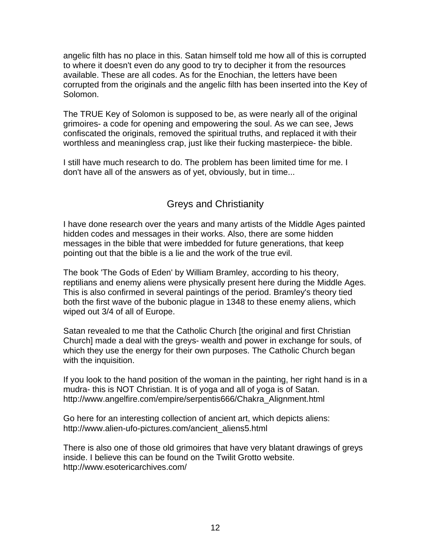angelic filth has no place in this. Satan himself told me how all of this is corrupted to where it doesn't even do any good to try to decipher it from the resources available. These are all codes. As for the Enochian, the letters have been corrupted from the originals and the angelic filth has been inserted into the Key of Solomon.

The TRUE Key of Solomon is supposed to be, as were nearly all of the original grimoires- a code for opening and empowering the soul. As we can see, Jews confiscated the originals, removed the spiritual truths, and replaced it with their worthless and meaningless crap, just like their fucking masterpiece- the bible.

I still have much research to do. The problem has been limited time for me. I don't have all of the answers as of yet, obviously, but in time...

# Greys and Christianity

I have done research over the years and many artists of the Middle Ages painted hidden codes and messages in their works. Also, there are some hidden messages in the bible that were imbedded for future generations, that keep pointing out that the bible is a lie and the work of the true evil.

The book 'The Gods of Eden' by William Bramley, according to his theory, reptilians and enemy aliens were physically present here during the Middle Ages. This is also confirmed in several paintings of the period. Bramley's theory tied both the first wave of the bubonic plague in 1348 to these enemy aliens, which wiped out 3/4 of all of Europe.

Satan revealed to me that the Catholic Church [the original and first Christian Church] made a deal with the greys- wealth and power in exchange for souls, of which they use the energy for their own purposes. The Catholic Church began with the inquisition.

If you look to the hand position of the woman in the painting, her right hand is in a mudra- this is NOT Christian. It is of yoga and all of yoga is of Satan. http://www.angelfire.com/empire/serpentis666/Chakra\_Alignment.html

Go here for an interesting collection of ancient art, which depicts aliens: http://www.alien-ufo-pictures.com/ancient\_aliens5.html

There is also one of those old grimoires that have very blatant drawings of greys inside. I believe this can be found on the Twilit Grotto website. http://www.esotericarchives.com/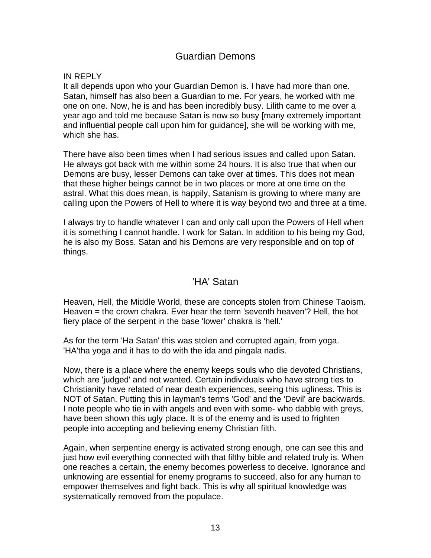# Guardian Demons

#### IN REPLY

It all depends upon who your Guardian Demon is. I have had more than one. Satan, himself has also been a Guardian to me. For years, he worked with me one on one. Now, he is and has been incredibly busy. Lilith came to me over a year ago and told me because Satan is now so busy [many extremely important and influential people call upon him for guidance], she will be working with me, which she has.

There have also been times when I had serious issues and called upon Satan. He always got back with me within some 24 hours. It is also true that when our Demons are busy, lesser Demons can take over at times. This does not mean that these higher beings cannot be in two places or more at one time on the astral. What this does mean, is happily, Satanism is growing to where many are calling upon the Powers of Hell to where it is way beyond two and three at a time.

I always try to handle whatever I can and only call upon the Powers of Hell when it is something I cannot handle. I work for Satan. In addition to his being my God, he is also my Boss. Satan and his Demons are very responsible and on top of things.

# 'HA' Satan

Heaven, Hell, the Middle World, these are concepts stolen from Chinese Taoism. Heaven = the crown chakra. Ever hear the term 'seventh heaven'? Hell, the hot fiery place of the serpent in the base 'lower' chakra is 'hell.'

As for the term 'Ha Satan' this was stolen and corrupted again, from yoga. 'HA'tha yoga and it has to do with the ida and pingala nadis.

Now, there is a place where the enemy keeps souls who die devoted Christians, which are 'judged' and not wanted. Certain individuals who have strong ties to Christianity have related of near death experiences, seeing this ugliness. This is NOT of Satan. Putting this in layman's terms 'God' and the 'Devil' are backwards. I note people who tie in with angels and even with some- who dabble with greys, have been shown this ugly place. It is of the enemy and is used to frighten people into accepting and believing enemy Christian filth.

Again, when serpentine energy is activated strong enough, one can see this and just how evil everything connected with that filthy bible and related truly is. When one reaches a certain, the enemy becomes powerless to deceive. Ignorance and unknowing are essential for enemy programs to succeed, also for any human to empower themselves and fight back. This is why all spiritual knowledge was systematically removed from the populace.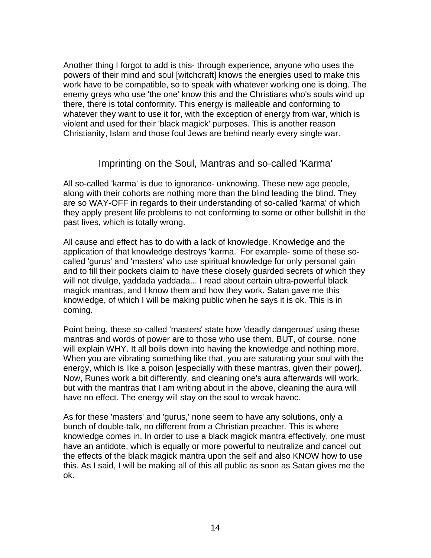Another thing I forgot to add is this- through experience, anyone who uses the powers of their mind and soul [witchcraft] knows the energies used to make this work have to be compatible, so to speak with whatever working one is doing. The enemy greys who use 'the one' know this and the Christians who's souls wind up there, there is total conformity. This energy is malleable and conforming to whatever they want to use it for, with the exception of energy from war, which is violent and used for their 'black magick' purposes. This is another reason Christianity, Islam and those foul Jews are behind nearly every single war.

### Imprinting on the Soul, Mantras and so-called 'Karma'

All so-called 'karma' is due to ignorance- unknowing. These new age people, along with their cohorts are nothing more than the blind leading the blind. They are so WAY-OFF in regards to their understanding of so-called 'karma' of which they apply present life problems to not conforming to some or other bullshit in the past lives, which is totally wrong.

All cause and effect has to do with a lack of knowledge. Knowledge and the application of that knowledge destroys 'karma.' For example- some of these socalled 'gurus' and 'masters' who use spiritual knowledge for only personal gain and to fill their pockets claim to have these closely guarded secrets of which they will not divulge, yaddada yaddada... I read about certain ultra-powerful black magick mantras, and I know them and how they work. Satan gave me this knowledge, of which I will be making public when he says it is ok. This is in coming.

Point being, these so-called 'masters' state how 'deadly dangerous' using these mantras and words of power are to those who use them, BUT, of course, none will explain WHY. It all boils down into having the knowledge and nothing more. When you are vibrating something like that, you are saturating your soul with the energy, which is like a poison [especially with these mantras, given their power]. Now, Runes work a bit differently, and cleaning one's aura afterwards will work, but with the mantras that I am writing about in the above, cleaning the aura will have no effect. The energy will stay on the soul to wreak havoc.

As for these 'masters' and 'gurus,' none seem to have any solutions, only a bunch of double-talk, no different from a Christian preacher. This is where knowledge comes in. In order to use a black magick mantra effectively, one must have an antidote, which is equally or more powerful to neutralize and cancel out the effects of the black magick mantra upon the self and also KNOW how to use this. As I said, I will be making all of this all public as soon as Satan gives me the ok.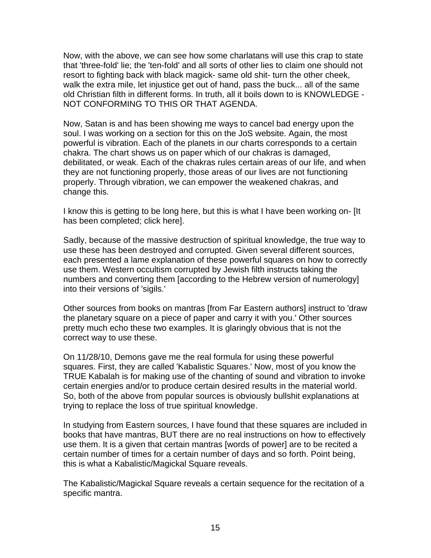Now, with the above, we can see how some charlatans will use this crap to state that 'three-fold' lie; the 'ten-fold' and all sorts of other lies to claim one should not resort to fighting back with black magick- same old shit- turn the other cheek, walk the extra mile, let injustice get out of hand, pass the buck... all of the same old Christian filth in different forms. In truth, all it boils down to is KNOWLEDGE - NOT CONFORMING TO THIS OR THAT AGENDA.

Now, Satan is and has been showing me ways to cancel bad energy upon the soul. I was working on a section for this on the JoS website. Again, the most powerful is vibration. Each of the planets in our charts corresponds to a certain chakra. The chart shows us on paper which of our chakras is damaged, debilitated, or weak. Each of the chakras rules certain areas of our life, and when they are not functioning properly, those areas of our lives are not functioning properly. Through vibration, we can empower the weakened chakras, and change this.

I know this is getting to be long here, but this is what I have been working on- [It has been completed; click here].

Sadly, because of the massive destruction of spiritual knowledge, the true way to use these has been destroyed and corrupted. Given several different sources, each presented a lame explanation of these powerful squares on how to correctly use them. Western occultism corrupted by Jewish filth instructs taking the numbers and converting them [according to the Hebrew version of numerology] into their versions of 'sigils.'

Other sources from books on mantras [from Far Eastern authors] instruct to 'draw the planetary square on a piece of paper and carry it with you.' Other sources pretty much echo these two examples. It is glaringly obvious that is not the correct way to use these.

On 11/28/10, Demons gave me the real formula for using these powerful squares. First, they are called 'Kabalistic Squares.' Now, most of you know the TRUE Kabalah is for making use of the chanting of sound and vibration to invoke certain energies and/or to produce certain desired results in the material world. So, both of the above from popular sources is obviously bullshit explanations at trying to replace the loss of true spiritual knowledge.

In studying from Eastern sources, I have found that these squares are included in books that have mantras, BUT there are no real instructions on how to effectively use them. It is a given that certain mantras [words of power] are to be recited a certain number of times for a certain number of days and so forth. Point being, this is what a Kabalistic/Magickal Square reveals.

The Kabalistic/Magickal Square reveals a certain sequence for the recitation of a specific mantra.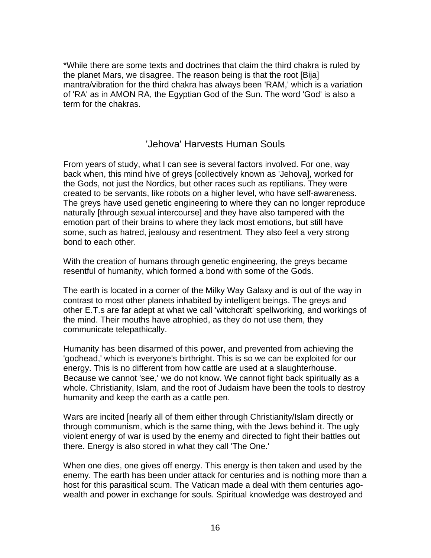\*While there are some texts and doctrines that claim the third chakra is ruled by the planet Mars, we disagree. The reason being is that the root [Bija] mantra/vibration for the third chakra has always been 'RAM,' which is a variation of 'RA' as in AMON RA, the Egyptian God of the Sun. The word 'God' is also a term for the chakras.

## 'Jehova' Harvests Human Souls

From years of study, what I can see is several factors involved. For one, way back when, this mind hive of greys [collectively known as 'Jehova], worked for the Gods, not just the Nordics, but other races such as reptilians. They were created to be servants, like robots on a higher level, who have self-awareness. The greys have used genetic engineering to where they can no longer reproduce naturally [through sexual intercourse] and they have also tampered with the emotion part of their brains to where they lack most emotions, but still have some, such as hatred, jealousy and resentment. They also feel a very strong bond to each other.

With the creation of humans through genetic engineering, the greys became resentful of humanity, which formed a bond with some of the Gods.

The earth is located in a corner of the Milky Way Galaxy and is out of the way in contrast to most other planets inhabited by intelligent beings. The greys and other E.T.s are far adept at what we call 'witchcraft' spellworking, and workings of the mind. Their mouths have atrophied, as they do not use them, they communicate telepathically.

Humanity has been disarmed of this power, and prevented from achieving the 'godhead,' which is everyone's birthright. This is so we can be exploited for our energy. This is no different from how cattle are used at a slaughterhouse. Because we cannot 'see,' we do not know. We cannot fight back spiritually as a whole. Christianity, Islam, and the root of Judaism have been the tools to destroy humanity and keep the earth as a cattle pen.

Wars are incited [nearly all of them either through Christianity/Islam directly or through communism, which is the same thing, with the Jews behind it. The ugly violent energy of war is used by the enemy and directed to fight their battles out there. Energy is also stored in what they call 'The One.'

When one dies, one gives off energy. This energy is then taken and used by the enemy. The earth has been under attack for centuries and is nothing more than a host for this parasitical scum. The Vatican made a deal with them centuries agowealth and power in exchange for souls. Spiritual knowledge was destroyed and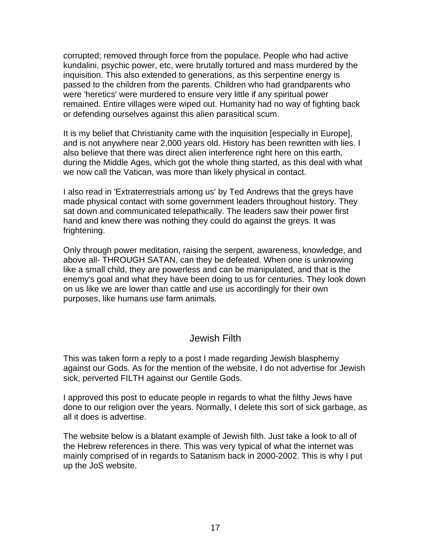corrupted; removed through force from the populace. People who had active kundalini, psychic power, etc, were brutally tortured and mass murdered by the inquisition. This also extended to generations, as this serpentine energy is passed to the children from the parents. Children who had grandparents who were 'heretics' were murdered to ensure very little if any spiritual power remained. Entire villages were wiped out. Humanity had no way of fighting back or defending ourselves against this alien parasitical scum.

It is my belief that Christianity came with the inquisition [especially in Europe], and is not anywhere near 2,000 years old. History has been rewritten with lies. I also believe that there was direct alien interference right here on this earth, during the Middle Ages, which got the whole thing started, as this deal with what we now call the Vatican, was more than likely physical in contact.

I also read in 'Extraterrestrials among us' by Ted Andrews that the greys have made physical contact with some government leaders throughout history. They sat down and communicated telepathically. The leaders saw their power first hand and knew there was nothing they could do against the greys. It was frightening.

Only through power meditation, raising the serpent, awareness, knowledge, and above all- THROUGH SATAN, can they be defeated. When one is unknowing like a small child, they are powerless and can be manipulated, and that is the enemy's goal and what they have been doing to us for centuries. They look down on us like we are lower than cattle and use us accordingly for their own purposes, like humans use farm animals.

#### Jewish Filth

This was taken form a reply to a post I made regarding Jewish blasphemy against our Gods. As for the mention of the website, I do not advertise for Jewish sick, perverted FILTH against our Gentile Gods.

I approved this post to educate people in regards to what the filthy Jews have done to our religion over the years. Normally, I delete this sort of sick garbage, as all it does is advertise.

The website below is a blatant example of Jewish filth. Just take a look to all of the Hebrew references in there. This was very typical of what the internet was mainly comprised of in regards to Satanism back in 2000-2002. This is why I put up the JoS website.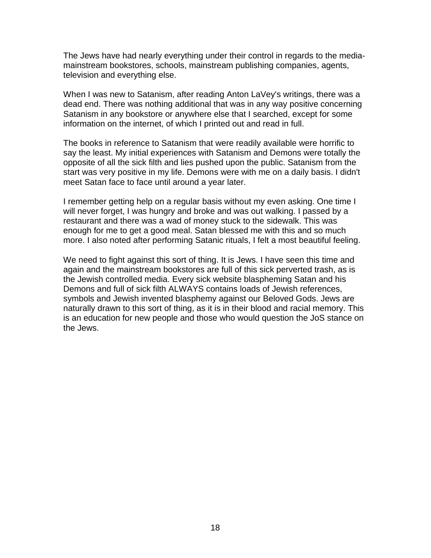The Jews have had nearly everything under their control in regards to the mediamainstream bookstores, schools, mainstream publishing companies, agents, television and everything else.

When I was new to Satanism, after reading Anton LaVey's writings, there was a dead end. There was nothing additional that was in any way positive concerning Satanism in any bookstore or anywhere else that I searched, except for some information on the internet, of which I printed out and read in full.

The books in reference to Satanism that were readily available were horrific to say the least. My initial experiences with Satanism and Demons were totally the opposite of all the sick filth and lies pushed upon the public. Satanism from the start was very positive in my life. Demons were with me on a daily basis. I didn't meet Satan face to face until around a year later.

I remember getting help on a regular basis without my even asking. One time I will never forget, I was hungry and broke and was out walking. I passed by a restaurant and there was a wad of money stuck to the sidewalk. This was enough for me to get a good meal. Satan blessed me with this and so much more. I also noted after performing Satanic rituals, I felt a most beautiful feeling.

We need to fight against this sort of thing. It is Jews. I have seen this time and again and the mainstream bookstores are full of this sick perverted trash, as is the Jewish controlled media. Every sick website blaspheming Satan and his Demons and full of sick filth ALWAYS contains loads of Jewish references, symbols and Jewish invented blasphemy against our Beloved Gods. Jews are naturally drawn to this sort of thing, as it is in their blood and racial memory. This is an education for new people and those who would question the JoS stance on the Jews.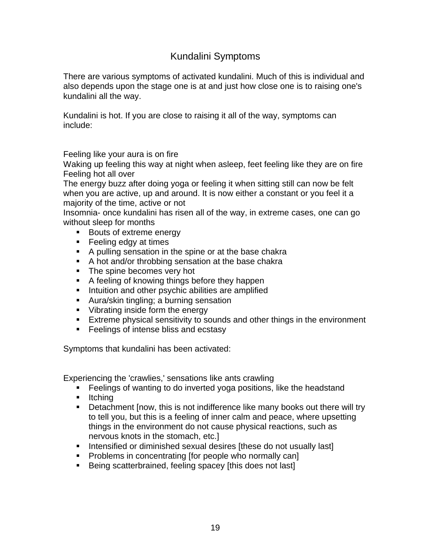# Kundalini Symptoms

There are various symptoms of activated kundalini. Much of this is individual and also depends upon the stage one is at and just how close one is to raising one's kundalini all the way.

Kundalini is hot. If you are close to raising it all of the way, symptoms can include:

Feeling like your aura is on fire

Waking up feeling this way at night when asleep, feet feeling like they are on fire Feeling hot all over

The energy buzz after doing yoga or feeling it when sitting still can now be felt when you are active, up and around. It is now either a constant or you feel it a majority of the time, active or not

Insomnia- once kundalini has risen all of the way, in extreme cases, one can go without sleep for months

- **Bouts of extreme energy**
- **Feeling edgy at times**
- A pulling sensation in the spine or at the base chakra
- A hot and/or throbbing sensation at the base chakra
- The spine becomes very hot
- A feeling of knowing things before they happen
- **Intuition and other psychic abilities are amplified**
- **Aura/skin tingling; a burning sensation**
- **Vibrating inside form the energy**
- **Extreme physical sensitivity to sounds and other things in the environment**
- **Feelings of intense bliss and ecstasy**

Symptoms that kundalini has been activated:

Experiencing the 'crawlies,' sensations like ants crawling

- **Feelings of wanting to do inverted yoga positions, like the headstand**
- **Itching**
- **Detachment [now, this is not indifference like many books out there will try** to tell you, but this is a feeling of inner calm and peace, where upsetting things in the environment do not cause physical reactions, such as nervous knots in the stomach, etc.]
- Intensified or diminished sexual desires [these do not usually last]
- **Problems in concentrating [for people who normally can]**
- Being scatterbrained, feeling spacey [this does not last]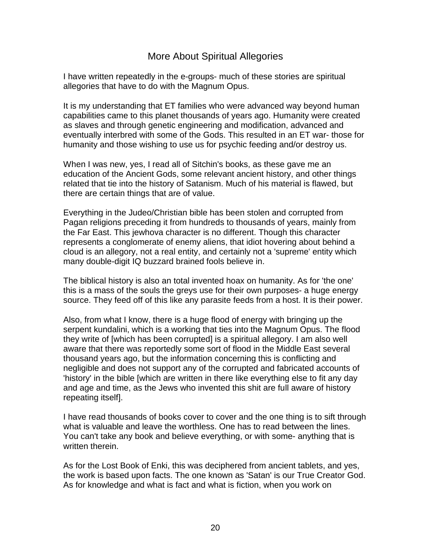## More About Spiritual Allegories

I have written repeatedly in the e-groups- much of these stories are spiritual allegories that have to do with the Magnum Opus.

It is my understanding that ET families who were advanced way beyond human capabilities came to this planet thousands of years ago. Humanity were created as slaves and through genetic engineering and modification, advanced and eventually interbred with some of the Gods. This resulted in an ET war- those for humanity and those wishing to use us for psychic feeding and/or destroy us.

When I was new, yes, I read all of Sitchin's books, as these gave me an education of the Ancient Gods, some relevant ancient history, and other things related that tie into the history of Satanism. Much of his material is flawed, but there are certain things that are of value.

Everything in the Judeo/Christian bible has been stolen and corrupted from Pagan religions preceding it from hundreds to thousands of years, mainly from the Far East. This jewhova character is no different. Though this character represents a conglomerate of enemy aliens, that idiot hovering about behind a cloud is an allegory, not a real entity, and certainly not a 'supreme' entity which many double-digit IQ buzzard brained fools believe in.

The biblical history is also an total invented hoax on humanity. As for 'the one' this is a mass of the souls the greys use for their own purposes- a huge energy source. They feed off of this like any parasite feeds from a host. It is their power.

Also, from what I know, there is a huge flood of energy with bringing up the serpent kundalini, which is a working that ties into the Magnum Opus. The flood they write of [which has been corrupted] is a spiritual allegory. I am also well aware that there was reportedly some sort of flood in the Middle East several thousand years ago, but the information concerning this is conflicting and negligible and does not support any of the corrupted and fabricated accounts of 'history' in the bible [which are written in there like everything else to fit any day and age and time, as the Jews who invented this shit are full aware of history repeating itself].

I have read thousands of books cover to cover and the one thing is to sift through what is valuable and leave the worthless. One has to read between the lines. You can't take any book and believe everything, or with some- anything that is written therein.

As for the Lost Book of Enki, this was deciphered from ancient tablets, and yes, the work is based upon facts. The one known as 'Satan' is our True Creator God. As for knowledge and what is fact and what is fiction, when you work on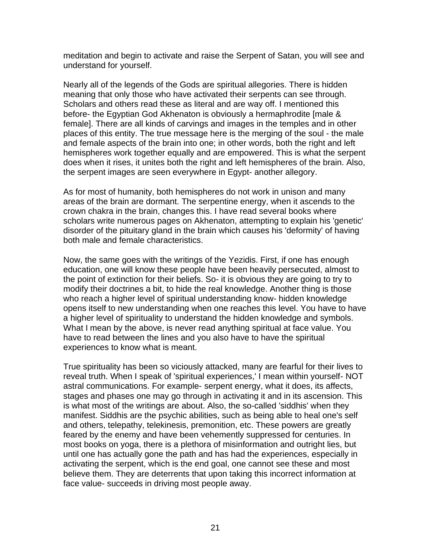meditation and begin to activate and raise the Serpent of Satan, you will see and understand for yourself.

Nearly all of the legends of the Gods are spiritual allegories. There is hidden meaning that only those who have activated their serpents can see through. Scholars and others read these as literal and are way off. I mentioned this before- the Egyptian God Akhenaton is obviously a hermaphrodite [male & female]. There are all kinds of carvings and images in the temples and in other places of this entity. The true message here is the merging of the soul - the male and female aspects of the brain into one; in other words, both the right and left hemispheres work together equally and are empowered. This is what the serpent does when it rises, it unites both the right and left hemispheres of the brain. Also, the serpent images are seen everywhere in Egypt- another allegory.

As for most of humanity, both hemispheres do not work in unison and many areas of the brain are dormant. The serpentine energy, when it ascends to the crown chakra in the brain, changes this. I have read several books where scholars write numerous pages on Akhenaton, attempting to explain his 'genetic' disorder of the pituitary gland in the brain which causes his 'deformity' of having both male and female characteristics.

Now, the same goes with the writings of the Yezidis. First, if one has enough education, one will know these people have been heavily persecuted, almost to the point of extinction for their beliefs. So- it is obvious they are going to try to modify their doctrines a bit, to hide the real knowledge. Another thing is those who reach a higher level of spiritual understanding know- hidden knowledge opens itself to new understanding when one reaches this level. You have to have a higher level of spirituality to understand the hidden knowledge and symbols. What I mean by the above, is never read anything spiritual at face value. You have to read between the lines and you also have to have the spiritual experiences to know what is meant.

True spirituality has been so viciously attacked, many are fearful for their lives to reveal truth. When I speak of 'spiritual experiences,' I mean within yourself- NOT astral communications. For example- serpent energy, what it does, its affects, stages and phases one may go through in activating it and in its ascension. This is what most of the writings are about. Also, the so-called 'siddhis' when they manifest. Siddhis are the psychic abilities, such as being able to heal one's self and others, telepathy, telekinesis, premonition, etc. These powers are greatly feared by the enemy and have been vehemently suppressed for centuries. In most books on yoga, there is a plethora of misinformation and outright lies, but until one has actually gone the path and has had the experiences, especially in activating the serpent, which is the end goal, one cannot see these and most believe them. They are deterrents that upon taking this incorrect information at face value- succeeds in driving most people away.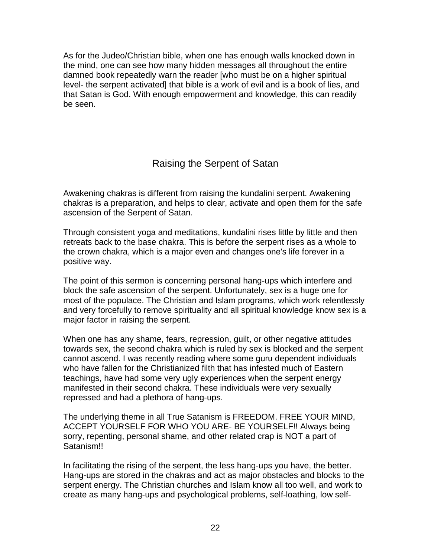As for the Judeo/Christian bible, when one has enough walls knocked down in the mind, one can see how many hidden messages all throughout the entire damned book repeatedly warn the reader [who must be on a higher spiritual level- the serpent activated] that bible is a work of evil and is a book of lies, and that Satan is God. With enough empowerment and knowledge, this can readily be seen.

# Raising the Serpent of Satan

Awakening chakras is different from raising the kundalini serpent. Awakening chakras is a preparation, and helps to clear, activate and open them for the safe ascension of the Serpent of Satan.

Through consistent yoga and meditations, kundalini rises little by little and then retreats back to the base chakra. This is before the serpent rises as a whole to the crown chakra, which is a major even and changes one's life forever in a positive way.

The point of this sermon is concerning personal hang-ups which interfere and block the safe ascension of the serpent. Unfortunately, sex is a huge one for most of the populace. The Christian and Islam programs, which work relentlessly and very forcefully to remove spirituality and all spiritual knowledge know sex is a major factor in raising the serpent.

When one has any shame, fears, repression, guilt, or other negative attitudes towards sex, the second chakra which is ruled by sex is blocked and the serpent cannot ascend. I was recently reading where some guru dependent individuals who have fallen for the Christianized filth that has infested much of Eastern teachings, have had some very ugly experiences when the serpent energy manifested in their second chakra. These individuals were very sexually repressed and had a plethora of hang-ups.

The underlying theme in all True Satanism is FREEDOM. FREE YOUR MIND, ACCEPT YOURSELF FOR WHO YOU ARE- BE YOURSELF!! Always being sorry, repenting, personal shame, and other related crap is NOT a part of Satanism!!

In facilitating the rising of the serpent, the less hang-ups you have, the better. Hang-ups are stored in the chakras and act as major obstacles and blocks to the serpent energy. The Christian churches and Islam know all too well, and work to create as many hang-ups and psychological problems, self-loathing, low self-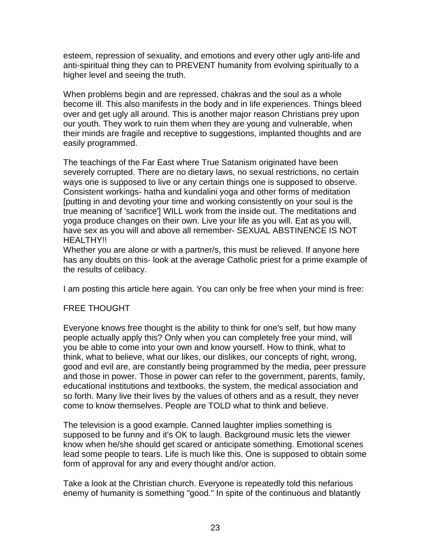esteem, repression of sexuality, and emotions and every other ugly anti-life and anti-spiritual thing they can to PREVENT humanity from evolving spiritually to a higher level and seeing the truth.

When problems begin and are repressed, chakras and the soul as a whole become ill. This also manifests in the body and in life experiences. Things bleed over and get ugly all around. This is another major reason Christians prey upon our youth. They work to ruin them when they are young and vulnerable, when their minds are fragile and receptive to suggestions, implanted thoughts and are easily programmed.

The teachings of the Far East where True Satanism originated have been severely corrupted. There are no dietary laws, no sexual restrictions, no certain ways one is supposed to live or any certain things one is supposed to observe. Consistent workings- hatha and kundalini yoga and other forms of meditation [putting in and devoting your time and working consistently on your soul is the true meaning of 'sacrifice'] WILL work from the inside out. The meditations and yoga produce changes on their own. Live your life as you will. Eat as you will, have sex as you will and above all remember- SEXUAL ABSTINENCE IS NOT HEAI THY!!

Whether you are alone or with a partner/s, this must be relieved. If anyone here has any doubts on this- look at the average Catholic priest for a prime example of the results of celibacy.

I am posting this article here again. You can only be free when your mind is free:

#### FREE THOUGHT

Everyone knows free thought is the ability to think for one's self, but how many people actually apply this? Only when you can completely free your mind, will you be able to come into your own and know yourself. How to think, what to think, what to believe, what our likes, our dislikes, our concepts of right, wrong, good and evil are, are constantly being programmed by the media, peer pressure and those in power. Those in power can refer to the government, parents, family, educational institutions and textbooks, the system, the medical association and so forth. Many live their lives by the values of others and as a result, they never come to know themselves. People are TOLD what to think and believe.

The television is a good example. Canned laughter implies something is supposed to be funny and it's OK to laugh. Background music lets the viewer know when he/she should get scared or anticipate something. Emotional scenes lead some people to tears. Life is much like this. One is supposed to obtain some form of approval for any and every thought and/or action.

Take a look at the Christian church. Everyone is repeatedly told this nefarious enemy of humanity is something "good." In spite of the continuous and blatantly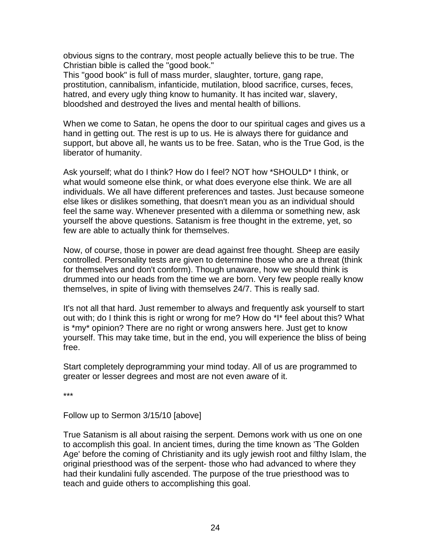obvious signs to the contrary, most people actually believe this to be true. The Christian bible is called the "good book."

This "good book" is full of mass murder, slaughter, torture, gang rape, prostitution, cannibalism, infanticide, mutilation, blood sacrifice, curses, feces, hatred, and every ugly thing know to humanity. It has incited war, slavery, bloodshed and destroyed the lives and mental health of billions.

When we come to Satan, he opens the door to our spiritual cages and gives us a hand in getting out. The rest is up to us. He is always there for guidance and support, but above all, he wants us to be free. Satan, who is the True God, is the liberator of humanity.

Ask yourself; what do I think? How do I feel? NOT how \*SHOULD\* I think, or what would someone else think, or what does everyone else think. We are all individuals. We all have different preferences and tastes. Just because someone else likes or dislikes something, that doesn't mean you as an individual should feel the same way. Whenever presented with a dilemma or something new, ask yourself the above questions. Satanism is free thought in the extreme, yet, so few are able to actually think for themselves.

Now, of course, those in power are dead against free thought. Sheep are easily controlled. Personality tests are given to determine those who are a threat (think for themselves and don't conform). Though unaware, how we should think is drummed into our heads from the time we are born. Very few people really know themselves, in spite of living with themselves 24/7. This is really sad.

It's not all that hard. Just remember to always and frequently ask yourself to start out with; do I think this is right or wrong for me? How do \*I\* feel about this? What is \*my\* opinion? There are no right or wrong answers here. Just get to know yourself. This may take time, but in the end, you will experience the bliss of being free.

Start completely deprogramming your mind today. All of us are programmed to greater or lesser degrees and most are not even aware of it.

\*\*\*

#### Follow up to Sermon 3/15/10 [above]

True Satanism is all about raising the serpent. Demons work with us one on one to accomplish this goal. In ancient times, during the time known as 'The Golden Age' before the coming of Christianity and its ugly jewish root and filthy Islam, the original priesthood was of the serpent- those who had advanced to where they had their kundalini fully ascended. The purpose of the true priesthood was to teach and guide others to accomplishing this goal.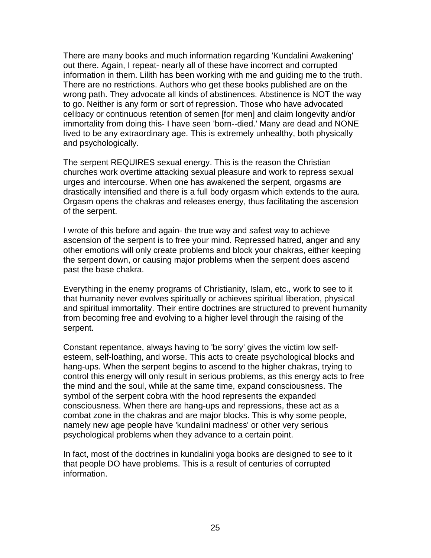There are many books and much information regarding 'Kundalini Awakening' out there. Again, I repeat- nearly all of these have incorrect and corrupted information in them. Lilith has been working with me and guiding me to the truth. There are no restrictions. Authors who get these books published are on the wrong path. They advocate all kinds of abstinences. Abstinence is NOT the way to go. Neither is any form or sort of repression. Those who have advocated celibacy or continuous retention of semen [for men] and claim longevity and/or immortality from doing this- I have seen 'born--died.' Many are dead and NONE lived to be any extraordinary age. This is extremely unhealthy, both physically and psychologically.

The serpent REQUIRES sexual energy. This is the reason the Christian churches work overtime attacking sexual pleasure and work to repress sexual urges and intercourse. When one has awakened the serpent, orgasms are drastically intensified and there is a full body orgasm which extends to the aura. Orgasm opens the chakras and releases energy, thus facilitating the ascension of the serpent.

I wrote of this before and again- the true way and safest way to achieve ascension of the serpent is to free your mind. Repressed hatred, anger and any other emotions will only create problems and block your chakras, either keeping the serpent down, or causing major problems when the serpent does ascend past the base chakra.

Everything in the enemy programs of Christianity, Islam, etc., work to see to it that humanity never evolves spiritually or achieves spiritual liberation, physical and spiritual immortality. Their entire doctrines are structured to prevent humanity from becoming free and evolving to a higher level through the raising of the serpent.

Constant repentance, always having to 'be sorry' gives the victim low selfesteem, self-loathing, and worse. This acts to create psychological blocks and hang-ups. When the serpent begins to ascend to the higher chakras, trying to control this energy will only result in serious problems, as this energy acts to free the mind and the soul, while at the same time, expand consciousness. The symbol of the serpent cobra with the hood represents the expanded consciousness. When there are hang-ups and repressions, these act as a combat zone in the chakras and are major blocks. This is why some people, namely new age people have 'kundalini madness' or other very serious psychological problems when they advance to a certain point.

In fact, most of the doctrines in kundalini yoga books are designed to see to it that people DO have problems. This is a result of centuries of corrupted information.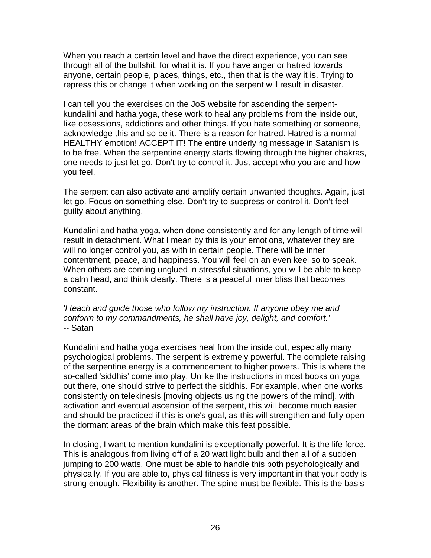When you reach a certain level and have the direct experience, you can see through all of the bullshit, for what it is. If you have anger or hatred towards anyone, certain people, places, things, etc., then that is the way it is. Trying to repress this or change it when working on the serpent will result in disaster.

I can tell you the exercises on the JoS website for ascending the serpentkundalini and hatha yoga, these work to heal any problems from the inside out, like obsessions, addictions and other things. If you hate something or someone, acknowledge this and so be it. There is a reason for hatred. Hatred is a normal HEALTHY emotion! ACCEPT IT! The entire underlying message in Satanism is to be free. When the serpentine energy starts flowing through the higher chakras, one needs to just let go. Don't try to control it. Just accept who you are and how you feel.

The serpent can also activate and amplify certain unwanted thoughts. Again, just let go. Focus on something else. Don't try to suppress or control it. Don't feel guilty about anything.

Kundalini and hatha yoga, when done consistently and for any length of time will result in detachment. What I mean by this is your emotions, whatever they are will no longer control you, as with in certain people. There will be inner contentment, peace, and happiness. You will feel on an even keel so to speak. When others are coming unglued in stressful situations, you will be able to keep a calm head, and think clearly. There is a peaceful inner bliss that becomes constant.

*'I teach and guide those who follow my instruction. If anyone obey me and conform to my commandments, he shall have joy, delight, and comfort.'*  -- Satan

Kundalini and hatha yoga exercises heal from the inside out, especially many psychological problems. The serpent is extremely powerful. The complete raising of the serpentine energy is a commencement to higher powers. This is where the so-called 'siddhis' come into play. Unlike the instructions in most books on yoga out there, one should strive to perfect the siddhis. For example, when one works consistently on telekinesis [moving objects using the powers of the mind], with activation and eventual ascension of the serpent, this will become much easier and should be practiced if this is one's goal, as this will strengthen and fully open the dormant areas of the brain which make this feat possible.

In closing, I want to mention kundalini is exceptionally powerful. It is the life force. This is analogous from living off of a 20 watt light bulb and then all of a sudden jumping to 200 watts. One must be able to handle this both psychologically and physically. If you are able to, physical fitness is very important in that your body is strong enough. Flexibility is another. The spine must be flexible. This is the basis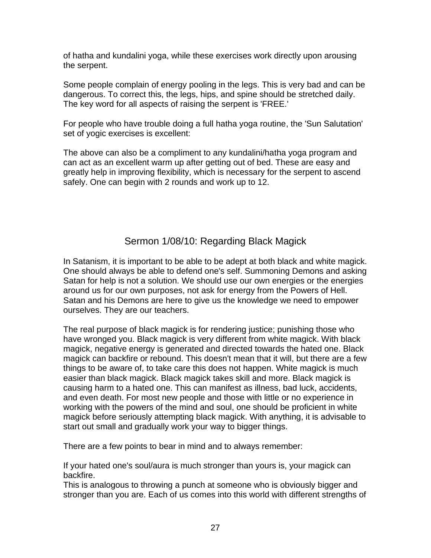of hatha and kundalini yoga, while these exercises work directly upon arousing the serpent.

Some people complain of energy pooling in the legs. This is very bad and can be dangerous. To correct this, the legs, hips, and spine should be stretched daily. The key word for all aspects of raising the serpent is 'FREE.'

For people who have trouble doing a full hatha yoga routine, the 'Sun Salutation' set of yogic exercises is excellent:

The above can also be a compliment to any kundalini/hatha yoga program and can act as an excellent warm up after getting out of bed. These are easy and greatly help in improving flexibility, which is necessary for the serpent to ascend safely. One can begin with 2 rounds and work up to 12.

# Sermon 1/08/10: Regarding Black Magick

In Satanism, it is important to be able to be adept at both black and white magick. One should always be able to defend one's self. Summoning Demons and asking Satan for help is not a solution. We should use our own energies or the energies around us for our own purposes, not ask for energy from the Powers of Hell. Satan and his Demons are here to give us the knowledge we need to empower ourselves. They are our teachers.

The real purpose of black magick is for rendering justice; punishing those who have wronged you. Black magick is very different from white magick. With black magick, negative energy is generated and directed towards the hated one. Black magick can backfire or rebound. This doesn't mean that it will, but there are a few things to be aware of, to take care this does not happen. White magick is much easier than black magick. Black magick takes skill and more. Black magick is causing harm to a hated one. This can manifest as illness, bad luck, accidents, and even death. For most new people and those with little or no experience in working with the powers of the mind and soul, one should be proficient in white magick before seriously attempting black magick. With anything, it is advisable to start out small and gradually work your way to bigger things.

There are a few points to bear in mind and to always remember:

If your hated one's soul/aura is much stronger than yours is, your magick can backfire.

This is analogous to throwing a punch at someone who is obviously bigger and stronger than you are. Each of us comes into this world with different strengths of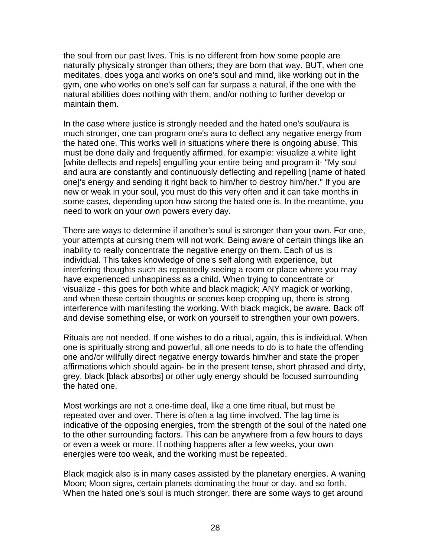the soul from our past lives. This is no different from how some people are naturally physically stronger than others; they are born that way. BUT, when one meditates, does yoga and works on one's soul and mind, like working out in the gym, one who works on one's self can far surpass a natural, if the one with the natural abilities does nothing with them, and/or nothing to further develop or maintain them.

In the case where justice is strongly needed and the hated one's soul/aura is much stronger, one can program one's aura to deflect any negative energy from the hated one. This works well in situations where there is ongoing abuse. This must be done daily and frequently affirmed, for example: visualize a white light [white deflects and repels] engulfing your entire being and program it- "My soul and aura are constantly and continuously deflecting and repelling [name of hated one]'s energy and sending it right back to him/her to destroy him/her." If you are new or weak in your soul, you must do this very often and it can take months in some cases, depending upon how strong the hated one is. In the meantime, you need to work on your own powers every day.

There are ways to determine if another's soul is stronger than your own. For one, your attempts at cursing them will not work. Being aware of certain things like an inability to really concentrate the negative energy on them. Each of us is individual. This takes knowledge of one's self along with experience, but interfering thoughts such as repeatedly seeing a room or place where you may have experienced unhappiness as a child. When trying to concentrate or visualize - this goes for both white and black magick; ANY magick or working, and when these certain thoughts or scenes keep cropping up, there is strong interference with manifesting the working. With black magick, be aware. Back off and devise something else, or work on yourself to strengthen your own powers.

Rituals are not needed. If one wishes to do a ritual, again, this is individual. When one is spiritually strong and powerful, all one needs to do is to hate the offending one and/or willfully direct negative energy towards him/her and state the proper affirmations which should again- be in the present tense, short phrased and dirty, grey, black [black absorbs] or other ugly energy should be focused surrounding the hated one.

Most workings are not a one-time deal, like a one time ritual, but must be repeated over and over. There is often a lag time involved. The lag time is indicative of the opposing energies, from the strength of the soul of the hated one to the other surrounding factors. This can be anywhere from a few hours to days or even a week or more. If nothing happens after a few weeks, your own energies were too weak, and the working must be repeated.

Black magick also is in many cases assisted by the planetary energies. A waning Moon; Moon signs, certain planets dominating the hour or day, and so forth. When the hated one's soul is much stronger, there are some ways to get around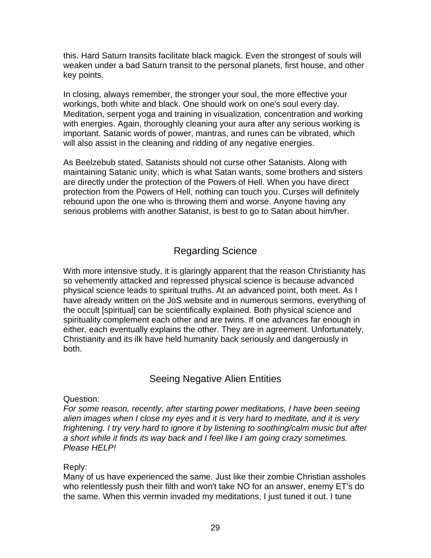this. Hard Saturn transits facilitate black magick. Even the strongest of souls will weaken under a bad Saturn transit to the personal planets, first house, and other key points.

In closing, always remember, the stronger your soul, the more effective your workings, both white and black. One should work on one's soul every day. Meditation, serpent yoga and training in visualization, concentration and working with energies. Again, thoroughly cleaning your aura after any serious working is important. Satanic words of power, mantras, and runes can be vibrated, which will also assist in the cleaning and ridding of any negative energies.

As Beelzebub stated, Satanists should not curse other Satanists. Along with maintaining Satanic unity, which is what Satan wants, some brothers and sisters are directly under the protection of the Powers of Hell. When you have direct protection from the Powers of Hell, nothing can touch you. Curses will definitely rebound upon the one who is throwing them and worse. Anyone having any serious problems with another Satanist, is best to go to Satan about him/her.

# Regarding Science

With more intensive study, it is glaringly apparent that the reason Christianity has so vehemently attacked and repressed physical science is because advanced physical science leads to spiritual truths. At an advanced point, both meet. As I have already written on the JoS website and in numerous sermons, everything of the occult [spiritual] can be scientifically explained. Both physical science and spirituality complement each other and are twins. If one advances far enough in either, each eventually explains the other. They are in agreement. Unfortunately, Christianity and its ilk have held humanity back seriously and dangerously in both.

# Seeing Negative Alien Entities

#### Question:

*For some reason, recently, after starting power meditations, I have been seeing alien images when I close my eyes and it is very hard to meditate, and it is very frightening. I try very hard to ignore it by listening to soothing/calm music but after a short while it finds its way back and I feel like I am going crazy sometimes. Please HELP!* 

#### Reply:

Many of us have experienced the same. Just like their zombie Christian assholes who relentlessly push their filth and won't take NO for an answer, enemy ET's do the same. When this vermin invaded my meditations, I just tuned it out. I tune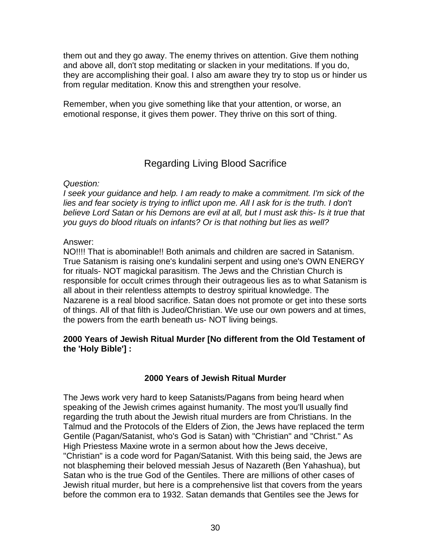them out and they go away. The enemy thrives on attention. Give them nothing and above all, don't stop meditating or slacken in your meditations. If you do, they are accomplishing their goal. I also am aware they try to stop us or hinder us from regular meditation. Know this and strengthen your resolve.

Remember, when you give something like that your attention, or worse, an emotional response, it gives them power. They thrive on this sort of thing.

# Regarding Living Blood Sacrifice

#### *Question:*

*I seek your guidance and help. I am ready to make a commitment. I'm sick of the*  lies and fear society is trying to inflict upon me. All I ask for is the truth. I don't *believe Lord Satan or his Demons are evil at all, but I must ask this- Is it true that you guys do blood rituals on infants? Or is that nothing but lies as well?* 

### Answer:

NO!!!! That is abominable!! Both animals and children are sacred in Satanism. True Satanism is raising one's kundalini serpent and using one's OWN ENERGY for rituals- NOT magickal parasitism. The Jews and the Christian Church is responsible for occult crimes through their outrageous lies as to what Satanism is all about in their relentless attempts to destroy spiritual knowledge. The Nazarene is a real blood sacrifice. Satan does not promote or get into these sorts of things. All of that filth is Judeo/Christian. We use our own powers and at times, the powers from the earth beneath us- NOT living beings.

#### **2000 Years of Jewish Ritual Murder [No different from the Old Testament of the 'Holy Bible'] :**

## **2000 Years of Jewish Ritual Murder**

The Jews work very hard to keep Satanists/Pagans from being heard when speaking of the Jewish crimes against humanity. The most you'll usually find regarding the truth about the Jewish ritual murders are from Christians. In the Talmud and the Protocols of the Elders of Zion, the Jews have replaced the term Gentile (Pagan/Satanist, who's God is Satan) with "Christian" and "Christ." As High Priestess Maxine wrote in a sermon about how the Jews deceive, "Christian" is a code word for Pagan/Satanist. With this being said, the Jews are not blaspheming their beloved messiah Jesus of Nazareth (Ben Yahashua), but Satan who is the true God of the Gentiles. There are millions of other cases of Jewish ritual murder, but here is a comprehensive list that covers from the years before the common era to 1932. Satan demands that Gentiles see the Jews for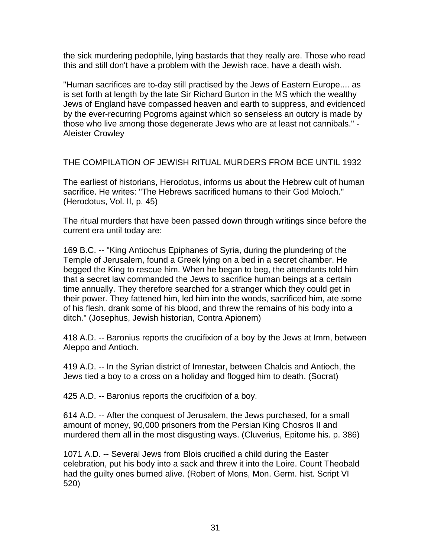the sick murdering pedophile, lying bastards that they really are. Those who read this and still don't have a problem with the Jewish race, have a death wish.

"Human sacrifices are to-day still practised by the Jews of Eastern Europe.... as is set forth at length by the late Sir Richard Burton in the MS which the wealthy Jews of England have compassed heaven and earth to suppress, and evidenced by the ever-recurring Pogroms against which so senseless an outcry is made by those who live among those degenerate Jews who are at least not cannibals." - Aleister Crowley

THE COMPILATION OF JEWISH RITUAL MURDERS FROM BCE UNTIL 1932

The earliest of historians, Herodotus, informs us about the Hebrew cult of human sacrifice. He writes: "The Hebrews sacrificed humans to their God Moloch." (Herodotus, Vol. II, p. 45)

The ritual murders that have been passed down through writings since before the current era until today are:

169 B.C. -- "King Antiochus Epiphanes of Syria, during the plundering of the Temple of Jerusalem, found a Greek lying on a bed in a secret chamber. He begged the King to rescue him. When he began to beg, the attendants told him that a secret law commanded the Jews to sacrifice human beings at a certain time annually. They therefore searched for a stranger which they could get in their power. They fattened him, led him into the woods, sacrificed him, ate some of his flesh, drank some of his blood, and threw the remains of his body into a ditch." (Josephus, Jewish historian, Contra Apionem)

418 A.D. -- Baronius reports the crucifixion of a boy by the Jews at Imm, between Aleppo and Antioch.

419 A.D. -- In the Syrian district of Imnestar, between Chalcis and Antioch, the Jews tied a boy to a cross on a holiday and flogged him to death. (Socrat)

425 A.D. -- Baronius reports the crucifixion of a boy.

614 A.D. -- After the conquest of Jerusalem, the Jews purchased, for a small amount of money, 90,000 prisoners from the Persian King Chosros II and murdered them all in the most disgusting ways. (Cluverius, Epitome his. p. 386)

1071 A.D. -- Several Jews from Blois crucified a child during the Easter celebration, put his body into a sack and threw it into the Loire. Count Theobald had the guilty ones burned alive. (Robert of Mons, Mon. Germ. hist. Script VI 520)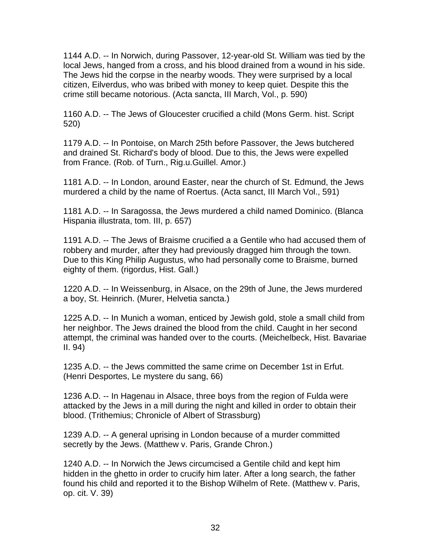1144 A.D. -- In Norwich, during Passover, 12-year-old St. William was tied by the local Jews, hanged from a cross, and his blood drained from a wound in his side. The Jews hid the corpse in the nearby woods. They were surprised by a local citizen, Eilverdus, who was bribed with money to keep quiet. Despite this the crime still became notorious. (Acta sancta, III March, Vol., p. 590)

1160 A.D. -- The Jews of Gloucester crucified a child (Mons Germ. hist. Script 520)

1179 A.D. -- In Pontoise, on March 25th before Passover, the Jews butchered and drained St. Richard's body of blood. Due to this, the Jews were expelled from France. (Rob. of Turn., Rig.u.Guillel. Amor.)

1181 A.D. -- In London, around Easter, near the church of St. Edmund, the Jews murdered a child by the name of Roertus. (Acta sanct, III March Vol., 591)

1181 A.D. -- In Saragossa, the Jews murdered a child named Dominico. (Blanca Hispania illustrata, tom. III, p. 657)

1191 A.D. -- The Jews of Braisme crucified a a Gentile who had accused them of robbery and murder, after they had previously dragged him through the town. Due to this King Philip Augustus, who had personally come to Braisme, burned eighty of them. (rigordus, Hist. Gall.)

1220 A.D. -- In Weissenburg, in Alsace, on the 29th of June, the Jews murdered a boy, St. Heinrich. (Murer, Helvetia sancta.)

1225 A.D. -- In Munich a woman, enticed by Jewish gold, stole a small child from her neighbor. The Jews drained the blood from the child. Caught in her second attempt, the criminal was handed over to the courts. (Meichelbeck, Hist. Bavariae II. 94)

1235 A.D. -- the Jews committed the same crime on December 1st in Erfut. (Henri Desportes, Le mystere du sang, 66)

1236 A.D. -- In Hagenau in Alsace, three boys from the region of Fulda were attacked by the Jews in a mill during the night and killed in order to obtain their blood. (Trithemius; Chronicle of Albert of Strassburg)

1239 A.D. -- A general uprising in London because of a murder committed secretly by the Jews. (Matthew v. Paris, Grande Chron.)

1240 A.D. -- In Norwich the Jews circumcised a Gentile child and kept him hidden in the ghetto in order to crucify him later. After a long search, the father found his child and reported it to the Bishop Wilhelm of Rete. (Matthew v. Paris, op. cit. V. 39)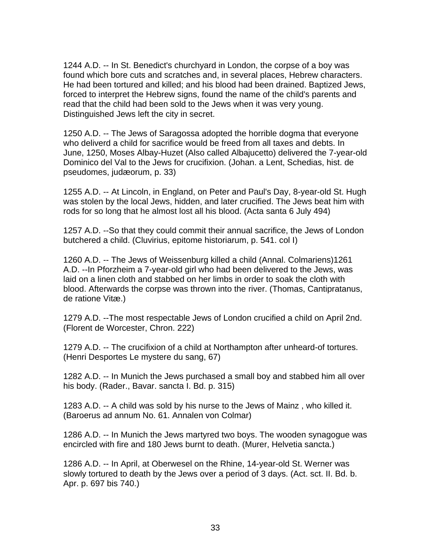1244 A.D. -- In St. Benedict's churchyard in London, the corpse of a boy was found which bore cuts and scratches and, in several places, Hebrew characters. He had been tortured and killed; and his blood had been drained. Baptized Jews, forced to interpret the Hebrew signs, found the name of the child's parents and read that the child had been sold to the Jews when it was very young. Distinguished Jews left the city in secret.

1250 A.D. -- The Jews of Saragossa adopted the horrible dogma that everyone who deliverd a child for sacrifice would be freed from all taxes and debts. In June, 1250, Moses Albay-Huzet (Also called Albajucetto) delivered the 7-year-old Dominico del Val to the Jews for crucifixion. (Johan. a Lent, Schedias, hist. de pseudomes, judæorum, p. 33)

1255 A.D. -- At Lincoln, in England, on Peter and Paul's Day, 8-year-old St. Hugh was stolen by the local Jews, hidden, and later crucified. The Jews beat him with rods for so long that he almost lost all his blood. (Acta santa 6 July 494)

1257 A.D. --So that they could commit their annual sacrifice, the Jews of London butchered a child. (Cluvirius, epitome historiarum, p. 541. col I)

1260 A.D. -- The Jews of Weissenburg killed a child (Annal. Colmariens)1261 A.D. --In Pforzheim a 7-year-old girl who had been delivered to the Jews, was laid on a linen cloth and stabbed on her limbs in order to soak the cloth with blood. Afterwards the corpse was thrown into the river. (Thomas, Cantipratanus, de ratione Vitæ.)

1279 A.D. --The most respectable Jews of London crucified a child on April 2nd. (Florent de Worcester, Chron. 222)

1279 A.D. -- The crucifixion of a child at Northampton after unheard-of tortures. (Henri Desportes Le mystere du sang, 67)

1282 A.D. -- In Munich the Jews purchased a small boy and stabbed him all over his body. (Rader., Bavar. sancta I. Bd. p. 315)

1283 A.D. -- A child was sold by his nurse to the Jews of Mainz , who killed it. (Baroerus ad annum No. 61. Annalen von Colmar)

1286 A.D. -- In Munich the Jews martyred two boys. The wooden synagogue was encircled with fire and 180 Jews burnt to death. (Murer, Helvetia sancta.)

1286 A.D. -- In April, at Oberwesel on the Rhine, 14-year-old St. Werner was slowly tortured to death by the Jews over a period of 3 days. (Act. sct. II. Bd. b. Apr. p. 697 bis 740.)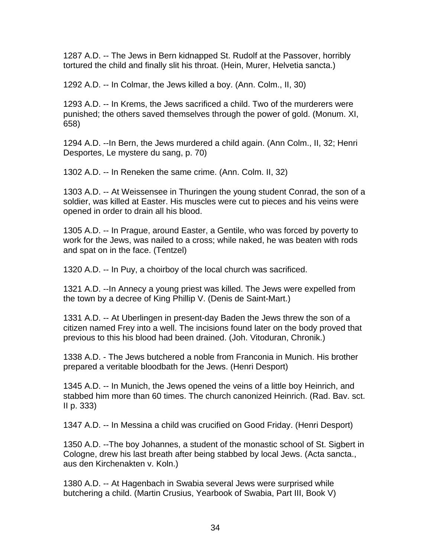1287 A.D. -- The Jews in Bern kidnapped St. Rudolf at the Passover, horribly tortured the child and finally slit his throat. (Hein, Murer, Helvetia sancta.)

1292 A.D. -- In Colmar, the Jews killed a boy. (Ann. Colm., II, 30)

1293 A.D. -- In Krems, the Jews sacrificed a child. Two of the murderers were punished; the others saved themselves through the power of gold. (Monum. XI, 658)

1294 A.D. --In Bern, the Jews murdered a child again. (Ann Colm., II, 32; Henri Desportes, Le mystere du sang, p. 70)

1302 A.D. -- In Reneken the same crime. (Ann. Colm. II, 32)

1303 A.D. -- At Weissensee in Thuringen the young student Conrad, the son of a soldier, was killed at Easter. His muscles were cut to pieces and his veins were opened in order to drain all his blood.

1305 A.D. -- In Prague, around Easter, a Gentile, who was forced by poverty to work for the Jews, was nailed to a cross; while naked, he was beaten with rods and spat on in the face. (Tentzel)

1320 A.D. -- In Puy, a choirboy of the local church was sacrificed.

1321 A.D. --In Annecy a young priest was killed. The Jews were expelled from the town by a decree of King Phillip V. (Denis de Saint-Mart.)

1331 A.D. -- At Uberlingen in present-day Baden the Jews threw the son of a citizen named Frey into a well. The incisions found later on the body proved that previous to this his blood had been drained. (Joh. Vitoduran, Chronik.)

1338 A.D. - The Jews butchered a noble from Franconia in Munich. His brother prepared a veritable bloodbath for the Jews. (Henri Desport)

1345 A.D. -- In Munich, the Jews opened the veins of a little boy Heinrich, and stabbed him more than 60 times. The church canonized Heinrich. (Rad. Bav. sct. II p. 333)

1347 A.D. -- In Messina a child was crucified on Good Friday. (Henri Desport)

1350 A.D. --The boy Johannes, a student of the monastic school of St. Sigbert in Cologne, drew his last breath after being stabbed by local Jews. (Acta sancta., aus den Kirchenakten v. Koln.)

1380 A.D. -- At Hagenbach in Swabia several Jews were surprised while butchering a child. (Martin Crusius, Yearbook of Swabia, Part III, Book V)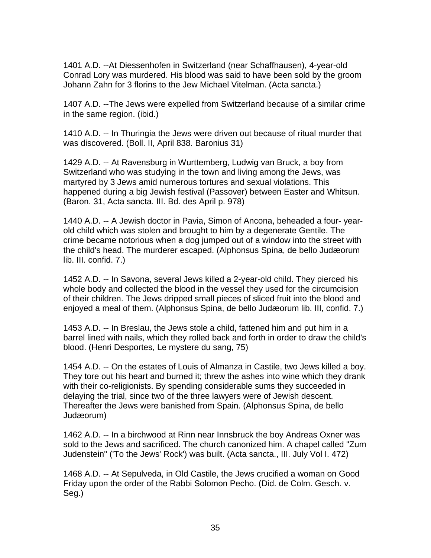1401 A.D. --At Diessenhofen in Switzerland (near Schaffhausen), 4-year-old Conrad Lory was murdered. His blood was said to have been sold by the groom Johann Zahn for 3 florins to the Jew Michael Vitelman. (Acta sancta.)

1407 A.D. --The Jews were expelled from Switzerland because of a similar crime in the same region. (ibid.)

1410 A.D. -- In Thuringia the Jews were driven out because of ritual murder that was discovered. (Boll. II, April 838. Baronius 31)

1429 A.D. -- At Ravensburg in Wurttemberg, Ludwig van Bruck, a boy from Switzerland who was studying in the town and living among the Jews, was martyred by 3 Jews amid numerous tortures and sexual violations. This happened during a big Jewish festival (Passover) between Easter and Whitsun. (Baron. 31, Acta sancta. III. Bd. des April p. 978)

1440 A.D. -- A Jewish doctor in Pavia, Simon of Ancona, beheaded a four- yearold child which was stolen and brought to him by a degenerate Gentile. The crime became notorious when a dog jumped out of a window into the street with the child's head. The murderer escaped. (Alphonsus Spina, de bello Judæorum lib. III. confid. 7.)

1452 A.D. -- In Savona, several Jews killed a 2-year-old child. They pierced his whole body and collected the blood in the vessel they used for the circumcision of their children. The Jews dripped small pieces of sliced fruit into the blood and enjoyed a meal of them. (Alphonsus Spina, de bello Judæorum lib. III, confid. 7.)

1453 A.D. -- In Breslau, the Jews stole a child, fattened him and put him in a barrel lined with nails, which they rolled back and forth in order to draw the child's blood. (Henri Desportes, Le mystere du sang, 75)

1454 A.D. -- On the estates of Louis of Almanza in Castile, two Jews killed a boy. They tore out his heart and burned it; threw the ashes into wine which they drank with their co-religionists. By spending considerable sums they succeeded in delaying the trial, since two of the three lawyers were of Jewish descent. Thereafter the Jews were banished from Spain. (Alphonsus Spina, de bello Judæorum)

1462 A.D. -- In a birchwood at Rinn near Innsbruck the boy Andreas Oxner was sold to the Jews and sacrificed. The church canonized him. A chapel called "Zum Judenstein" ('To the Jews' Rock') was built. (Acta sancta., III. July Vol I. 472)

1468 A.D. -- At Sepulveda, in Old Castile, the Jews crucified a woman on Good Friday upon the order of the Rabbi Solomon Pecho. (Did. de Colm. Gesch. v. Seg.)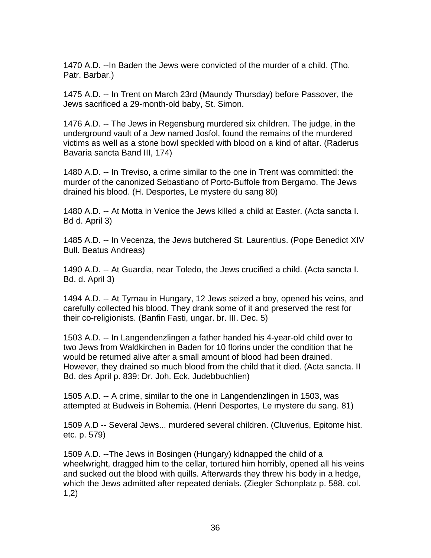1470 A.D. --In Baden the Jews were convicted of the murder of a child. (Tho. Patr. Barbar.)

1475 A.D. -- In Trent on March 23rd (Maundy Thursday) before Passover, the Jews sacrificed a 29-month-old baby, St. Simon.

1476 A.D. -- The Jews in Regensburg murdered six children. The judge, in the underground vault of a Jew named Josfol, found the remains of the murdered victims as well as a stone bowl speckled with blood on a kind of altar. (Raderus Bavaria sancta Band III, 174)

1480 A.D. -- In Treviso, a crime similar to the one in Trent was committed: the murder of the canonized Sebastiano of Porto-Buffole from Bergamo. The Jews drained his blood. (H. Desportes, Le mystere du sang 80)

1480 A.D. -- At Motta in Venice the Jews killed a child at Easter. (Acta sancta I. Bd d. April 3)

1485 A.D. -- In Vecenza, the Jews butchered St. Laurentius. (Pope Benedict XIV Bull. Beatus Andreas)

1490 A.D. -- At Guardia, near Toledo, the Jews crucified a child. (Acta sancta I. Bd. d. April 3)

1494 A.D. -- At Tyrnau in Hungary, 12 Jews seized a boy, opened his veins, and carefully collected his blood. They drank some of it and preserved the rest for their co-religionists. (Banfin Fasti, ungar. br. III. Dec. 5)

1503 A.D. -- In Langendenzlingen a father handed his 4-year-old child over to two Jews from Waldkirchen in Baden for 10 florins under the condition that he would be returned alive after a small amount of blood had been drained. However, they drained so much blood from the child that it died. (Acta sancta. II Bd. des April p. 839: Dr. Joh. Eck, Judebbuchlien)

1505 A.D. -- A crime, similar to the one in Langendenzlingen in 1503, was attempted at Budweis in Bohemia. (Henri Desportes, Le mystere du sang. 81)

1509 A.D -- Several Jews... murdered several children. (Cluverius, Epitome hist. etc. p. 579)

1509 A.D. --The Jews in Bosingen (Hungary) kidnapped the child of a wheelwright, dragged him to the cellar, tortured him horribly, opened all his veins and sucked out the blood with quills. Afterwards they threw his body in a hedge, which the Jews admitted after repeated denials. (Ziegler Schonplatz p. 588, col. 1,2)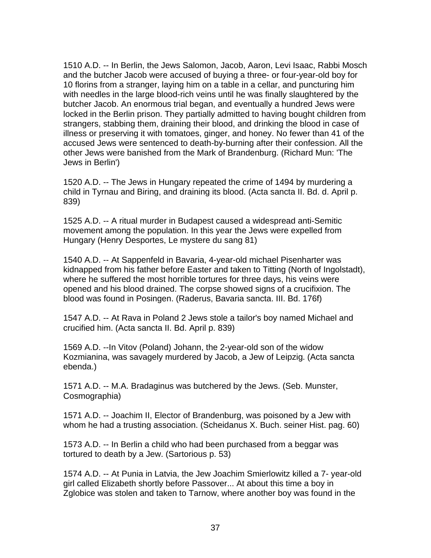1510 A.D. -- In Berlin, the Jews Salomon, Jacob, Aaron, Levi Isaac, Rabbi Mosch and the butcher Jacob were accused of buying a three- or four-year-old boy for 10 florins from a stranger, laying him on a table in a cellar, and puncturing him with needles in the large blood-rich veins until he was finally slaughtered by the butcher Jacob. An enormous trial began, and eventually a hundred Jews were locked in the Berlin prison. They partially admitted to having bought children from strangers, stabbing them, draining their blood, and drinking the blood in case of illness or preserving it with tomatoes, ginger, and honey. No fewer than 41 of the accused Jews were sentenced to death-by-burning after their confession. All the other Jews were banished from the Mark of Brandenburg. (Richard Mun: 'The Jews in Berlin')

1520 A.D. -- The Jews in Hungary repeated the crime of 1494 by murdering a child in Tyrnau and Biring, and draining its blood. (Acta sancta II. Bd. d. April p. 839)

1525 A.D. -- A ritual murder in Budapest caused a widespread anti-Semitic movement among the population. In this year the Jews were expelled from Hungary (Henry Desportes, Le mystere du sang 81)

1540 A.D. -- At Sappenfeld in Bavaria, 4-year-old michael Pisenharter was kidnapped from his father before Easter and taken to Titting (North of Ingolstadt), where he suffered the most horrible tortures for three days, his veins were opened and his blood drained. The corpse showed signs of a crucifixion. The blood was found in Posingen. (Raderus, Bavaria sancta. III. Bd. 176f)

1547 A.D. -- At Rava in Poland 2 Jews stole a tailor's boy named Michael and crucified him. (Acta sancta II. Bd. April p. 839)

1569 A.D. --In Vitov (Poland) Johann, the 2-year-old son of the widow Kozmianina, was savagely murdered by Jacob, a Jew of Leipzig. (Acta sancta ebenda.)

1571 A.D. -- M.A. Bradaginus was butchered by the Jews. (Seb. Munster, Cosmographia)

1571 A.D. -- Joachim II, Elector of Brandenburg, was poisoned by a Jew with whom he had a trusting association. (Scheidanus X. Buch. seiner Hist. pag. 60)

1573 A.D. -- In Berlin a child who had been purchased from a beggar was tortured to death by a Jew. (Sartorious p. 53)

1574 A.D. -- At Punia in Latvia, the Jew Joachim Smierlowitz killed a 7- year-old girl called Elizabeth shortly before Passover... At about this time a boy in Zglobice was stolen and taken to Tarnow, where another boy was found in the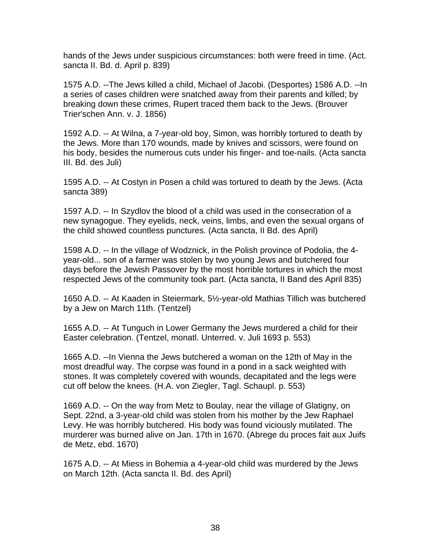hands of the Jews under suspicious circumstances: both were freed in time. (Act. sancta II. Bd. d. April p. 839)

1575 A.D. --The Jews killed a child, Michael of Jacobi. (Desportes) 1586 A.D. --In a series of cases children were snatched away from their parents and killed; by breaking down these crimes, Rupert traced them back to the Jews. (Brouver Trier'schen Ann. v. J. 1856)

1592 A.D. -- At Wilna, a 7-year-old boy, Simon, was horribly tortured to death by the Jews. More than 170 wounds, made by knives and scissors, were found on his body, besides the numerous cuts under his finger- and toe-nails. (Acta sancta III. Bd. des Juli)

1595 A.D. -- At Costyn in Posen a child was tortured to death by the Jews. (Acta sancta 389)

1597 A.D. -- In Szydlov the blood of a child was used in the consecration of a new synagogue. They eyelids, neck, veins, limbs, and even the sexual organs of the child showed countless punctures. (Acta sancta, II Bd. des April)

1598 A.D. -- In the village of Wodznick, in the Polish province of Podolia, the 4 year-old... son of a farmer was stolen by two young Jews and butchered four days before the Jewish Passover by the most horrible tortures in which the most respected Jews of the community took part. (Acta sancta, II Band des April 835)

1650 A.D. -- At Kaaden in Steiermark, 5½-year-old Mathias Tillich was butchered by a Jew on March 11th. (Tentzel)

1655 A.D. -- At Tunguch in Lower Germany the Jews murdered a child for their Easter celebration. (Tentzel, monatl. Unterred. v. Juli 1693 p. 553)

1665 A.D. --In Vienna the Jews butchered a woman on the 12th of May in the most dreadful way. The corpse was found in a pond in a sack weighted with stones. It was completely covered with wounds, decapitated and the legs were cut off below the knees. (H.A. von Ziegler, Tagl. Schaupl. p. 553)

1669 A.D. -- On the way from Metz to Boulay, near the village of Glatigny, on Sept. 22nd, a 3-year-old child was stolen from his mother by the Jew Raphael Levy. He was horribly butchered. His body was found viciously mutilated. The murderer was burned alive on Jan. 17th in 1670. (Abrege du proces fait aux Juifs de Metz, ebd. 1670)

1675 A.D. -- At Miess in Bohemia a 4-year-old child was murdered by the Jews on March 12th. (Acta sancta II. Bd. des April)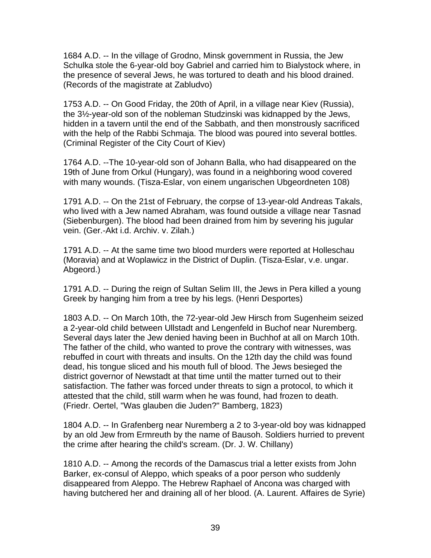1684 A.D. -- In the village of Grodno, Minsk government in Russia, the Jew Schulka stole the 6-year-old boy Gabriel and carried him to Bialystock where, in the presence of several Jews, he was tortured to death and his blood drained. (Records of the magistrate at Zabludvo)

1753 A.D. -- On Good Friday, the 20th of April, in a village near Kiev (Russia), the 3½-year-old son of the nobleman Studzinski was kidnapped by the Jews, hidden in a tavern until the end of the Sabbath, and then monstrously sacrificed with the help of the Rabbi Schmaja. The blood was poured into several bottles. (Criminal Register of the City Court of Kiev)

1764 A.D. --The 10-year-old son of Johann Balla, who had disappeared on the 19th of June from Orkul (Hungary), was found in a neighboring wood covered with many wounds. (Tisza-Eslar, von einem ungarischen Ubgeordneten 108)

1791 A.D. -- On the 21st of February, the corpse of 13-year-old Andreas Takals, who lived with a Jew named Abraham, was found outside a village near Tasnad (Siebenburgen). The blood had been drained from him by severing his jugular vein. (Ger.-Akt i.d. Archiv. v. Zilah.)

1791 A.D. -- At the same time two blood murders were reported at Holleschau (Moravia) and at Woplawicz in the District of Duplin. (Tisza-Eslar, v.e. ungar. Abgeord.)

1791 A.D. -- During the reign of Sultan Selim III, the Jews in Pera killed a young Greek by hanging him from a tree by his legs. (Henri Desportes)

1803 A.D. -- On March 10th, the 72-year-old Jew Hirsch from Sugenheim seized a 2-year-old child between Ullstadt and Lengenfeld in Buchof near Nuremberg. Several days later the Jew denied having been in Buchhof at all on March 10th. The father of the child, who wanted to prove the contrary with witnesses, was rebuffed in court with threats and insults. On the 12th day the child was found dead, his tongue sliced and his mouth full of blood. The Jews besieged the district governor of Newstadt at that time until the matter turned out to their satisfaction. The father was forced under threats to sign a protocol, to which it attested that the child, still warm when he was found, had frozen to death. (Friedr. Oertel, "Was glauben die Juden?" Bamberg, 1823)

1804 A.D. -- In Grafenberg near Nuremberg a 2 to 3-year-old boy was kidnapped by an old Jew from Ermreuth by the name of Bausoh. Soldiers hurried to prevent the crime after hearing the child's scream. (Dr. J. W. Chillany)

1810 A.D. -- Among the records of the Damascus trial a letter exists from John Barker, ex-consul of Aleppo, which speaks of a poor person who suddenly disappeared from Aleppo. The Hebrew Raphael of Ancona was charged with having butchered her and draining all of her blood. (A. Laurent. Affaires de Syrie)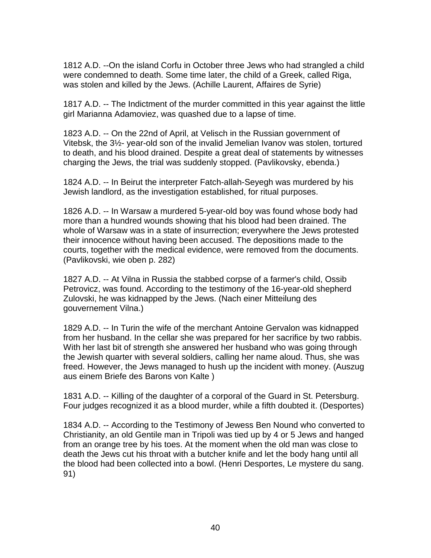1812 A.D. --On the island Corfu in October three Jews who had strangled a child were condemned to death. Some time later, the child of a Greek, called Riga, was stolen and killed by the Jews. (Achille Laurent, Affaires de Syrie)

1817 A.D. -- The Indictment of the murder committed in this year against the little girl Marianna Adamoviez, was quashed due to a lapse of time.

1823 A.D. -- On the 22nd of April, at Velisch in the Russian government of Vitebsk, the 3½- year-old son of the invalid Jemelian Ivanov was stolen, tortured to death, and his blood drained. Despite a great deal of statements by witnesses charging the Jews, the trial was suddenly stopped. (Pavlikovsky, ebenda.)

1824 A.D. -- In Beirut the interpreter Fatch-allah-Seyegh was murdered by his Jewish landlord, as the investigation established, for ritual purposes.

1826 A.D. -- In Warsaw a murdered 5-year-old boy was found whose body had more than a hundred wounds showing that his blood had been drained. The whole of Warsaw was in a state of insurrection; everywhere the Jews protested their innocence without having been accused. The depositions made to the courts, together with the medical evidence, were removed from the documents. (Pavlikovski, wie oben p. 282)

1827 A.D. -- At Vilna in Russia the stabbed corpse of a farmer's child, Ossib Petrovicz, was found. According to the testimony of the 16-year-old shepherd Zulovski, he was kidnapped by the Jews. (Nach einer Mitteilung des gouvernement Vilna.)

1829 A.D. -- In Turin the wife of the merchant Antoine Gervalon was kidnapped from her husband. In the cellar she was prepared for her sacrifice by two rabbis. With her last bit of strength she answered her husband who was going through the Jewish quarter with several soldiers, calling her name aloud. Thus, she was freed. However, the Jews managed to hush up the incident with money. (Auszug aus einem Briefe des Barons von Kalte )

1831 A.D. -- Killing of the daughter of a corporal of the Guard in St. Petersburg. Four judges recognized it as a blood murder, while a fifth doubted it. (Desportes)

1834 A.D. -- According to the Testimony of Jewess Ben Nound who converted to Christianity, an old Gentile man in Tripoli was tied up by 4 or 5 Jews and hanged from an orange tree by his toes. At the moment when the old man was close to death the Jews cut his throat with a butcher knife and let the body hang until all the blood had been collected into a bowl. (Henri Desportes, Le mystere du sang. 91)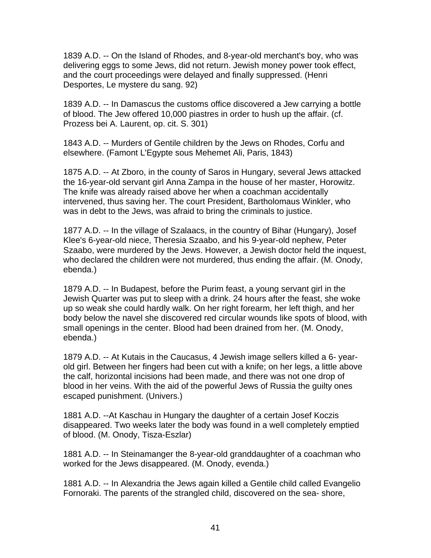1839 A.D. -- On the Island of Rhodes, and 8-year-old merchant's boy, who was delivering eggs to some Jews, did not return. Jewish money power took effect, and the court proceedings were delayed and finally suppressed. (Henri Desportes, Le mystere du sang. 92)

1839 A.D. -- In Damascus the customs office discovered a Jew carrying a bottle of blood. The Jew offered 10,000 piastres in order to hush up the affair. (cf. Prozess bei A. Laurent, op. cit. S. 301)

1843 A.D. -- Murders of Gentile children by the Jews on Rhodes, Corfu and elsewhere. (Famont L'Egypte sous Mehemet Ali, Paris, 1843)

1875 A.D. -- At Zboro, in the county of Saros in Hungary, several Jews attacked the 16-year-old servant girl Anna Zampa in the house of her master, Horowitz. The knife was already raised above her when a coachman accidentally intervened, thus saving her. The court President, Bartholomaus Winkler, who was in debt to the Jews, was afraid to bring the criminals to justice.

1877 A.D. -- In the village of Szalaacs, in the country of Bihar (Hungary), Josef Klee's 6-year-old niece, Theresia Szaabo, and his 9-year-old nephew, Peter Szaabo, were murdered by the Jews. However, a Jewish doctor held the inquest, who declared the children were not murdered, thus ending the affair. (M. Onody, ebenda.)

1879 A.D. -- In Budapest, before the Purim feast, a young servant girl in the Jewish Quarter was put to sleep with a drink. 24 hours after the feast, she woke up so weak she could hardly walk. On her right forearm, her left thigh, and her body below the navel she discovered red circular wounds like spots of blood, with small openings in the center. Blood had been drained from her. (M. Onody, ebenda.)

1879 A.D. -- At Kutais in the Caucasus, 4 Jewish image sellers killed a 6- yearold girl. Between her fingers had been cut with a knife; on her legs, a little above the calf, horizontal incisions had been made, and there was not one drop of blood in her veins. With the aid of the powerful Jews of Russia the guilty ones escaped punishment. (Univers.)

1881 A.D. --At Kaschau in Hungary the daughter of a certain Josef Koczis disappeared. Two weeks later the body was found in a well completely emptied of blood. (M. Onody, Tisza-Eszlar)

1881 A.D. -- In Steinamanger the 8-year-old granddaughter of a coachman who worked for the Jews disappeared. (M. Onody, evenda.)

1881 A.D. -- In Alexandria the Jews again killed a Gentile child called Evangelio Fornoraki. The parents of the strangled child, discovered on the sea- shore,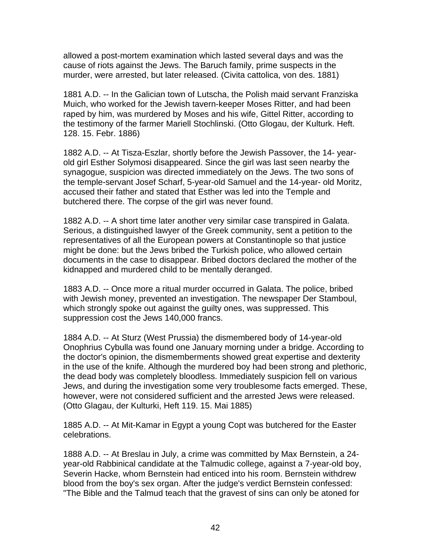allowed a post-mortem examination which lasted several days and was the cause of riots against the Jews. The Baruch family, prime suspects in the murder, were arrested, but later released. (Civita cattolica, von des. 1881)

1881 A.D. -- In the Galician town of Lutscha, the Polish maid servant Franziska Muich, who worked for the Jewish tavern-keeper Moses Ritter, and had been raped by him, was murdered by Moses and his wife, Gittel Ritter, according to the testimony of the farmer Mariell Stochlinski. (Otto Glogau, der Kulturk. Heft. 128. 15. Febr. 1886)

1882 A.D. -- At Tisza-Eszlar, shortly before the Jewish Passover, the 14- yearold girl Esther Solymosi disappeared. Since the girl was last seen nearby the synagogue, suspicion was directed immediately on the Jews. The two sons of the temple-servant Josef Scharf, 5-year-old Samuel and the 14-year- old Moritz, accused their father and stated that Esther was led into the Temple and butchered there. The corpse of the girl was never found.

1882 A.D. -- A short time later another very similar case transpired in Galata. Serious, a distinguished lawyer of the Greek community, sent a petition to the representatives of all the European powers at Constantinople so that justice might be done: but the Jews bribed the Turkish police, who allowed certain documents in the case to disappear. Bribed doctors declared the mother of the kidnapped and murdered child to be mentally deranged.

1883 A.D. -- Once more a ritual murder occurred in Galata. The police, bribed with Jewish money, prevented an investigation. The newspaper Der Stamboul, which strongly spoke out against the guilty ones, was suppressed. This suppression cost the Jews 140,000 francs.

1884 A.D. -- At Sturz (West Prussia) the dismembered body of 14-year-old Onophrius Cybulla was found one January morning under a bridge. According to the doctor's opinion, the dismemberments showed great expertise and dexterity in the use of the knife. Although the murdered boy had been strong and plethoric, the dead body was completely bloodless. Immediately suspicion fell on various Jews, and during the investigation some very troublesome facts emerged. These, however, were not considered sufficient and the arrested Jews were released. (Otto Glagau, der Kulturki, Heft 119. 15. Mai 1885)

1885 A.D. -- At Mit-Kamar in Egypt a young Copt was butchered for the Easter celebrations.

1888 A.D. -- At Breslau in July, a crime was committed by Max Bernstein, a 24 year-old Rabbinical candidate at the Talmudic college, against a 7-year-old boy, Severin Hacke, whom Bernstein had enticed into his room. Bernstein withdrew blood from the boy's sex organ. After the judge's verdict Bernstein confessed: "The Bible and the Talmud teach that the gravest of sins can only be atoned for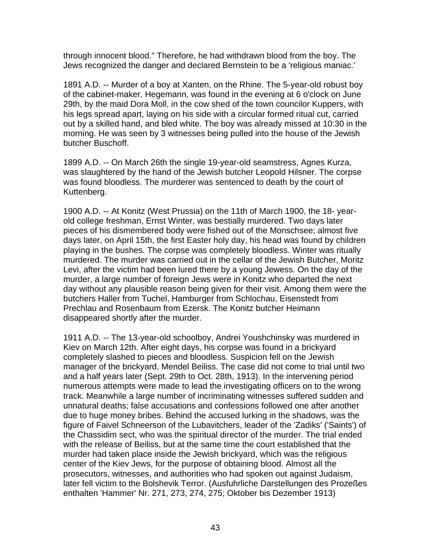through innocent blood." Therefore, he had withdrawn blood from the boy. The Jews recognized the danger and declared Bernstein to be a 'religious maniac.'

1891 A.D. -- Murder of a boy at Xanten, on the Rhine. The 5-year-old robust boy of the cabinet-maker, Hegemann, was found in the evening at 6 o'clock on June 29th, by the maid Dora Moll, in the cow shed of the town councilor Kuppers, with his legs spread apart, laying on his side with a circular formed ritual cut, carried out by a skilled hand, and bled white. The boy was already missed at 10:30 in the morning. He was seen by 3 witnesses being pulled into the house of the Jewish butcher Buschoff.

1899 A.D. -- On March 26th the single 19-year-old seamstress, Agnes Kurza, was slaughtered by the hand of the Jewish butcher Leopold Hilsner. The corpse was found bloodless. The murderer was sentenced to death by the court of Kuttenberg.

1900 A.D. -- At Konitz (West Prussia) on the 11th of March 1900, the 18- yearold college freshman, Ernst Winter, was bestially murdered. Two days later pieces of his dismembered body were fished out of the Monschsee; almost five days later, on April 15th, the first Easter holy day, his head was found by children playing in the bushes. The corpse was completely bloodless. Winter was ritually murdered. The murder was carried out in the cellar of the Jewish Butcher, Moritz Levi, after the victim had been lured there by a young Jewess. On the day of the murder, a large number of foreign Jews were in Konitz who departed the next day without any plausible reason being given for their visit. Among them were the butchers Haller from Tuchel, Hamburger from Schlochau, Eisenstedt from Prechlau and Rosenbaum from Ezersk. The Konitz butcher Heimann disappeared shortly after the murder.

1911 A.D. -- The 13-year-old schoolboy, Andrei Youshchinsky was murdered in Kiev on March 12th. After eight days, his corpse was found in a brickyard completely slashed to pieces and bloodless. Suspicion fell on the Jewish manager of the brickyard, Mendel Beiliss. The case did not come to trial until two and a half years later (Sept. 29th to Oct. 28th, 1913). In the intervening period numerous attempts were made to lead the investigating officers on to the wrong track. Meanwhile a large number of incriminating witnesses suffered sudden and unnatural deaths; false accusations and confessions followed one after another due to huge money bribes. Behind the accused lurking in the shadows, was the figure of Faivel Schneerson of the Lubavitchers, leader of the 'Zadiks' ('Saints') of the Chassidim sect, who was the spiritual director of the murder. The trial ended with the release of Beiliss, but at the same time the court established that the murder had taken place inside the Jewish brickyard, which was the religious center of the Kiev Jews, for the purpose of obtaining blood. Almost all the prosecutors, witnesses, and authorities who had spoken out against Judaism, later fell victim to the Bolshevik Terror. (Ausfuhrliche Darstellungen des Prozeßes enthalten 'Hammer' Nr. 271, 273, 274, 275; Oktober bis Dezember 1913)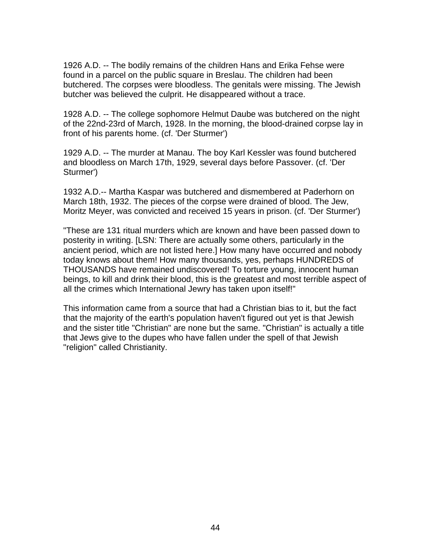1926 A.D. -- The bodily remains of the children Hans and Erika Fehse were found in a parcel on the public square in Breslau. The children had been butchered. The corpses were bloodless. The genitals were missing. The Jewish butcher was believed the culprit. He disappeared without a trace.

1928 A.D. -- The college sophomore Helmut Daube was butchered on the night of the 22nd-23rd of March, 1928. In the morning, the blood-drained corpse lay in front of his parents home. (cf. 'Der Sturmer')

1929 A.D. -- The murder at Manau. The boy Karl Kessler was found butchered and bloodless on March 17th, 1929, several days before Passover. (cf. 'Der Sturmer')

1932 A.D.-- Martha Kaspar was butchered and dismembered at Paderhorn on March 18th, 1932. The pieces of the corpse were drained of blood. The Jew, Moritz Meyer, was convicted and received 15 years in prison. (cf. 'Der Sturmer')

"These are 131 ritual murders which are known and have been passed down to posterity in writing. [LSN: There are actually some others, particularly in the ancient period, which are not listed here.] How many have occurred and nobody today knows about them! How many thousands, yes, perhaps HUNDREDS of THOUSANDS have remained undiscovered! To torture young, innocent human beings, to kill and drink their blood, this is the greatest and most terrible aspect of all the crimes which International Jewry has taken upon itself!"

This information came from a source that had a Christian bias to it, but the fact that the majority of the earth's population haven't figured out yet is that Jewish and the sister title "Christian" are none but the same. "Christian" is actually a title that Jews give to the dupes who have fallen under the spell of that Jewish "religion" called Christianity.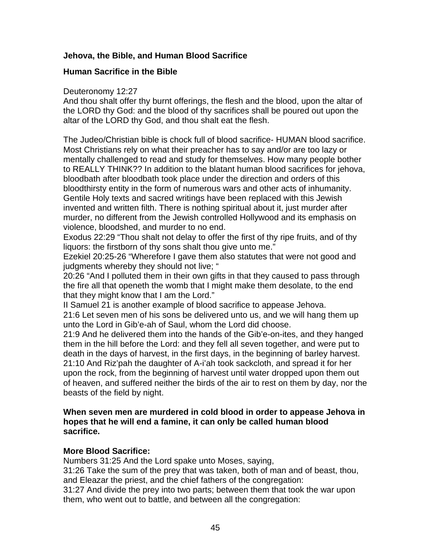#### **Jehova, the Bible, and Human Blood Sacrifice**

#### **Human Sacrifice in the Bible**

#### Deuteronomy 12:27

And thou shalt offer thy burnt offerings, the flesh and the blood, upon the altar of the LORD thy God: and the blood of thy sacrifices shall be poured out upon the altar of the LORD thy God, and thou shalt eat the flesh.

The Judeo/Christian bible is chock full of blood sacrifice- HUMAN blood sacrifice. Most Christians rely on what their preacher has to say and/or are too lazy or mentally challenged to read and study for themselves. How many people bother to REALLY THINK?? In addition to the blatant human blood sacrifices for jehova, bloodbath after bloodbath took place under the direction and orders of this bloodthirsty entity in the form of numerous wars and other acts of inhumanity. Gentile Holy texts and sacred writings have been replaced with this Jewish invented and written filth. There is nothing spiritual about it, just murder after murder, no different from the Jewish controlled Hollywood and its emphasis on violence, bloodshed, and murder to no end.

Exodus 22:29 "Thou shalt not delay to offer the first of thy ripe fruits, and of thy liquors: the firstborn of thy sons shalt thou give unto me."

Ezekiel 20:25-26 "Wherefore I gave them also statutes that were not good and judgments whereby they should not live; "

20:26 "And I polluted them in their own gifts in that they caused to pass through the fire all that openeth the womb that I might make them desolate, to the end that they might know that I am the Lord."

II Samuel 21 is another example of blood sacrifice to appease Jehova.

21:6 Let seven men of his sons be delivered unto us, and we will hang them up unto the Lord in Gib'e-ah of Saul, whom the Lord did choose.

21:9 And he delivered them into the hands of the Gib'e-on-ites, and they hanged them in the hill before the Lord: and they fell all seven together, and were put to death in the days of harvest, in the first days, in the beginning of barley harvest. 21:10 And Riz'pah the daughter of A-i'ah took sackcloth, and spread it for her upon the rock, from the beginning of harvest until water dropped upon them out of heaven, and suffered neither the birds of the air to rest on them by day, nor the beasts of the field by night.

#### **When seven men are murdered in cold blood in order to appease Jehova in hopes that he will end a famine, it can only be called human blood sacrifice.**

#### **More Blood Sacrifice:**

Numbers 31:25 And the Lord spake unto Moses, saying,

31:26 Take the sum of the prey that was taken, both of man and of beast, thou, and Eleazar the priest, and the chief fathers of the congregation:

31:27 And divide the prey into two parts; between them that took the war upon them, who went out to battle, and between all the congregation: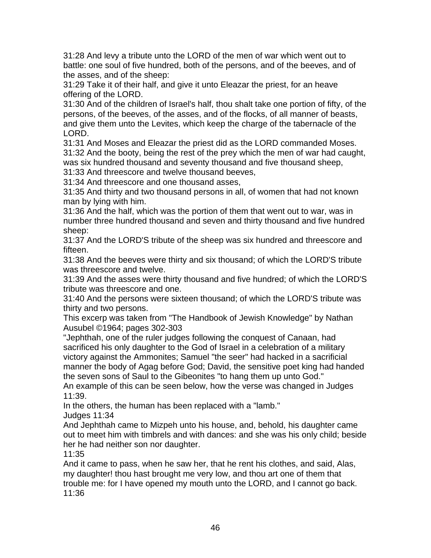31:28 And levy a tribute unto the LORD of the men of war which went out to battle: one soul of five hundred, both of the persons, and of the beeves, and of the asses, and of the sheep:

31:29 Take it of their half, and give it unto Eleazar the priest, for an heave offering of the LORD.

31:30 And of the children of Israel's half, thou shalt take one portion of fifty, of the persons, of the beeves, of the asses, and of the flocks, of all manner of beasts, and give them unto the Levites, which keep the charge of the tabernacle of the LORD.

31:31 And Moses and Eleazar the priest did as the LORD commanded Moses. 31:32 And the booty, being the rest of the prey which the men of war had caught, was six hundred thousand and seventy thousand and five thousand sheep,

31:33 And threescore and twelve thousand beeves, 31:34 And threescore and one thousand asses,

31:35 And thirty and two thousand persons in all, of women that had not known

man by lying with him.

31:36 And the half, which was the portion of them that went out to war, was in number three hundred thousand and seven and thirty thousand and five hundred sheep:

31:37 And the LORD'S tribute of the sheep was six hundred and threescore and fifteen.

31:38 And the beeves were thirty and six thousand; of which the LORD'S tribute was threescore and twelve.

31:39 And the asses were thirty thousand and five hundred; of which the LORD'S tribute was threescore and one.

31:40 And the persons were sixteen thousand; of which the LORD'S tribute was thirty and two persons.

This excerp was taken from "The Handbook of Jewish Knowledge" by Nathan Ausubel ©1964; pages 302-303

"Jephthah, one of the ruler judges following the conquest of Canaan, had sacrificed his only daughter to the God of Israel in a celebration of a military victory against the Ammonites; Samuel "the seer" had hacked in a sacrificial manner the body of Agag before God; David, the sensitive poet king had handed the seven sons of Saul to the Gibeonites "to hang them up unto God."

An example of this can be seen below, how the verse was changed in Judges 11:39.

In the others, the human has been replaced with a "lamb." Judges 11:34

And Jephthah came to Mizpeh unto his house, and, behold, his daughter came out to meet him with timbrels and with dances: and she was his only child; beside her he had neither son nor daughter.

11:35

And it came to pass, when he saw her, that he rent his clothes, and said, Alas, my daughter! thou hast brought me very low, and thou art one of them that trouble me: for I have opened my mouth unto the LORD, and I cannot go back. 11:36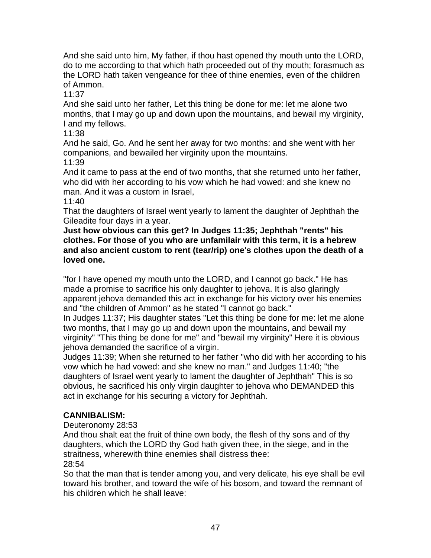And she said unto him, My father, if thou hast opened thy mouth unto the LORD, do to me according to that which hath proceeded out of thy mouth; forasmuch as the LORD hath taken vengeance for thee of thine enemies, even of the children of Ammon.

11:37

And she said unto her father, Let this thing be done for me: let me alone two months, that I may go up and down upon the mountains, and bewail my virginity, I and my fellows.

11:38

And he said, Go. And he sent her away for two months: and she went with her companions, and bewailed her virginity upon the mountains.

11:39

And it came to pass at the end of two months, that she returned unto her father, who did with her according to his vow which he had vowed: and she knew no man. And it was a custom in Israel,

11:40

That the daughters of Israel went yearly to lament the daughter of Jephthah the Gileadite four days in a year.

**Just how obvious can this get? In Judges 11:35; Jephthah "rents" his clothes. For those of you who are unfamilair with this term, it is a hebrew and also ancient custom to rent (tear/rip) one's clothes upon the death of a loved one.** 

"for I have opened my mouth unto the LORD, and I cannot go back." He has made a promise to sacrifice his only daughter to jehova. It is also glaringly apparent jehova demanded this act in exchange for his victory over his enemies and "the children of Ammon" as he stated "I cannot go back."

In Judges 11:37; His daughter states "Let this thing be done for me: let me alone two months, that I may go up and down upon the mountains, and bewail my virginity" "This thing be done for me" and "bewail my virginity" Here it is obvious jehova demanded the sacrifice of a virgin.

Judges 11:39; When she returned to her father "who did with her according to his vow which he had vowed: and she knew no man." and Judges 11:40; "the daughters of Israel went yearly to lament the daughter of Jephthah" This is so obvious, he sacrificed his only virgin daughter to jehova who DEMANDED this act in exchange for his securing a victory for Jephthah.

## **CANNIBALISM:**

### Deuteronomy 28:53

And thou shalt eat the fruit of thine own body, the flesh of thy sons and of thy daughters, which the LORD thy God hath given thee, in the siege, and in the straitness, wherewith thine enemies shall distress thee:

#### 28:54

So that the man that is tender among you, and very delicate, his eye shall be evil toward his brother, and toward the wife of his bosom, and toward the remnant of his children which he shall leave: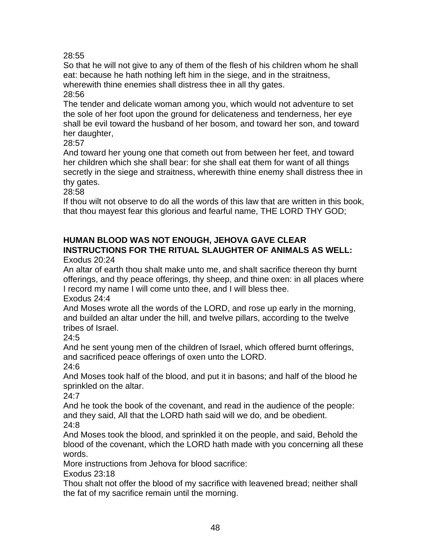So that he will not give to any of them of the flesh of his children whom he shall eat: because he hath nothing left him in the siege, and in the straitness, wherewith thine enemies shall distress thee in all thy gates.

#### 28:56

The tender and delicate woman among you, which would not adventure to set the sole of her foot upon the ground for delicateness and tenderness, her eye shall be evil toward the husband of her bosom, and toward her son, and toward her daughter,

28:57

And toward her young one that cometh out from between her feet, and toward her children which she shall bear: for she shall eat them for want of all things secretly in the siege and straitness, wherewith thine enemy shall distress thee in thy gates.

28:58

If thou wilt not observe to do all the words of this law that are written in this book, that thou mayest fear this glorious and fearful name, THE LORD THY GOD;

# **HUMAN BLOOD WAS NOT ENOUGH, JEHOVA GAVE CLEAR INSTRUCTIONS FOR THE RITUAL SLAUGHTER OF ANIMALS AS WELL:**

Exodus 20:24

An altar of earth thou shalt make unto me, and shalt sacrifice thereon thy burnt offerings, and thy peace offerings, thy sheep, and thine oxen: in all places where I record my name I will come unto thee, and I will bless thee.

Exodus 24:4

And Moses wrote all the words of the LORD, and rose up early in the morning, and builded an altar under the hill, and twelve pillars, according to the twelve tribes of Israel.

24:5

And he sent young men of the children of Israel, which offered burnt offerings, and sacrificed peace offerings of oxen unto the LORD.

### 24:6

And Moses took half of the blood, and put it in basons; and half of the blood he sprinkled on the altar.

24:7

And he took the book of the covenant, and read in the audience of the people: and they said, All that the LORD hath said will we do, and be obedient.

24:8

And Moses took the blood, and sprinkled it on the people, and said, Behold the blood of the covenant, which the LORD hath made with you concerning all these words.

More instructions from Jehova for blood sacrifice:

Exodus 23:18

Thou shalt not offer the blood of my sacrifice with leavened bread; neither shall the fat of my sacrifice remain until the morning.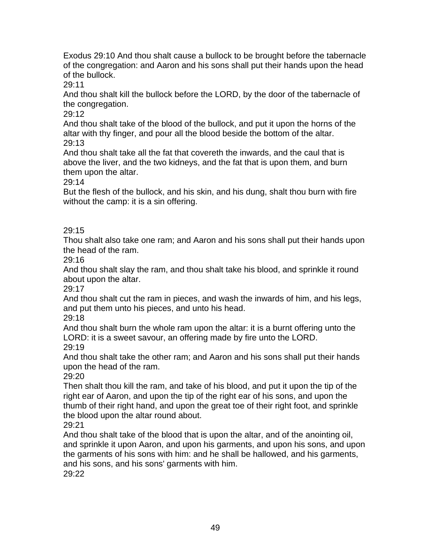Exodus 29:10 And thou shalt cause a bullock to be brought before the tabernacle of the congregation: and Aaron and his sons shall put their hands upon the head of the bullock.

29:11

And thou shalt kill the bullock before the LORD, by the door of the tabernacle of the congregation.

29:12

And thou shalt take of the blood of the bullock, and put it upon the horns of the altar with thy finger, and pour all the blood beside the bottom of the altar. 29:13

And thou shalt take all the fat that covereth the inwards, and the caul that is above the liver, and the two kidneys, and the fat that is upon them, and burn them upon the altar.

29:14

But the flesh of the bullock, and his skin, and his dung, shalt thou burn with fire without the camp: it is a sin offering.

## 29:15

Thou shalt also take one ram; and Aaron and his sons shall put their hands upon the head of the ram.

29:16

And thou shalt slay the ram, and thou shalt take his blood, and sprinkle it round about upon the altar.

29:17

And thou shalt cut the ram in pieces, and wash the inwards of him, and his legs, and put them unto his pieces, and unto his head.

29:18

And thou shalt burn the whole ram upon the altar: it is a burnt offering unto the LORD: it is a sweet savour, an offering made by fire unto the LORD. 29:19

And thou shalt take the other ram; and Aaron and his sons shall put their hands upon the head of the ram.

29:20

Then shalt thou kill the ram, and take of his blood, and put it upon the tip of the right ear of Aaron, and upon the tip of the right ear of his sons, and upon the thumb of their right hand, and upon the great toe of their right foot, and sprinkle the blood upon the altar round about.

29:21

And thou shalt take of the blood that is upon the altar, and of the anointing oil, and sprinkle it upon Aaron, and upon his garments, and upon his sons, and upon the garments of his sons with him: and he shall be hallowed, and his garments, and his sons, and his sons' garments with him. 29:22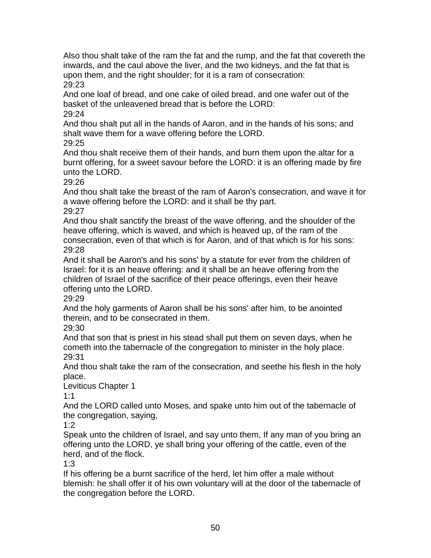Also thou shalt take of the ram the fat and the rump, and the fat that covereth the inwards, and the caul above the liver, and the two kidneys, and the fat that is upon them, and the right shoulder; for it is a ram of consecration: 29:23

And one loaf of bread, and one cake of oiled bread, and one wafer out of the basket of the unleavened bread that is before the LORD: 29:24

And thou shalt put all in the hands of Aaron, and in the hands of his sons; and shalt wave them for a wave offering before the LORD.

29:25

And thou shalt receive them of their hands, and burn them upon the altar for a burnt offering, for a sweet savour before the LORD: it is an offering made by fire unto the LORD.

29:26

And thou shalt take the breast of the ram of Aaron's consecration, and wave it for a wave offering before the LORD: and it shall be thy part.

29:27

And thou shalt sanctify the breast of the wave offering, and the shoulder of the heave offering, which is waved, and which is heaved up, of the ram of the consecration, even of that which is for Aaron, and of that which is for his sons: 29:28

And it shall be Aaron's and his sons' by a statute for ever from the children of Israel: for it is an heave offering: and it shall be an heave offering from the children of Israel of the sacrifice of their peace offerings, even their heave offering unto the LORD.

29:29

And the holy garments of Aaron shall be his sons' after him, to be anointed therein, and to be consecrated in them.

29:30

And that son that is priest in his stead shall put them on seven days, when he cometh into the tabernacle of the congregation to minister in the holy place. 29:31

And thou shalt take the ram of the consecration, and seethe his flesh in the holy place.

Leviticus Chapter 1

1:1

And the LORD called unto Moses, and spake unto him out of the tabernacle of the congregation, saying,

1:2

Speak unto the children of Israel, and say unto them, If any man of you bring an offering unto the LORD, ye shall bring your offering of the cattle, even of the herd, and of the flock.

1:3

If his offering be a burnt sacrifice of the herd, let him offer a male without blemish: he shall offer it of his own voluntary will at the door of the tabernacle of the congregation before the LORD.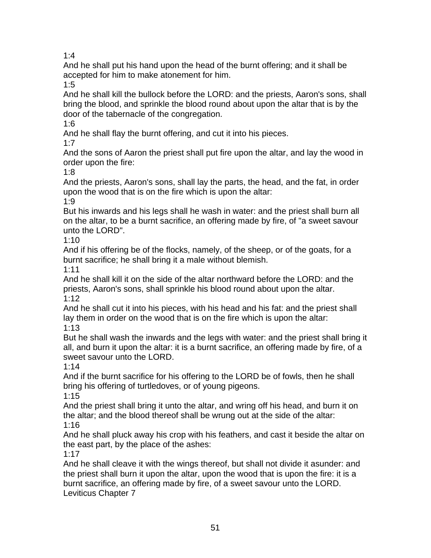And he shall put his hand upon the head of the burnt offering; and it shall be accepted for him to make atonement for him.

1:5

And he shall kill the bullock before the LORD: and the priests, Aaron's sons, shall bring the blood, and sprinkle the blood round about upon the altar that is by the door of the tabernacle of the congregation.

1:6

And he shall flay the burnt offering, and cut it into his pieces.

1:7

And the sons of Aaron the priest shall put fire upon the altar, and lay the wood in order upon the fire:

1:8

And the priests, Aaron's sons, shall lay the parts, the head, and the fat, in order upon the wood that is on the fire which is upon the altar:

1:9

But his inwards and his legs shall he wash in water: and the priest shall burn all on the altar, to be a burnt sacrifice, an offering made by fire, of "a sweet savour unto the LORD".

1:10

And if his offering be of the flocks, namely, of the sheep, or of the goats, for a burnt sacrifice; he shall bring it a male without blemish.

1:11

And he shall kill it on the side of the altar northward before the LORD: and the priests, Aaron's sons, shall sprinkle his blood round about upon the altar. 1:12

And he shall cut it into his pieces, with his head and his fat: and the priest shall lay them in order on the wood that is on the fire which is upon the altar: 1:13

But he shall wash the inwards and the legs with water: and the priest shall bring it all, and burn it upon the altar: it is a burnt sacrifice, an offering made by fire, of a sweet savour unto the LORD.

1:14

And if the burnt sacrifice for his offering to the LORD be of fowls, then he shall bring his offering of turtledoves, or of young pigeons.

1:15

And the priest shall bring it unto the altar, and wring off his head, and burn it on the altar; and the blood thereof shall be wrung out at the side of the altar: 1:16

And he shall pluck away his crop with his feathers, and cast it beside the altar on the east part, by the place of the ashes:

1:17

And he shall cleave it with the wings thereof, but shall not divide it asunder: and the priest shall burn it upon the altar, upon the wood that is upon the fire: it is a burnt sacrifice, an offering made by fire, of a sweet savour unto the LORD. Leviticus Chapter 7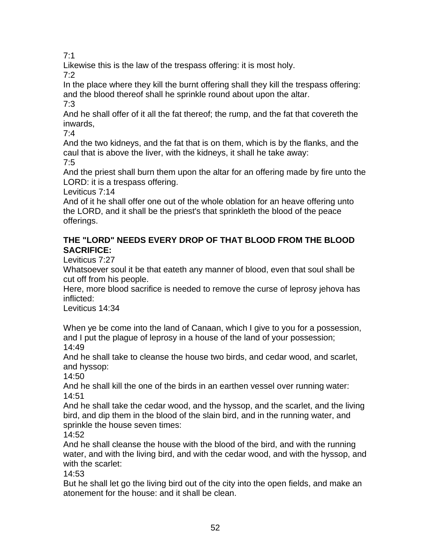Likewise this is the law of the trespass offering: it is most holy.

7:2

In the place where they kill the burnt offering shall they kill the trespass offering: and the blood thereof shall he sprinkle round about upon the altar. 7:3

And he shall offer of it all the fat thereof; the rump, and the fat that covereth the inwards,

7:4

And the two kidneys, and the fat that is on them, which is by the flanks, and the caul that is above the liver, with the kidneys, it shall he take away:

7:5

And the priest shall burn them upon the altar for an offering made by fire unto the LORD: it is a trespass offering.

Leviticus 7:14

And of it he shall offer one out of the whole oblation for an heave offering unto the LORD, and it shall be the priest's that sprinkleth the blood of the peace offerings.

## **THE "LORD" NEEDS EVERY DROP OF THAT BLOOD FROM THE BLOOD SACRIFICE:**

Leviticus 7:27

Whatsoever soul it be that eateth any manner of blood, even that soul shall be cut off from his people.

Here, more blood sacrifice is needed to remove the curse of leprosy jehova has inflicted:

Leviticus 14:34

When ye be come into the land of Canaan, which I give to you for a possession, and I put the plague of leprosy in a house of the land of your possession; 14:49

And he shall take to cleanse the house two birds, and cedar wood, and scarlet, and hyssop:

14:50

And he shall kill the one of the birds in an earthen vessel over running water: 14:51

And he shall take the cedar wood, and the hyssop, and the scarlet, and the living bird, and dip them in the blood of the slain bird, and in the running water, and sprinkle the house seven times:

14:52

And he shall cleanse the house with the blood of the bird, and with the running water, and with the living bird, and with the cedar wood, and with the hyssop, and with the scarlet:

14:53

But he shall let go the living bird out of the city into the open fields, and make an atonement for the house: and it shall be clean.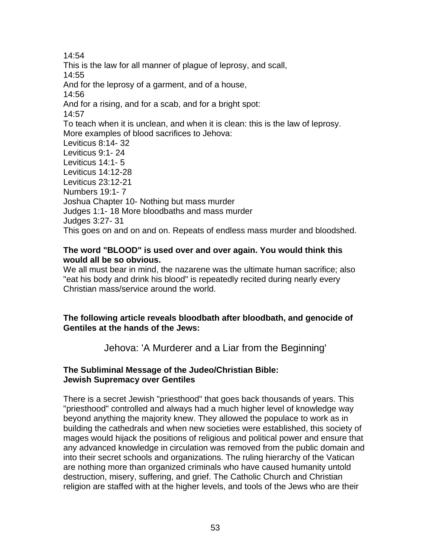This is the law for all manner of plague of leprosy, and scall, 14:55 And for the leprosy of a garment, and of a house, 14:56 And for a rising, and for a scab, and for a bright spot: 14:57 To teach when it is unclean, and when it is clean: this is the law of leprosy. More examples of blood sacrifices to Jehova: Leviticus 8:14- 32 Leviticus 9:1- 24 Leviticus 14:1- 5 Leviticus 14:12-28 Leviticus 23:12-21 Numbers 19:1- 7 Joshua Chapter 10- Nothing but mass murder Judges 1:1- 18 More bloodbaths and mass murder Judges 3:27- 31 This goes on and on and on. Repeats of endless mass murder and bloodshed.

### **The word "BLOOD" is used over and over again. You would think this would all be so obvious.**

We all must bear in mind, the nazarene was the ultimate human sacrifice; also "eat his body and drink his blood" is repeatedly recited during nearly every Christian mass/service around the world.

### **The following article reveals bloodbath after bloodbath, and genocide of Gentiles at the hands of the Jews:**

Jehova: 'A Murderer and a Liar from the Beginning'

### **The Subliminal Message of the Judeo/Christian Bible: Jewish Supremacy over Gentiles**

There is a secret Jewish "priesthood" that goes back thousands of years. This "priesthood" controlled and always had a much higher level of knowledge way beyond anything the majority knew. They allowed the populace to work as in building the cathedrals and when new societies were established, this society of mages would hijack the positions of religious and political power and ensure that any advanced knowledge in circulation was removed from the public domain and into their secret schools and organizations. The ruling hierarchy of the Vatican are nothing more than organized criminals who have caused humanity untold destruction, misery, suffering, and grief. The Catholic Church and Christian religion are staffed with at the higher levels, and tools of the Jews who are their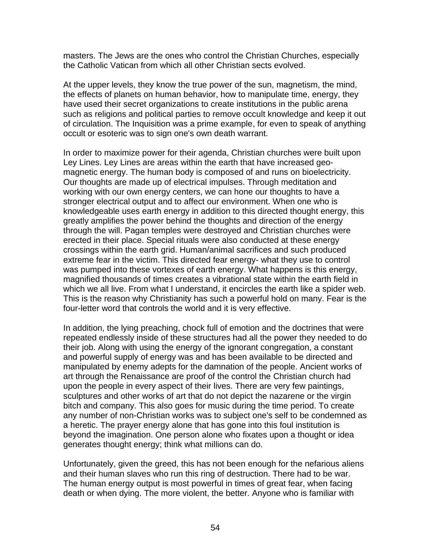masters. The Jews are the ones who control the Christian Churches, especially the Catholic Vatican from which all other Christian sects evolved.

At the upper levels, they know the true power of the sun, magnetism, the mind, the effects of planets on human behavior, how to manipulate time, energy, they have used their secret organizations to create institutions in the public arena such as religions and political parties to remove occult knowledge and keep it out of circulation. The Inquisition was a prime example, for even to speak of anything occult or esoteric was to sign one's own death warrant.

In order to maximize power for their agenda, Christian churches were built upon Ley Lines. Ley Lines are areas within the earth that have increased geomagnetic energy. The human body is composed of and runs on bioelectricity. Our thoughts are made up of electrical impulses. Through meditation and working with our own energy centers, we can hone our thoughts to have a stronger electrical output and to affect our environment. When one who is knowledgeable uses earth energy in addition to this directed thought energy, this greatly amplifies the power behind the thoughts and direction of the energy through the will. Pagan temples were destroyed and Christian churches were erected in their place. Special rituals were also conducted at these energy crossings within the earth grid. Human/animal sacrifices and such produced extreme fear in the victim. This directed fear energy- what they use to control was pumped into these vortexes of earth energy. What happens is this energy, magnified thousands of times creates a vibrational state within the earth field in which we all live. From what I understand, it encircles the earth like a spider web. This is the reason why Christianity has such a powerful hold on many. Fear is the four-letter word that controls the world and it is very effective.

In addition, the lying preaching, chock full of emotion and the doctrines that were repeated endlessly inside of these structures had all the power they needed to do their job. Along with using the energy of the ignorant congregation, a constant and powerful supply of energy was and has been available to be directed and manipulated by enemy adepts for the damnation of the people. Ancient works of art through the Renaissance are proof of the control the Christian church had upon the people in every aspect of their lives. There are very few paintings, sculptures and other works of art that do not depict the nazarene or the virgin bitch and company. This also goes for music during the time period. To create any number of non-Christian works was to subject one's self to be condemned as a heretic. The prayer energy alone that has gone into this foul institution is beyond the imagination. One person alone who fixates upon a thought or idea generates thought energy; think what millions can do.

Unfortunately, given the greed, this has not been enough for the nefarious aliens and their human slaves who run this ring of destruction. There had to be war. The human energy output is most powerful in times of great fear, when facing death or when dying. The more violent, the better. Anyone who is familiar with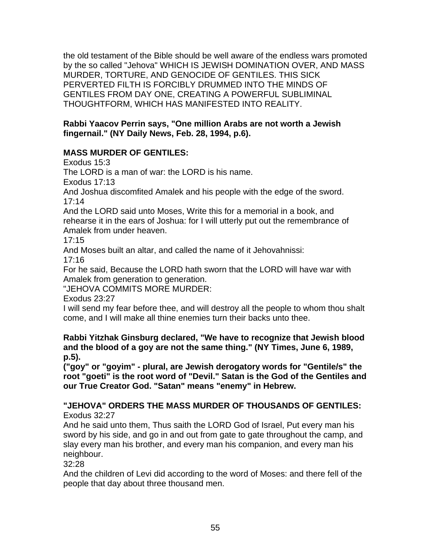the old testament of the Bible should be well aware of the endless wars promoted by the so called "Jehova" WHICH IS JEWISH DOMINATION OVER, AND MASS MURDER, TORTURE, AND GENOCIDE OF GENTILES. THIS SICK PERVERTED FILTH IS FORCIBLY DRUMMED INTO THE MINDS OF GENTILES FROM DAY ONE, CREATING A POWERFUL SUBLIMINAL THOUGHTFORM, WHICH HAS MANIFESTED INTO REALITY.

### **Rabbi Yaacov Perrin says, "One million Arabs are not worth a Jewish fingernail." (NY Daily News, Feb. 28, 1994, p.6).**

## **MASS MURDER OF GENTILES:**

Exodus 15:3

The LORD is a man of war: the LORD is his name.

Exodus 17:13

And Joshua discomfited Amalek and his people with the edge of the sword. 17:14

And the LORD said unto Moses, Write this for a memorial in a book, and rehearse it in the ears of Joshua: for I will utterly put out the remembrance of Amalek from under heaven.

17:15

And Moses built an altar, and called the name of it Jehovahnissi:

17:16

For he said, Because the LORD hath sworn that the LORD will have war with Amalek from generation to generation.

"JEHOVA COMMITS MORE MURDER:

Exodus 23:27

I will send my fear before thee, and will destroy all the people to whom thou shalt come, and I will make all thine enemies turn their backs unto thee.

**Rabbi Yitzhak Ginsburg declared, "We have to recognize that Jewish blood and the blood of a goy are not the same thing." (NY Times, June 6, 1989, p.5).** 

**("goy" or "goyim" - plural, are Jewish derogatory words for "Gentile/s" the root "goeti" is the root word of "Devil." Satan is the God of the Gentiles and our True Creator God. "Satan" means "enemy" in Hebrew.** 

### **"JEHOVA" ORDERS THE MASS MURDER OF THOUSANDS OF GENTILES:**  Exodus 32:27

And he said unto them, Thus saith the LORD God of Israel, Put every man his sword by his side, and go in and out from gate to gate throughout the camp, and slay every man his brother, and every man his companion, and every man his neighbour.

## 32:28

And the children of Levi did according to the word of Moses: and there fell of the people that day about three thousand men.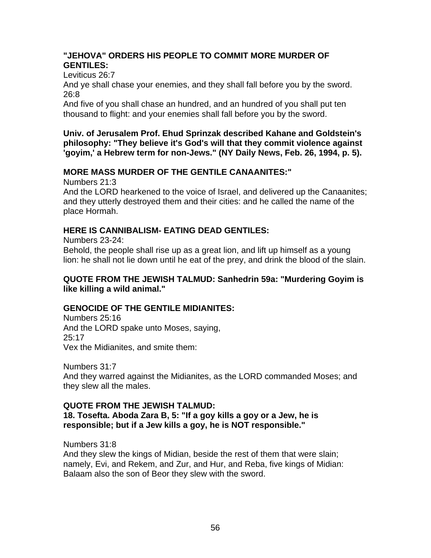### **"JEHOVA" ORDERS HIS PEOPLE TO COMMIT MORE MURDER OF GENTILES:**

Leviticus 26:7

And ye shall chase your enemies, and they shall fall before you by the sword. 26:8

And five of you shall chase an hundred, and an hundred of you shall put ten thousand to flight: and your enemies shall fall before you by the sword.

**Univ. of Jerusalem Prof. Ehud Sprinzak described Kahane and Goldstein's philosophy: "They believe it's God's will that they commit violence against 'goyim,' a Hebrew term for non-Jews." (NY Daily News, Feb. 26, 1994, p. 5).** 

### **MORE MASS MURDER OF THE GENTILE CANAANITES:"**

Numbers 21:3

And the LORD hearkened to the voice of Israel, and delivered up the Canaanites; and they utterly destroyed them and their cities: and he called the name of the place Hormah.

### **HERE IS CANNIBALISM- EATING DEAD GENTILES:**

Numbers 23-24: Behold, the people shall rise up as a great lion, and lift up himself as a young lion: he shall not lie down until he eat of the prey, and drink the blood of the slain.

### **QUOTE FROM THE JEWISH TALMUD: Sanhedrin 59a: "Murdering Goyim is like killing a wild animal."**

### **GENOCIDE OF THE GENTILE MIDIANITES:**

Numbers 25:16 And the LORD spake unto Moses, saying, 25:17 Vex the Midianites, and smite them:

Numbers 31:7 And they warred against the Midianites, as the LORD commanded Moses; and they slew all the males.

#### **QUOTE FROM THE JEWISH TALMUD:**

**18. Tosefta. Aboda Zara B, 5: "If a goy kills a goy or a Jew, he is responsible; but if a Jew kills a goy, he is NOT responsible."** 

Numbers 31:8

And they slew the kings of Midian, beside the rest of them that were slain; namely, Evi, and Rekem, and Zur, and Hur, and Reba, five kings of Midian: Balaam also the son of Beor they slew with the sword.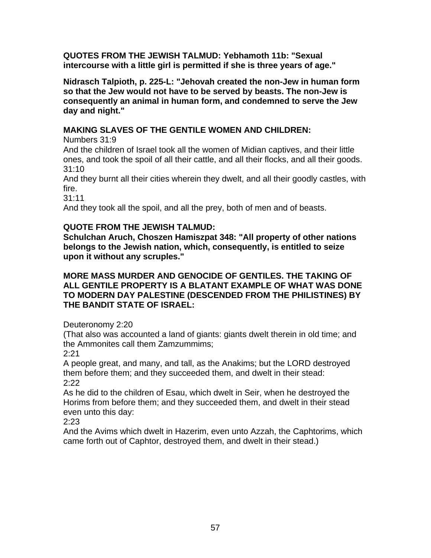**QUOTES FROM THE JEWISH TALMUD: Yebhamoth 11b: "Sexual intercourse with a little girl is permitted if she is three years of age."** 

**Nidrasch Talpioth, p. 225-L: "Jehovah created the non-Jew in human form so that the Jew would not have to be served by beasts. The non-Jew is consequently an animal in human form, and condemned to serve the Jew day and night."** 

## **MAKING SLAVES OF THE GENTILE WOMEN AND CHILDREN:**

Numbers 31:9

And the children of Israel took all the women of Midian captives, and their little ones, and took the spoil of all their cattle, and all their flocks, and all their goods. 31:10

And they burnt all their cities wherein they dwelt, and all their goodly castles, with fire.

31:11

And they took all the spoil, and all the prey, both of men and of beasts.

### **QUOTE FROM THE JEWISH TALMUD:**

**Schulchan Aruch, Choszen Hamiszpat 348: "All property of other nations belongs to the Jewish nation, which, consequently, is entitled to seize upon it without any scruples."** 

#### **MORE MASS MURDER AND GENOCIDE OF GENTILES. THE TAKING OF ALL GENTILE PROPERTY IS A BLATANT EXAMPLE OF WHAT WAS DONE TO MODERN DAY PALESTINE (DESCENDED FROM THE PHILISTINES) BY THE BANDIT STATE OF ISRAEL:**

### Deuteronomy 2:20

(That also was accounted a land of giants: giants dwelt therein in old time; and the Ammonites call them Zamzummims;

2:21

A people great, and many, and tall, as the Anakims; but the LORD destroyed them before them; and they succeeded them, and dwelt in their stead: 2:22

As he did to the children of Esau, which dwelt in Seir, when he destroyed the Horims from before them; and they succeeded them, and dwelt in their stead even unto this day:

2:23

And the Avims which dwelt in Hazerim, even unto Azzah, the Caphtorims, which came forth out of Caphtor, destroyed them, and dwelt in their stead.)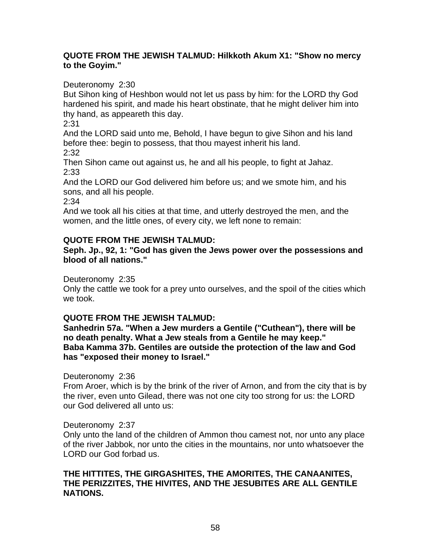### **QUOTE FROM THE JEWISH TALMUD: Hilkkoth Akum X1: "Show no mercy to the Goyim."**

Deuteronomy 2:30

But Sihon king of Heshbon would not let us pass by him: for the LORD thy God hardened his spirit, and made his heart obstinate, that he might deliver him into thy hand, as appeareth this day.

2:31

And the LORD said unto me, Behold, I have begun to give Sihon and his land before thee: begin to possess, that thou mayest inherit his land. 2:32

Then Sihon came out against us, he and all his people, to fight at Jahaz. 2:33

And the LORD our God delivered him before us; and we smote him, and his sons, and all his people.

2:34

And we took all his cities at that time, and utterly destroyed the men, and the women, and the little ones, of every city, we left none to remain:

### **QUOTE FROM THE JEWISH TALMUD:**

**Seph. Jp., 92, 1: "God has given the Jews power over the possessions and blood of all nations."** 

Deuteronomy 2:35

Only the cattle we took for a prey unto ourselves, and the spoil of the cities which we took.

#### **QUOTE FROM THE JEWISH TALMUD:**

**Sanhedrin 57a. "When a Jew murders a Gentile ("Cuthean"), there will be no death penalty. What a Jew steals from a Gentile he may keep." Baba Kamma 37b. Gentiles are outside the protection of the law and God has "exposed their money to Israel."** 

Deuteronomy 2:36

From Aroer, which is by the brink of the river of Arnon, and from the city that is by the river, even unto Gilead, there was not one city too strong for us: the LORD our God delivered all unto us:

#### Deuteronomy 2:37

Only unto the land of the children of Ammon thou camest not, nor unto any place of the river Jabbok, nor unto the cities in the mountains, nor unto whatsoever the LORD our God forbad us.

#### **THE HITTITES, THE GIRGASHITES, THE AMORITES, THE CANAANITES, THE PERIZZITES, THE HIVITES, AND THE JESUBITES ARE ALL GENTILE NATIONS.**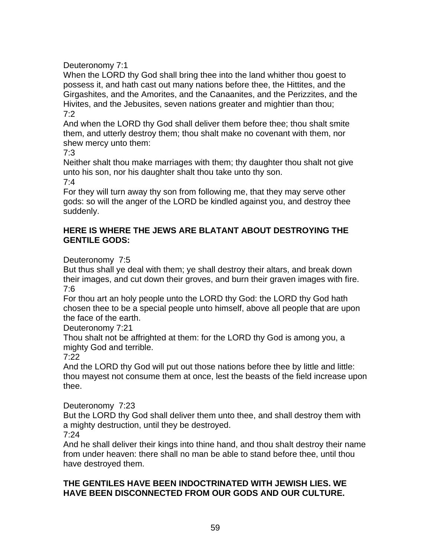Deuteronomy 7:1

When the LORD thy God shall bring thee into the land whither thou goest to possess it, and hath cast out many nations before thee, the Hittites, and the Girgashites, and the Amorites, and the Canaanites, and the Perizzites, and the Hivites, and the Jebusites, seven nations greater and mightier than thou; 7:2

And when the LORD thy God shall deliver them before thee; thou shalt smite them, and utterly destroy them; thou shalt make no covenant with them, nor shew mercy unto them:

7:3

Neither shalt thou make marriages with them; thy daughter thou shalt not give unto his son, nor his daughter shalt thou take unto thy son.

7:4

For they will turn away thy son from following me, that they may serve other gods: so will the anger of the LORD be kindled against you, and destroy thee suddenly.

### **HERE IS WHERE THE JEWS ARE BLATANT ABOUT DESTROYING THE GENTILE GODS:**

Deuteronomy 7:5

But thus shall ye deal with them; ye shall destroy their altars, and break down their images, and cut down their groves, and burn their graven images with fire. 7:6

For thou art an holy people unto the LORD thy God: the LORD thy God hath chosen thee to be a special people unto himself, above all people that are upon the face of the earth.

Deuteronomy 7:21

Thou shalt not be affrighted at them: for the LORD thy God is among you, a mighty God and terrible.

7:22

And the LORD thy God will put out those nations before thee by little and little: thou mayest not consume them at once, lest the beasts of the field increase upon thee.

Deuteronomy 7:23

But the LORD thy God shall deliver them unto thee, and shall destroy them with a mighty destruction, until they be destroyed.

7:24

And he shall deliver their kings into thine hand, and thou shalt destroy their name from under heaven: there shall no man be able to stand before thee, until thou have destroyed them.

## **THE GENTILES HAVE BEEN INDOCTRINATED WITH JEWISH LIES. WE HAVE BEEN DISCONNECTED FROM OUR GODS AND OUR CULTURE.**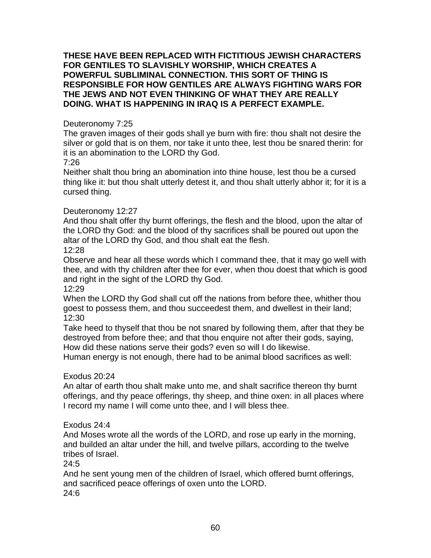#### **THESE HAVE BEEN REPLACED WITH FICTITIOUS JEWISH CHARACTERS FOR GENTILES TO SLAVISHLY WORSHIP, WHICH CREATES A POWERFUL SUBLIMINAL CONNECTION. THIS SORT OF THING IS RESPONSIBLE FOR HOW GENTILES ARE ALWAYS FIGHTING WARS FOR THE JEWS AND NOT EVEN THINKING OF WHAT THEY ARE REALLY DOING. WHAT IS HAPPENING IN IRAQ IS A PERFECT EXAMPLE.**

#### Deuteronomy 7:25

The graven images of their gods shall ye burn with fire: thou shalt not desire the silver or gold that is on them, nor take it unto thee, lest thou be snared therin: for it is an abomination to the LORD thy God.

#### 7:26

Neither shalt thou bring an abomination into thine house, lest thou be a cursed thing like it: but thou shalt utterly detest it, and thou shalt utterly abhor it; for it is a cursed thing.

#### Deuteronomy 12:27

And thou shalt offer thy burnt offerings, the flesh and the blood, upon the altar of the LORD thy God: and the blood of thy sacrifices shall be poured out upon the altar of the LORD thy God, and thou shalt eat the flesh.

#### 12:28

Observe and hear all these words which I command thee, that it may go well with thee, and with thy children after thee for ever, when thou doest that which is good and right in the sight of the LORD thy God.

12:29

When the LORD thy God shall cut off the nations from before thee, whither thou goest to possess them, and thou succeedest them, and dwellest in their land; 12:30

Take heed to thyself that thou be not snared by following them, after that they be destroyed from before thee; and that thou enquire not after their gods, saying, How did these nations serve their gods? even so will I do likewise.

Human energy is not enough, there had to be animal blood sacrifices as well:

#### Exodus 20:24

An altar of earth thou shalt make unto me, and shalt sacrifice thereon thy burnt offerings, and thy peace offerings, thy sheep, and thine oxen: in all places where I record my name I will come unto thee, and I will bless thee.

#### Exodus 24:4

And Moses wrote all the words of the LORD, and rose up early in the morning, and builded an altar under the hill, and twelve pillars, according to the twelve tribes of Israel.

#### 24:5

And he sent young men of the children of Israel, which offered burnt offerings, and sacrificed peace offerings of oxen unto the LORD.

24:6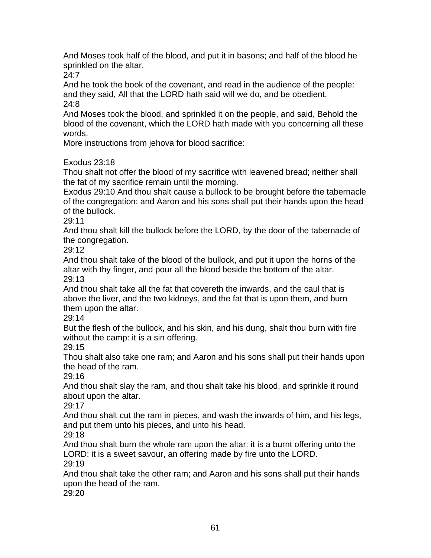And Moses took half of the blood, and put it in basons; and half of the blood he sprinkled on the altar.

24:7

And he took the book of the covenant, and read in the audience of the people: and they said, All that the LORD hath said will we do, and be obedient. 24:8

And Moses took the blood, and sprinkled it on the people, and said, Behold the blood of the covenant, which the LORD hath made with you concerning all these words.

More instructions from jehova for blood sacrifice:

Exodus 23:18

Thou shalt not offer the blood of my sacrifice with leavened bread; neither shall the fat of my sacrifice remain until the morning.

Exodus 29:10 And thou shalt cause a bullock to be brought before the tabernacle of the congregation: and Aaron and his sons shall put their hands upon the head of the bullock.

29:11

And thou shalt kill the bullock before the LORD, by the door of the tabernacle of the congregation.

29:12

And thou shalt take of the blood of the bullock, and put it upon the horns of the altar with thy finger, and pour all the blood beside the bottom of the altar. 29:13

And thou shalt take all the fat that covereth the inwards, and the caul that is above the liver, and the two kidneys, and the fat that is upon them, and burn them upon the altar.

29:14

But the flesh of the bullock, and his skin, and his dung, shalt thou burn with fire without the camp: it is a sin offering.

29:15

Thou shalt also take one ram; and Aaron and his sons shall put their hands upon the head of the ram.

29:16

And thou shalt slay the ram, and thou shalt take his blood, and sprinkle it round about upon the altar.

29:17

And thou shalt cut the ram in pieces, and wash the inwards of him, and his legs, and put them unto his pieces, and unto his head.

29:18

And thou shalt burn the whole ram upon the altar: it is a burnt offering unto the LORD: it is a sweet savour, an offering made by fire unto the LORD.

29:19

And thou shalt take the other ram; and Aaron and his sons shall put their hands upon the head of the ram.

29:20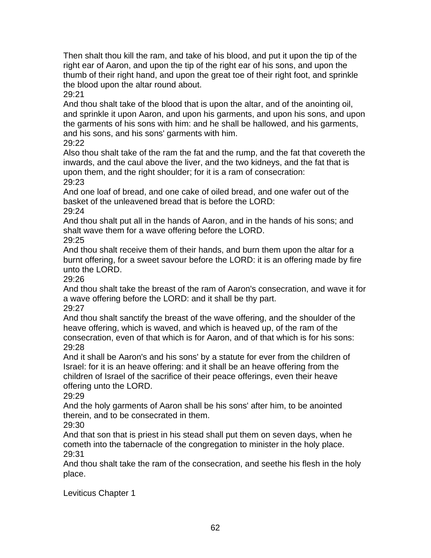Then shalt thou kill the ram, and take of his blood, and put it upon the tip of the right ear of Aaron, and upon the tip of the right ear of his sons, and upon the thumb of their right hand, and upon the great toe of their right foot, and sprinkle the blood upon the altar round about.

29:21

And thou shalt take of the blood that is upon the altar, and of the anointing oil, and sprinkle it upon Aaron, and upon his garments, and upon his sons, and upon the garments of his sons with him: and he shall be hallowed, and his garments, and his sons, and his sons' garments with him.

29:22

Also thou shalt take of the ram the fat and the rump, and the fat that covereth the inwards, and the caul above the liver, and the two kidneys, and the fat that is upon them, and the right shoulder; for it is a ram of consecration: 29:23

And one loaf of bread, and one cake of oiled bread, and one wafer out of the basket of the unleavened bread that is before the LORD:

29:24

And thou shalt put all in the hands of Aaron, and in the hands of his sons; and shalt wave them for a wave offering before the LORD.

29:25

And thou shalt receive them of their hands, and burn them upon the altar for a burnt offering, for a sweet savour before the LORD: it is an offering made by fire unto the LORD.

29:26

And thou shalt take the breast of the ram of Aaron's consecration, and wave it for a wave offering before the LORD: and it shall be thy part. 29:27

And thou shalt sanctify the breast of the wave offering, and the shoulder of the heave offering, which is waved, and which is heaved up, of the ram of the consecration, even of that which is for Aaron, and of that which is for his sons: 29:28

And it shall be Aaron's and his sons' by a statute for ever from the children of Israel: for it is an heave offering: and it shall be an heave offering from the children of Israel of the sacrifice of their peace offerings, even their heave offering unto the LORD.

## 29:29

And the holy garments of Aaron shall be his sons' after him, to be anointed therein, and to be consecrated in them.

29:30

And that son that is priest in his stead shall put them on seven days, when he cometh into the tabernacle of the congregation to minister in the holy place. 29:31

And thou shalt take the ram of the consecration, and seethe his flesh in the holy place.

Leviticus Chapter 1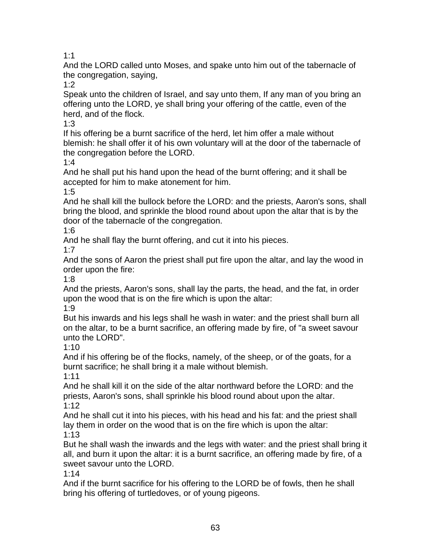And the LORD called unto Moses, and spake unto him out of the tabernacle of the congregation, saying,

1:2

Speak unto the children of Israel, and say unto them, If any man of you bring an offering unto the LORD, ye shall bring your offering of the cattle, even of the herd, and of the flock.

1:3

If his offering be a burnt sacrifice of the herd, let him offer a male without blemish: he shall offer it of his own voluntary will at the door of the tabernacle of the congregation before the LORD.

1:4

And he shall put his hand upon the head of the burnt offering; and it shall be accepted for him to make atonement for him.

 $1:5$ 

And he shall kill the bullock before the LORD: and the priests, Aaron's sons, shall bring the blood, and sprinkle the blood round about upon the altar that is by the door of the tabernacle of the congregation.

1:6

And he shall flay the burnt offering, and cut it into his pieces.

1:7

And the sons of Aaron the priest shall put fire upon the altar, and lay the wood in order upon the fire:

1:8

And the priests, Aaron's sons, shall lay the parts, the head, and the fat, in order upon the wood that is on the fire which is upon the altar:

1:9

But his inwards and his legs shall he wash in water: and the priest shall burn all on the altar, to be a burnt sacrifice, an offering made by fire, of "a sweet savour unto the LORD".

1:10

And if his offering be of the flocks, namely, of the sheep, or of the goats, for a burnt sacrifice; he shall bring it a male without blemish.

1:11

And he shall kill it on the side of the altar northward before the LORD: and the priests, Aaron's sons, shall sprinkle his blood round about upon the altar. 1:12

And he shall cut it into his pieces, with his head and his fat: and the priest shall lay them in order on the wood that is on the fire which is upon the altar: 1:13

But he shall wash the inwards and the legs with water: and the priest shall bring it all, and burn it upon the altar: it is a burnt sacrifice, an offering made by fire, of a sweet savour unto the LORD.

1:14

And if the burnt sacrifice for his offering to the LORD be of fowls, then he shall bring his offering of turtledoves, or of young pigeons.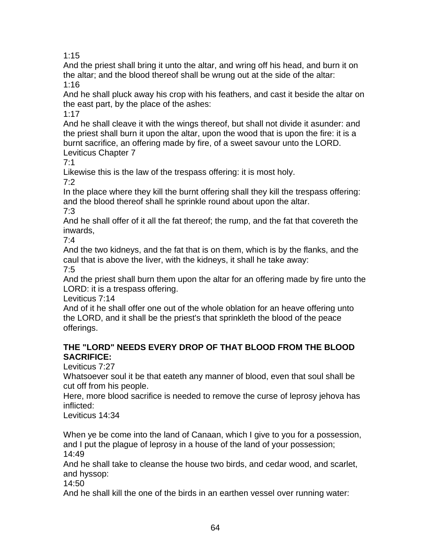And the priest shall bring it unto the altar, and wring off his head, and burn it on the altar; and the blood thereof shall be wrung out at the side of the altar: 1:16

And he shall pluck away his crop with his feathers, and cast it beside the altar on the east part, by the place of the ashes:

1:17

And he shall cleave it with the wings thereof, but shall not divide it asunder: and the priest shall burn it upon the altar, upon the wood that is upon the fire: it is a burnt sacrifice, an offering made by fire, of a sweet savour unto the LORD. Leviticus Chapter 7

7:1

Likewise this is the law of the trespass offering: it is most holy.

7:2

In the place where they kill the burnt offering shall they kill the trespass offering: and the blood thereof shall he sprinkle round about upon the altar.

7:3

And he shall offer of it all the fat thereof; the rump, and the fat that covereth the inwards,

7:4

And the two kidneys, and the fat that is on them, which is by the flanks, and the caul that is above the liver, with the kidneys, it shall he take away:

7:5

And the priest shall burn them upon the altar for an offering made by fire unto the LORD: it is a trespass offering.

Leviticus 7:14

And of it he shall offer one out of the whole oblation for an heave offering unto the LORD, and it shall be the priest's that sprinkleth the blood of the peace offerings.

## **THE "LORD" NEEDS EVERY DROP OF THAT BLOOD FROM THE BLOOD SACRIFICE:**

Leviticus 7:27

Whatsoever soul it be that eateth any manner of blood, even that soul shall be cut off from his people.

Here, more blood sacrifice is needed to remove the curse of leprosy jehova has inflicted:

Leviticus 14:34

When ye be come into the land of Canaan, which I give to you for a possession, and I put the plague of leprosy in a house of the land of your possession; 14:49

And he shall take to cleanse the house two birds, and cedar wood, and scarlet, and hyssop:

14:50

And he shall kill the one of the birds in an earthen vessel over running water: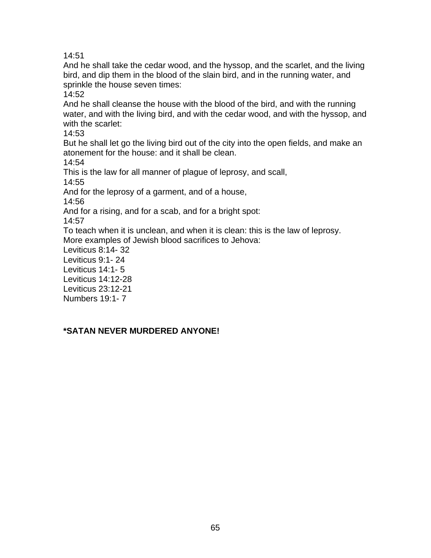And he shall take the cedar wood, and the hyssop, and the scarlet, and the living bird, and dip them in the blood of the slain bird, and in the running water, and sprinkle the house seven times:

14:52

And he shall cleanse the house with the blood of the bird, and with the running water, and with the living bird, and with the cedar wood, and with the hyssop, and with the scarlet:

14:53

But he shall let go the living bird out of the city into the open fields, and make an atonement for the house: and it shall be clean.

14:54

This is the law for all manner of plague of leprosy, and scall,

14:55

And for the leprosy of a garment, and of a house,

14:56

And for a rising, and for a scab, and for a bright spot:

14:57

To teach when it is unclean, and when it is clean: this is the law of leprosy. More examples of Jewish blood sacrifices to Jehova:

Leviticus 8:14- 32

Leviticus 9:1- 24

Leviticus 14:1- 5

Leviticus 14:12-28

Leviticus 23:12-21

Numbers 19:1- 7

## **\*SATAN NEVER MURDERED ANYONE!**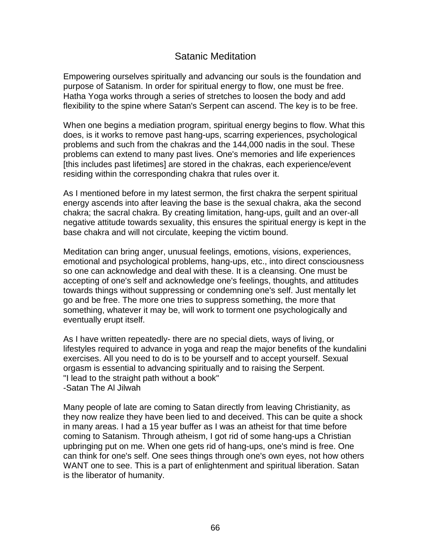## Satanic Meditation

Empowering ourselves spiritually and advancing our souls is the foundation and purpose of Satanism. In order for spiritual energy to flow, one must be free. Hatha Yoga works through a series of stretches to loosen the body and add flexibility to the spine where Satan's Serpent can ascend. The key is to be free.

When one begins a mediation program, spiritual energy begins to flow. What this does, is it works to remove past hang-ups, scarring experiences, psychological problems and such from the chakras and the 144,000 nadis in the soul. These problems can extend to many past lives. One's memories and life experiences [this includes past lifetimes] are stored in the chakras, each experience/event residing within the corresponding chakra that rules over it.

As I mentioned before in my latest sermon, the first chakra the serpent spiritual energy ascends into after leaving the base is the sexual chakra, aka the second chakra; the sacral chakra. By creating limitation, hang-ups, guilt and an over-all negative attitude towards sexuality, this ensures the spiritual energy is kept in the base chakra and will not circulate, keeping the victim bound.

Meditation can bring anger, unusual feelings, emotions, visions, experiences, emotional and psychological problems, hang-ups, etc., into direct consciousness so one can acknowledge and deal with these. It is a cleansing. One must be accepting of one's self and acknowledge one's feelings, thoughts, and attitudes towards things without suppressing or condemning one's self. Just mentally let go and be free. The more one tries to suppress something, the more that something, whatever it may be, will work to torment one psychologically and eventually erupt itself.

As I have written repeatedly- there are no special diets, ways of living, or lifestyles required to advance in yoga and reap the major benefits of the kundalini exercises. All you need to do is to be yourself and to accept yourself. Sexual orgasm is essential to advancing spiritually and to raising the Serpent. "I lead to the straight path without a book" -Satan The Al Jilwah

Many people of late are coming to Satan directly from leaving Christianity, as they now realize they have been lied to and deceived. This can be quite a shock in many areas. I had a 15 year buffer as I was an atheist for that time before coming to Satanism. Through atheism, I got rid of some hang-ups a Christian upbringing put on me. When one gets rid of hang-ups, one's mind is free. One can think for one's self. One sees things through one's own eyes, not how others WANT one to see. This is a part of enlightenment and spiritual liberation. Satan is the liberator of humanity.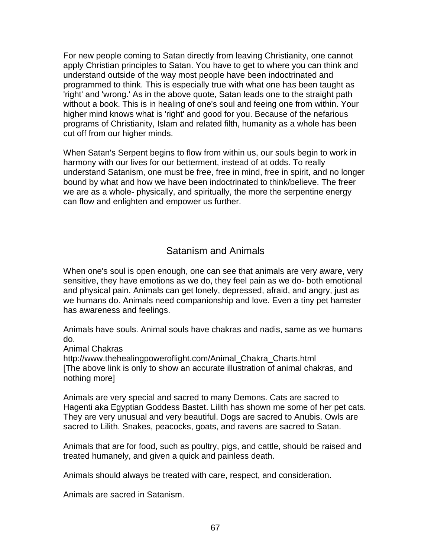For new people coming to Satan directly from leaving Christianity, one cannot apply Christian principles to Satan. You have to get to where you can think and understand outside of the way most people have been indoctrinated and programmed to think. This is especially true with what one has been taught as 'right' and 'wrong.' As in the above quote, Satan leads one to the straight path without a book. This is in healing of one's soul and feeing one from within. Your higher mind knows what is 'right' and good for you. Because of the nefarious programs of Christianity, Islam and related filth, humanity as a whole has been cut off from our higher minds.

When Satan's Serpent begins to flow from within us, our souls begin to work in harmony with our lives for our betterment, instead of at odds. To really understand Satanism, one must be free, free in mind, free in spirit, and no longer bound by what and how we have been indoctrinated to think/believe. The freer we are as a whole- physically, and spiritually, the more the serpentine energy can flow and enlighten and empower us further.

## Satanism and Animals

When one's soul is open enough, one can see that animals are very aware, very sensitive, they have emotions as we do, they feel pain as we do- both emotional and physical pain. Animals can get lonely, depressed, afraid, and angry, just as we humans do. Animals need companionship and love. Even a tiny pet hamster has awareness and feelings.

Animals have souls. Animal souls have chakras and nadis, same as we humans do.

Animal Chakras

http://www.thehealingpoweroflight.com/Animal\_Chakra\_Charts.html [The above link is only to show an accurate illustration of animal chakras, and nothing more]

Animals are very special and sacred to many Demons. Cats are sacred to Hagenti aka Egyptian Goddess Bastet. Lilith has shown me some of her pet cats. They are very unusual and very beautiful. Dogs are sacred to Anubis. Owls are sacred to Lilith. Snakes, peacocks, goats, and ravens are sacred to Satan.

Animals that are for food, such as poultry, pigs, and cattle, should be raised and treated humanely, and given a quick and painless death.

Animals should always be treated with care, respect, and consideration.

Animals are sacred in Satanism.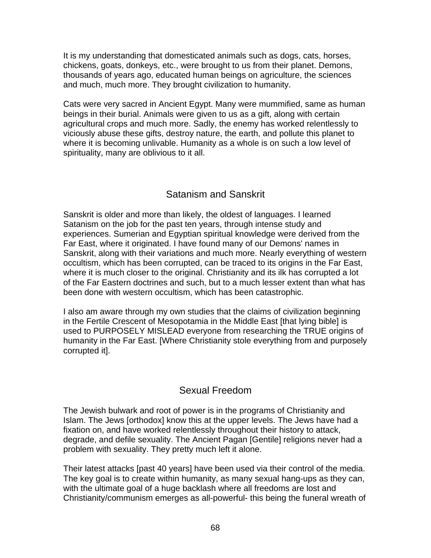It is my understanding that domesticated animals such as dogs, cats, horses, chickens, goats, donkeys, etc., were brought to us from their planet. Demons, thousands of years ago, educated human beings on agriculture, the sciences and much, much more. They brought civilization to humanity.

Cats were very sacred in Ancient Egypt. Many were mummified, same as human beings in their burial. Animals were given to us as a gift, along with certain agricultural crops and much more. Sadly, the enemy has worked relentlessly to viciously abuse these gifts, destroy nature, the earth, and pollute this planet to where it is becoming unlivable. Humanity as a whole is on such a low level of spirituality, many are oblivious to it all.

## Satanism and Sanskrit

Sanskrit is older and more than likely, the oldest of languages. I learned Satanism on the job for the past ten years, through intense study and experiences. Sumerian and Egyptian spiritual knowledge were derived from the Far East, where it originated. I have found many of our Demons' names in Sanskrit, along with their variations and much more. Nearly everything of western occultism, which has been corrupted, can be traced to its origins in the Far East, where it is much closer to the original. Christianity and its ilk has corrupted a lot of the Far Eastern doctrines and such, but to a much lesser extent than what has been done with western occultism, which has been catastrophic.

I also am aware through my own studies that the claims of civilization beginning in the Fertile Crescent of Mesopotamia in the Middle East [that lying bible] is used to PURPOSELY MISLEAD everyone from researching the TRUE origins of humanity in the Far East. [Where Christianity stole everything from and purposely corrupted it].

## Sexual Freedom

The Jewish bulwark and root of power is in the programs of Christianity and Islam. The Jews [orthodox] know this at the upper levels. The Jews have had a fixation on, and have worked relentlessly throughout their history to attack, degrade, and defile sexuality. The Ancient Pagan [Gentile] religions never had a problem with sexuality. They pretty much left it alone.

Their latest attacks [past 40 years] have been used via their control of the media. The key goal is to create within humanity, as many sexual hang-ups as they can, with the ultimate goal of a huge backlash where all freedoms are lost and Christianity/communism emerges as all-powerful- this being the funeral wreath of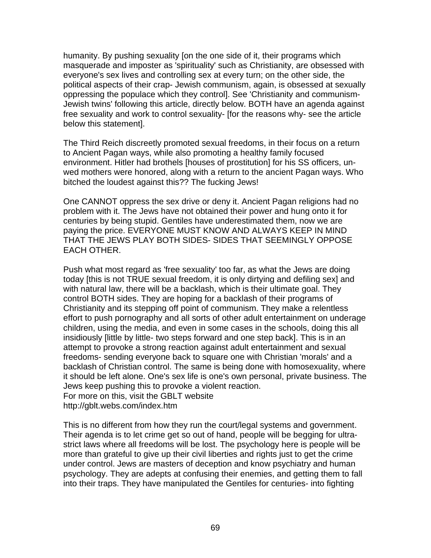humanity. By pushing sexuality [on the one side of it, their programs which masquerade and imposter as 'spirituality' such as Christianity, are obsessed with everyone's sex lives and controlling sex at every turn; on the other side, the political aspects of their crap- Jewish communism, again, is obsessed at sexually oppressing the populace which they control]. See 'Christianity and communism-Jewish twins' following this article, directly below. BOTH have an agenda against free sexuality and work to control sexuality- [for the reasons why- see the article below this statement].

The Third Reich discreetly promoted sexual freedoms, in their focus on a return to Ancient Pagan ways, while also promoting a healthy family focused environment. Hitler had brothels [houses of prostitution] for his SS officers, unwed mothers were honored, along with a return to the ancient Pagan ways. Who bitched the loudest against this?? The fucking Jews!

One CANNOT oppress the sex drive or deny it. Ancient Pagan religions had no problem with it. The Jews have not obtained their power and hung onto it for centuries by being stupid. Gentiles have underestimated them, now we are paying the price. EVERYONE MUST KNOW AND ALWAYS KEEP IN MIND THAT THE JEWS PLAY BOTH SIDES- SIDES THAT SEEMINGLY OPPOSE EACH OTHER.

Push what most regard as 'free sexuality' too far, as what the Jews are doing today [this is not TRUE sexual freedom, it is only dirtying and defiling sex] and with natural law, there will be a backlash, which is their ultimate goal. They control BOTH sides. They are hoping for a backlash of their programs of Christianity and its stepping off point of communism. They make a relentless effort to push pornography and all sorts of other adult entertainment on underage children, using the media, and even in some cases in the schools, doing this all insidiously [little by little- two steps forward and one step back]. This is in an attempt to provoke a strong reaction against adult entertainment and sexual freedoms- sending everyone back to square one with Christian 'morals' and a backlash of Christian control. The same is being done with homosexuality, where it should be left alone. One's sex life is one's own personal, private business. The Jews keep pushing this to provoke a violent reaction. For more on this, visit the GBLT website

http://gblt.webs.com/index.htm

This is no different from how they run the court/legal systems and government. Their agenda is to let crime get so out of hand, people will be begging for ultrastrict laws where all freedoms will be lost. The psychology here is people will be more than grateful to give up their civil liberties and rights just to get the crime under control. Jews are masters of deception and know psychiatry and human psychology. They are adepts at confusing their enemies, and getting them to fall into their traps. They have manipulated the Gentiles for centuries- into fighting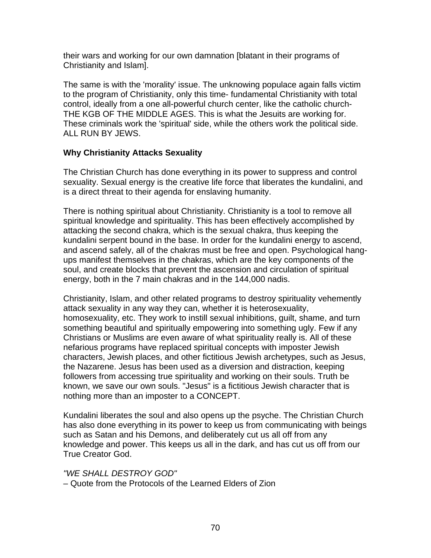their wars and working for our own damnation [blatant in their programs of Christianity and Islam].

The same is with the 'morality' issue. The unknowing populace again falls victim to the program of Christianity, only this time- fundamental Christianity with total control, ideally from a one all-powerful church center, like the catholic church-THE KGB OF THE MIDDLE AGES. This is what the Jesuits are working for. These criminals work the 'spiritual' side, while the others work the political side. ALL RUN BY JEWS.

### **Why Christianity Attacks Sexuality**

The Christian Church has done everything in its power to suppress and control sexuality. Sexual energy is the creative life force that liberates the kundalini, and is a direct threat to their agenda for enslaving humanity.

There is nothing spiritual about Christianity. Christianity is a tool to remove all spiritual knowledge and spirituality. This has been effectively accomplished by attacking the second chakra, which is the sexual chakra, thus keeping the kundalini serpent bound in the base. In order for the kundalini energy to ascend, and ascend safely, all of the chakras must be free and open. Psychological hangups manifest themselves in the chakras, which are the key components of the soul, and create blocks that prevent the ascension and circulation of spiritual energy, both in the 7 main chakras and in the 144,000 nadis.

Christianity, Islam, and other related programs to destroy spirituality vehemently attack sexuality in any way they can, whether it is heterosexuality, homosexuality, etc. They work to instill sexual inhibitions, guilt, shame, and turn something beautiful and spiritually empowering into something ugly. Few if any Christians or Muslims are even aware of what spirituality really is. All of these nefarious programs have replaced spiritual concepts with imposter Jewish characters, Jewish places, and other fictitious Jewish archetypes, such as Jesus, the Nazarene. Jesus has been used as a diversion and distraction, keeping followers from accessing true spirituality and working on their souls. Truth be known, we save our own souls. "Jesus" is a fictitious Jewish character that is nothing more than an imposter to a CONCEPT.

Kundalini liberates the soul and also opens up the psyche. The Christian Church has also done everything in its power to keep us from communicating with beings such as Satan and his Demons, and deliberately cut us all off from any knowledge and power. This keeps us all in the dark, and has cut us off from our True Creator God.

*"WE SHALL DESTROY GOD"*  – Quote from the Protocols of the Learned Elders of Zion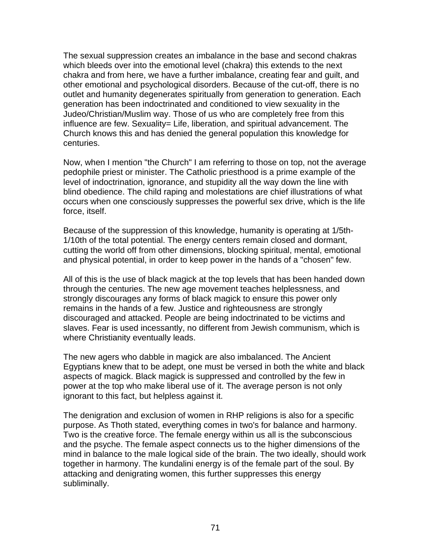The sexual suppression creates an imbalance in the base and second chakras which bleeds over into the emotional level (chakra) this extends to the next chakra and from here, we have a further imbalance, creating fear and guilt, and other emotional and psychological disorders. Because of the cut-off, there is no outlet and humanity degenerates spiritually from generation to generation. Each generation has been indoctrinated and conditioned to view sexuality in the Judeo/Christian/Muslim way. Those of us who are completely free from this influence are few. Sexuality= Life, liberation, and spiritual advancement. The Church knows this and has denied the general population this knowledge for centuries.

Now, when I mention "the Church" I am referring to those on top, not the average pedophile priest or minister. The Catholic priesthood is a prime example of the level of indoctrination, ignorance, and stupidity all the way down the line with blind obedience. The child raping and molestations are chief illustrations of what occurs when one consciously suppresses the powerful sex drive, which is the life force, itself.

Because of the suppression of this knowledge, humanity is operating at 1/5th-1/10th of the total potential. The energy centers remain closed and dormant, cutting the world off from other dimensions, blocking spiritual, mental, emotional and physical potential, in order to keep power in the hands of a "chosen" few.

All of this is the use of black magick at the top levels that has been handed down through the centuries. The new age movement teaches helplessness, and strongly discourages any forms of black magick to ensure this power only remains in the hands of a few. Justice and righteousness are strongly discouraged and attacked. People are being indoctrinated to be victims and slaves. Fear is used incessantly, no different from Jewish communism, which is where Christianity eventually leads.

The new agers who dabble in magick are also imbalanced. The Ancient Egyptians knew that to be adept, one must be versed in both the white and black aspects of magick. Black magick is suppressed and controlled by the few in power at the top who make liberal use of it. The average person is not only ignorant to this fact, but helpless against it.

The denigration and exclusion of women in RHP religions is also for a specific purpose. As Thoth stated, everything comes in two's for balance and harmony. Two is the creative force. The female energy within us all is the subconscious and the psyche. The female aspect connects us to the higher dimensions of the mind in balance to the male logical side of the brain. The two ideally, should work together in harmony. The kundalini energy is of the female part of the soul. By attacking and denigrating women, this further suppresses this energy subliminally.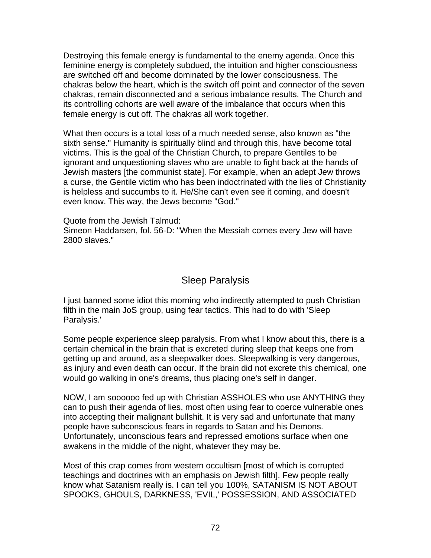Destroying this female energy is fundamental to the enemy agenda. Once this feminine energy is completely subdued, the intuition and higher consciousness are switched off and become dominated by the lower consciousness. The chakras below the heart, which is the switch off point and connector of the seven chakras, remain disconnected and a serious imbalance results. The Church and its controlling cohorts are well aware of the imbalance that occurs when this female energy is cut off. The chakras all work together.

What then occurs is a total loss of a much needed sense, also known as "the sixth sense." Humanity is spiritually blind and through this, have become total victims. This is the goal of the Christian Church, to prepare Gentiles to be ignorant and unquestioning slaves who are unable to fight back at the hands of Jewish masters [the communist state]. For example, when an adept Jew throws a curse, the Gentile victim who has been indoctrinated with the lies of Christianity is helpless and succumbs to it. He/She can't even see it coming, and doesn't even know. This way, the Jews become "God."

Quote from the Jewish Talmud:

Simeon Haddarsen, fol. 56-D: "When the Messiah comes every Jew will have 2800 slaves."

## Sleep Paralysis

I just banned some idiot this morning who indirectly attempted to push Christian filth in the main JoS group, using fear tactics. This had to do with 'Sleep Paralysis.'

Some people experience sleep paralysis. From what I know about this, there is a certain chemical in the brain that is excreted during sleep that keeps one from getting up and around, as a sleepwalker does. Sleepwalking is very dangerous, as injury and even death can occur. If the brain did not excrete this chemical, one would go walking in one's dreams, thus placing one's self in danger.

NOW, I am soooooo fed up with Christian ASSHOLES who use ANYTHING they can to push their agenda of lies, most often using fear to coerce vulnerable ones into accepting their malignant bullshit. It is very sad and unfortunate that many people have subconscious fears in regards to Satan and his Demons. Unfortunately, unconscious fears and repressed emotions surface when one awakens in the middle of the night, whatever they may be.

Most of this crap comes from western occultism [most of which is corrupted teachings and doctrines with an emphasis on Jewish filth]. Few people really know what Satanism really is. I can tell you 100%, SATANISM IS NOT ABOUT SPOOKS, GHOULS, DARKNESS, 'EVIL,' POSSESSION, AND ASSOCIATED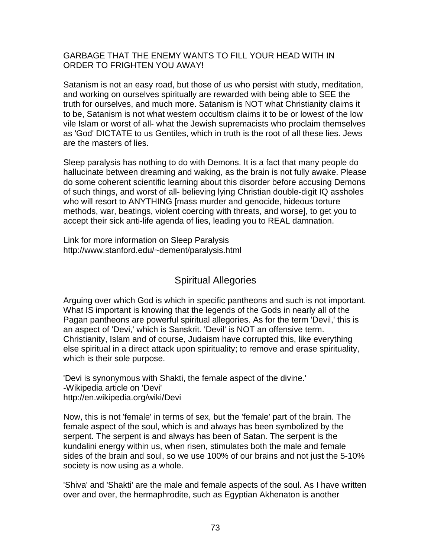### GARBAGE THAT THE ENEMY WANTS TO FILL YOUR HEAD WITH IN ORDER TO FRIGHTEN YOU AWAY!

Satanism is not an easy road, but those of us who persist with study, meditation, and working on ourselves spiritually are rewarded with being able to SEE the truth for ourselves, and much more. Satanism is NOT what Christianity claims it to be, Satanism is not what western occultism claims it to be or lowest of the low vile Islam or worst of all- what the Jewish supremacists who proclaim themselves as 'God' DICTATE to us Gentiles, which in truth is the root of all these lies. Jews are the masters of lies.

Sleep paralysis has nothing to do with Demons. It is a fact that many people do hallucinate between dreaming and waking, as the brain is not fully awake. Please do some coherent scientific learning about this disorder before accusing Demons of such things, and worst of all- believing lying Christian double-digit IQ assholes who will resort to ANYTHING [mass murder and genocide, hideous torture methods, war, beatings, violent coercing with threats, and worse], to get you to accept their sick anti-life agenda of lies, leading you to REAL damnation.

Link for more information on Sleep Paralysis http://www.stanford.edu/~dement/paralysis.html

# Spiritual Allegories

Arguing over which God is which in specific pantheons and such is not important. What IS important is knowing that the legends of the Gods in nearly all of the Pagan pantheons are powerful spiritual allegories. As for the term 'Devil,' this is an aspect of 'Devi,' which is Sanskrit. 'Devil' is NOT an offensive term. Christianity, Islam and of course, Judaism have corrupted this, like everything else spiritual in a direct attack upon spirituality; to remove and erase spirituality, which is their sole purpose.

'Devi is synonymous with Shakti, the female aspect of the divine.' -Wikipedia article on 'Devi' http://en.wikipedia.org/wiki/Devi

Now, this is not 'female' in terms of sex, but the 'female' part of the brain. The female aspect of the soul, which is and always has been symbolized by the serpent. The serpent is and always has been of Satan. The serpent is the kundalini energy within us, when risen, stimulates both the male and female sides of the brain and soul, so we use 100% of our brains and not just the 5-10% society is now using as a whole.

'Shiva' and 'Shakti' are the male and female aspects of the soul. As I have written over and over, the hermaphrodite, such as Egyptian Akhenaton is another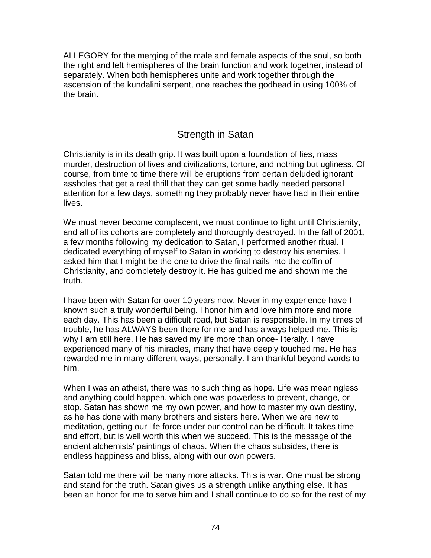ALLEGORY for the merging of the male and female aspects of the soul, so both the right and left hemispheres of the brain function and work together, instead of separately. When both hemispheres unite and work together through the ascension of the kundalini serpent, one reaches the godhead in using 100% of the brain.

# Strength in Satan

Christianity is in its death grip. It was built upon a foundation of lies, mass murder, destruction of lives and civilizations, torture, and nothing but ugliness. Of course, from time to time there will be eruptions from certain deluded ignorant assholes that get a real thrill that they can get some badly needed personal attention for a few days, something they probably never have had in their entire lives.

We must never become complacent, we must continue to fight until Christianity, and all of its cohorts are completely and thoroughly destroyed. In the fall of 2001, a few months following my dedication to Satan, I performed another ritual. I dedicated everything of myself to Satan in working to destroy his enemies. I asked him that I might be the one to drive the final nails into the coffin of Christianity, and completely destroy it. He has guided me and shown me the truth.

I have been with Satan for over 10 years now. Never in my experience have I known such a truly wonderful being. I honor him and love him more and more each day. This has been a difficult road, but Satan is responsible. In my times of trouble, he has ALWAYS been there for me and has always helped me. This is why I am still here. He has saved my life more than once- literally. I have experienced many of his miracles, many that have deeply touched me. He has rewarded me in many different ways, personally. I am thankful beyond words to him.

When I was an atheist, there was no such thing as hope. Life was meaningless and anything could happen, which one was powerless to prevent, change, or stop. Satan has shown me my own power, and how to master my own destiny, as he has done with many brothers and sisters here. When we are new to meditation, getting our life force under our control can be difficult. It takes time and effort, but is well worth this when we succeed. This is the message of the ancient alchemists' paintings of chaos. When the chaos subsides, there is endless happiness and bliss, along with our own powers.

Satan told me there will be many more attacks. This is war. One must be strong and stand for the truth. Satan gives us a strength unlike anything else. It has been an honor for me to serve him and I shall continue to do so for the rest of my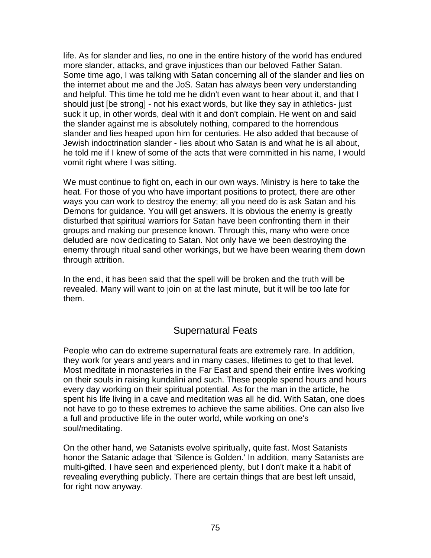life. As for slander and lies, no one in the entire history of the world has endured more slander, attacks, and grave injustices than our beloved Father Satan. Some time ago, I was talking with Satan concerning all of the slander and lies on the internet about me and the JoS. Satan has always been very understanding and helpful. This time he told me he didn't even want to hear about it, and that I should just [be strong] - not his exact words, but like they say in athletics- just suck it up, in other words, deal with it and don't complain. He went on and said the slander against me is absolutely nothing, compared to the horrendous slander and lies heaped upon him for centuries. He also added that because of Jewish indoctrination slander - lies about who Satan is and what he is all about, he told me if I knew of some of the acts that were committed in his name, I would vomit right where I was sitting.

We must continue to fight on, each in our own ways. Ministry is here to take the heat. For those of you who have important positions to protect, there are other ways you can work to destroy the enemy; all you need do is ask Satan and his Demons for guidance. You will get answers. It is obvious the enemy is greatly disturbed that spiritual warriors for Satan have been confronting them in their groups and making our presence known. Through this, many who were once deluded are now dedicating to Satan. Not only have we been destroying the enemy through ritual sand other workings, but we have been wearing them down through attrition.

In the end, it has been said that the spell will be broken and the truth will be revealed. Many will want to join on at the last minute, but it will be too late for them.

# Supernatural Feats

People who can do extreme supernatural feats are extremely rare. In addition, they work for years and years and in many cases, lifetimes to get to that level. Most meditate in monasteries in the Far East and spend their entire lives working on their souls in raising kundalini and such. These people spend hours and hours every day working on their spiritual potential. As for the man in the article, he spent his life living in a cave and meditation was all he did. With Satan, one does not have to go to these extremes to achieve the same abilities. One can also live a full and productive life in the outer world, while working on one's soul/meditating.

On the other hand, we Satanists evolve spiritually, quite fast. Most Satanists honor the Satanic adage that 'Silence is Golden.' In addition, many Satanists are multi-gifted. I have seen and experienced plenty, but I don't make it a habit of revealing everything publicly. There are certain things that are best left unsaid, for right now anyway.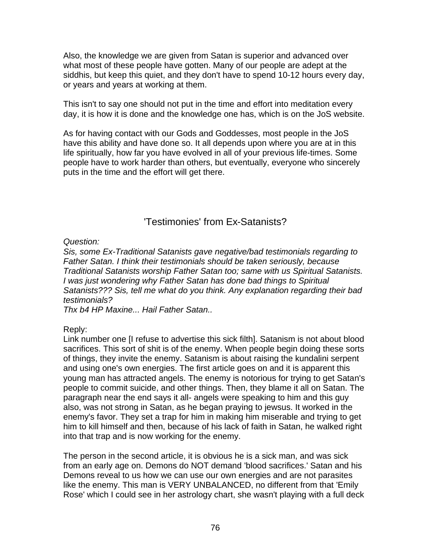Also, the knowledge we are given from Satan is superior and advanced over what most of these people have gotten. Many of our people are adept at the siddhis, but keep this quiet, and they don't have to spend 10-12 hours every day, or years and years at working at them.

This isn't to say one should not put in the time and effort into meditation every day, it is how it is done and the knowledge one has, which is on the JoS website.

As for having contact with our Gods and Goddesses, most people in the JoS have this ability and have done so. It all depends upon where you are at in this life spiritually, how far you have evolved in all of your previous life-times. Some people have to work harder than others, but eventually, everyone who sincerely puts in the time and the effort will get there.

'Testimonies' from Ex-Satanists?

#### *Question:*

*Sis, some Ex-Traditional Satanists gave negative/bad testimonials regarding to Father Satan. I think their testimonials should be taken seriously, because Traditional Satanists worship Father Satan too; same with us Spiritual Satanists. I was just wondering why Father Satan has done bad things to Spiritual Satanists??? Sis, tell me what do you think. Any explanation regarding their bad testimonials?* 

*Thx b4 HP Maxine... Hail Father Satan..*

Reply:

Link number one [I refuse to advertise this sick filth]. Satanism is not about blood sacrifices. This sort of shit is of the enemy. When people begin doing these sorts of things, they invite the enemy. Satanism is about raising the kundalini serpent and using one's own energies. The first article goes on and it is apparent this young man has attracted angels. The enemy is notorious for trying to get Satan's people to commit suicide, and other things. Then, they blame it all on Satan. The paragraph near the end says it all- angels were speaking to him and this guy also, was not strong in Satan, as he began praying to jewsus. It worked in the enemy's favor. They set a trap for him in making him miserable and trying to get him to kill himself and then, because of his lack of faith in Satan, he walked right into that trap and is now working for the enemy.

The person in the second article, it is obvious he is a sick man, and was sick from an early age on. Demons do NOT demand 'blood sacrifices.' Satan and his Demons reveal to us how we can use our own energies and are not parasites like the enemy. This man is VERY UNBALANCED, no different from that 'Emily Rose' which I could see in her astrology chart, she wasn't playing with a full deck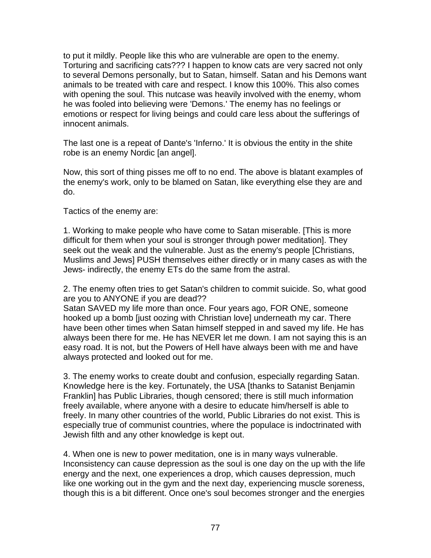to put it mildly. People like this who are vulnerable are open to the enemy. Torturing and sacrificing cats??? I happen to know cats are very sacred not only to several Demons personally, but to Satan, himself. Satan and his Demons want animals to be treated with care and respect. I know this 100%. This also comes with opening the soul. This nutcase was heavily involved with the enemy, whom he was fooled into believing were 'Demons.' The enemy has no feelings or emotions or respect for living beings and could care less about the sufferings of innocent animals.

The last one is a repeat of Dante's 'Inferno.' It is obvious the entity in the shite robe is an enemy Nordic [an angel].

Now, this sort of thing pisses me off to no end. The above is blatant examples of the enemy's work, only to be blamed on Satan, like everything else they are and do.

Tactics of the enemy are:

1. Working to make people who have come to Satan miserable. [This is more difficult for them when your soul is stronger through power meditation]. They seek out the weak and the vulnerable. Just as the enemy's people [Christians, Muslims and Jews] PUSH themselves either directly or in many cases as with the Jews- indirectly, the enemy ETs do the same from the astral.

2. The enemy often tries to get Satan's children to commit suicide. So, what good are you to ANYONE if you are dead??

Satan SAVED my life more than once. Four years ago, FOR ONE, someone hooked up a bomb [just oozing with Christian love] underneath my car. There have been other times when Satan himself stepped in and saved my life. He has always been there for me. He has NEVER let me down. I am not saying this is an easy road. It is not, but the Powers of Hell have always been with me and have always protected and looked out for me.

3. The enemy works to create doubt and confusion, especially regarding Satan. Knowledge here is the key. Fortunately, the USA [thanks to Satanist Benjamin Franklin] has Public Libraries, though censored; there is still much information freely available, where anyone with a desire to educate him/herself is able to freely. In many other countries of the world, Public Libraries do not exist. This is especially true of communist countries, where the populace is indoctrinated with Jewish filth and any other knowledge is kept out.

4. When one is new to power meditation, one is in many ways vulnerable. Inconsistency can cause depression as the soul is one day on the up with the life energy and the next, one experiences a drop, which causes depression, much like one working out in the gym and the next day, experiencing muscle soreness, though this is a bit different. Once one's soul becomes stronger and the energies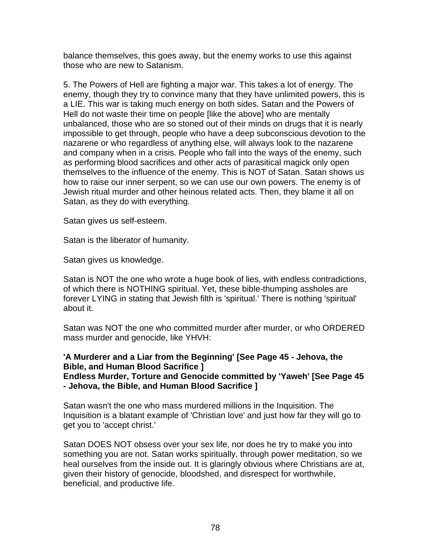balance themselves, this goes away, but the enemy works to use this against those who are new to Satanism.

5. The Powers of Hell are fighting a major war. This takes a lot of energy. The enemy, though they try to convince many that they have unlimited powers, this is a LIE. This war is taking much energy on both sides. Satan and the Powers of Hell do not waste their time on people [like the above] who are mentally unbalanced, those who are so stoned out of their minds on drugs that it is nearly impossible to get through, people who have a deep subconscious devotion to the nazarene or who regardless of anything else, will always look to the nazarene and company when in a crisis. People who fall into the ways of the enemy, such as performing blood sacrifices and other acts of parasitical magick only open themselves to the influence of the enemy. This is NOT of Satan. Satan shows us how to raise our inner serpent, so we can use our own powers. The enemy is of Jewish ritual murder and other heinous related acts. Then, they blame it all on Satan, as they do with everything.

Satan gives us self-esteem.

Satan is the liberator of humanity.

Satan gives us knowledge.

Satan is NOT the one who wrote a huge book of lies, with endless contradictions, of which there is NOTHING spiritual. Yet, these bible-thumping assholes are forever LYING in stating that Jewish filth is 'spiritual.' There is nothing 'spiritual' about it.

Satan was NOT the one who committed murder after murder, or who ORDERED mass murder and genocide, like YHVH:

#### **'A Murderer and a Liar from the Beginning' [See Page 45 - Jehova, the Bible, and Human Blood Sacrifice ] Endless Murder, Torture and Genocide committed by 'Yaweh' [See Page 45 - Jehova, the Bible, and Human Blood Sacrifice ]**

Satan wasn't the one who mass murdered millions in the Inquisition. The Inquisition is a blatant example of 'Christian love' and just how far they will go to get you to 'accept christ.'

Satan DOES NOT obsess over your sex life, nor does he try to make you into something you are not. Satan works spiritually, through power meditation, so we heal ourselves from the inside out. It is glaringly obvious where Christians are at, given their history of genocide, bloodshed, and disrespect for worthwhile, beneficial, and productive life.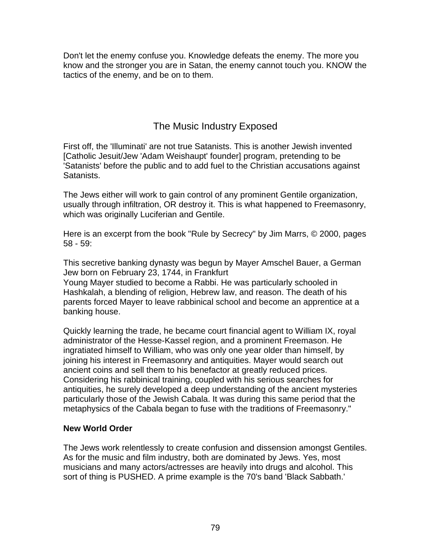Don't let the enemy confuse you. Knowledge defeats the enemy. The more you know and the stronger you are in Satan, the enemy cannot touch you. KNOW the tactics of the enemy, and be on to them.

# The Music Industry Exposed

First off, the 'Illuminati' are not true Satanists. This is another Jewish invented [Catholic Jesuit/Jew 'Adam Weishaupt' founder] program, pretending to be 'Satanists' before the public and to add fuel to the Christian accusations against Satanists.

The Jews either will work to gain control of any prominent Gentile organization, usually through infiltration, OR destroy it. This is what happened to Freemasonry, which was originally Luciferian and Gentile.

Here is an excerpt from the book "Rule by Secrecy" by Jim Marrs, © 2000, pages 58 - 59:

This secretive banking dynasty was begun by Mayer Amschel Bauer, a German Jew born on February 23, 1744, in Frankfurt

Young Mayer studied to become a Rabbi. He was particularly schooled in Hashkalah, a blending of religion, Hebrew law, and reason. The death of his parents forced Mayer to leave rabbinical school and become an apprentice at a banking house.

Quickly learning the trade, he became court financial agent to William IX, royal administrator of the Hesse-Kassel region, and a prominent Freemason. He ingratiated himself to William, who was only one year older than himself, by joining his interest in Freemasonry and antiquities. Mayer would search out ancient coins and sell them to his benefactor at greatly reduced prices. Considering his rabbinical training, coupled with his serious searches for antiquities, he surely developed a deep understanding of the ancient mysteries particularly those of the Jewish Cabala. It was during this same period that the metaphysics of the Cabala began to fuse with the traditions of Freemasonry."

### **New World Order**

The Jews work relentlessly to create confusion and dissension amongst Gentiles. As for the music and film industry, both are dominated by Jews. Yes, most musicians and many actors/actresses are heavily into drugs and alcohol. This sort of thing is PUSHED. A prime example is the 70's band 'Black Sabbath.'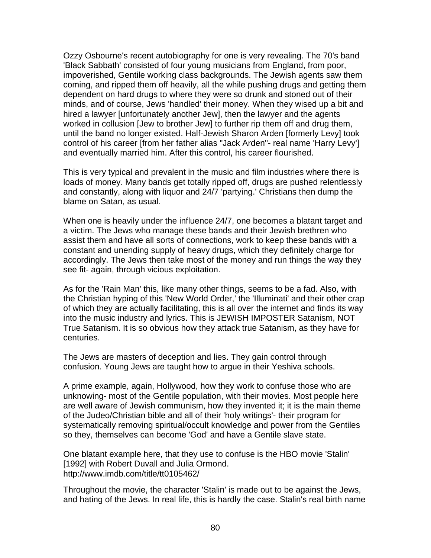Ozzy Osbourne's recent autobiography for one is very revealing. The 70's band 'Black Sabbath' consisted of four young musicians from England, from poor, impoverished, Gentile working class backgrounds. The Jewish agents saw them coming, and ripped them off heavily, all the while pushing drugs and getting them dependent on hard drugs to where they were so drunk and stoned out of their minds, and of course, Jews 'handled' their money. When they wised up a bit and hired a lawyer [unfortunately another Jew], then the lawyer and the agents worked in collusion [Jew to brother Jew] to further rip them off and drug them, until the band no longer existed. Half-Jewish Sharon Arden [formerly Levy] took control of his career [from her father alias "Jack Arden"- real name 'Harry Levy'] and eventually married him. After this control, his career flourished.

This is very typical and prevalent in the music and film industries where there is loads of money. Many bands get totally ripped off, drugs are pushed relentlessly and constantly, along with liquor and 24/7 'partying.' Christians then dump the blame on Satan, as usual.

When one is heavily under the influence 24/7, one becomes a blatant target and a victim. The Jews who manage these bands and their Jewish brethren who assist them and have all sorts of connections, work to keep these bands with a constant and unending supply of heavy drugs, which they definitely charge for accordingly. The Jews then take most of the money and run things the way they see fit- again, through vicious exploitation.

As for the 'Rain Man' this, like many other things, seems to be a fad. Also, with the Christian hyping of this 'New World Order,' the 'Illuminati' and their other crap of which they are actually facilitating, this is all over the internet and finds its way into the music industry and lyrics. This is JEWISH IMPOSTER Satanism, NOT True Satanism. It is so obvious how they attack true Satanism, as they have for centuries.

The Jews are masters of deception and lies. They gain control through confusion. Young Jews are taught how to argue in their Yeshiva schools.

A prime example, again, Hollywood, how they work to confuse those who are unknowing- most of the Gentile population, with their movies. Most people here are well aware of Jewish communism, how they invented it; it is the main theme of the Judeo/Christian bible and all of their 'holy writings'- their program for systematically removing spiritual/occult knowledge and power from the Gentiles so they, themselves can become 'God' and have a Gentile slave state.

One blatant example here, that they use to confuse is the HBO movie 'Stalin' [1992] with Robert Duvall and Julia Ormond. http://www.imdb.com/title/tt0105462/

Throughout the movie, the character 'Stalin' is made out to be against the Jews, and hating of the Jews. In real life, this is hardly the case. Stalin's real birth name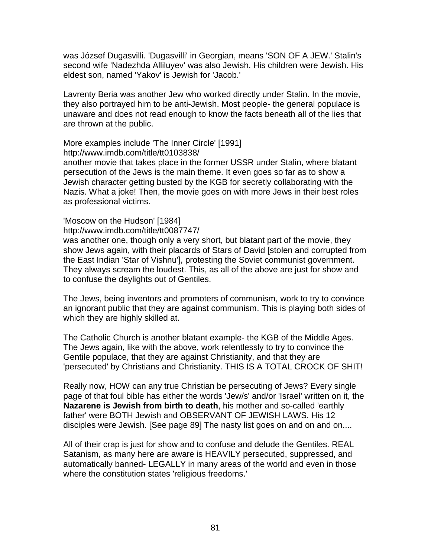was József Dugasvilli. 'Dugasvilli' in Georgian, means 'SON OF A JEW.' Stalin's second wife 'Nadezhda Alliluyev' was also Jewish. His children were Jewish. His eldest son, named 'Yakov' is Jewish for 'Jacob.'

Lavrenty Beria was another Jew who worked directly under Stalin. In the movie, they also portrayed him to be anti-Jewish. Most people- the general populace is unaware and does not read enough to know the facts beneath all of the lies that are thrown at the public.

### More examples include 'The Inner Circle' [1991]

http://www.imdb.com/title/tt0103838/

another movie that takes place in the former USSR under Stalin, where blatant persecution of the Jews is the main theme. It even goes so far as to show a Jewish character getting busted by the KGB for secretly collaborating with the Nazis. What a joke! Then, the movie goes on with more Jews in their best roles as professional victims.

### 'Moscow on the Hudson' [1984]

http://www.imdb.com/title/tt0087747/

was another one, though only a very short, but blatant part of the movie, they show Jews again, with their placards of Stars of David [stolen and corrupted from the East Indian 'Star of Vishnu'], protesting the Soviet communist government. They always scream the loudest. This, as all of the above are just for show and to confuse the daylights out of Gentiles.

The Jews, being inventors and promoters of communism, work to try to convince an ignorant public that they are against communism. This is playing both sides of which they are highly skilled at.

The Catholic Church is another blatant example- the KGB of the Middle Ages. The Jews again, like with the above, work relentlessly to try to convince the Gentile populace, that they are against Christianity, and that they are 'persecuted' by Christians and Christianity. THIS IS A TOTAL CROCK OF SHIT!

Really now, HOW can any true Christian be persecuting of Jews? Every single page of that foul bible has either the words 'Jew/s' and/or 'Israel' written on it, the **Nazarene is Jewish from birth to death**, his mother and so-called 'earthly father' were BOTH Jewish and OBSERVANT OF JEWISH LAWS. His 12 disciples were Jewish. [See page 89] The nasty list goes on and on and on....

All of their crap is just for show and to confuse and delude the Gentiles. REAL Satanism, as many here are aware is HEAVILY persecuted, suppressed, and automatically banned- LEGALLY in many areas of the world and even in those where the constitution states 'religious freedoms.'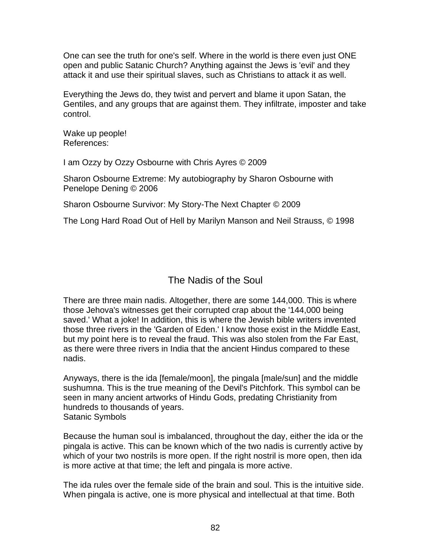One can see the truth for one's self. Where in the world is there even just ONE open and public Satanic Church? Anything against the Jews is 'evil' and they attack it and use their spiritual slaves, such as Christians to attack it as well.

Everything the Jews do, they twist and pervert and blame it upon Satan, the Gentiles, and any groups that are against them. They infiltrate, imposter and take control.

Wake up people! References:

I am Ozzy by Ozzy Osbourne with Chris Ayres © 2009

Sharon Osbourne Extreme: My autobiography by Sharon Osbourne with Penelope Dening © 2006

Sharon Osbourne Survivor: My Story-The Next Chapter © 2009

The Long Hard Road Out of Hell by Marilyn Manson and Neil Strauss, © 1998

# The Nadis of the Soul

There are three main nadis. Altogether, there are some 144,000. This is where those Jehova's witnesses get their corrupted crap about the '144,000 being saved.' What a joke! In addition, this is where the Jewish bible writers invented those three rivers in the 'Garden of Eden.' I know those exist in the Middle East, but my point here is to reveal the fraud. This was also stolen from the Far East, as there were three rivers in India that the ancient Hindus compared to these nadis.

Anyways, there is the ida [female/moon], the pingala [male/sun] and the middle sushumna. This is the true meaning of the Devil's Pitchfork. This symbol can be seen in many ancient artworks of Hindu Gods, predating Christianity from hundreds to thousands of years. Satanic Symbols

Because the human soul is imbalanced, throughout the day, either the ida or the pingala is active. This can be known which of the two nadis is currently active by which of your two nostrils is more open. If the right nostril is more open, then ida is more active at that time; the left and pingala is more active.

The ida rules over the female side of the brain and soul. This is the intuitive side. When pingala is active, one is more physical and intellectual at that time. Both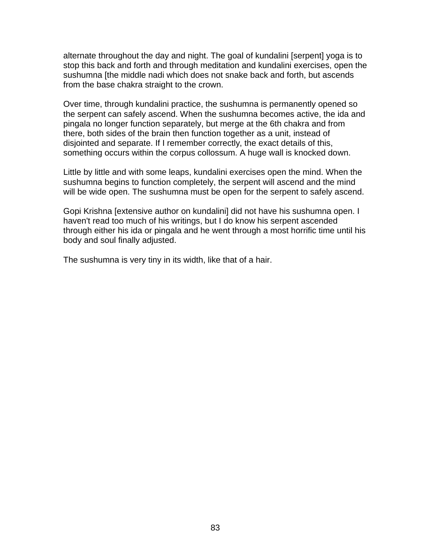alternate throughout the day and night. The goal of kundalini [serpent] yoga is to stop this back and forth and through meditation and kundalini exercises, open the sushumna [the middle nadi which does not snake back and forth, but ascends from the base chakra straight to the crown.

Over time, through kundalini practice, the sushumna is permanently opened so the serpent can safely ascend. When the sushumna becomes active, the ida and pingala no longer function separately, but merge at the 6th chakra and from there, both sides of the brain then function together as a unit, instead of disjointed and separate. If I remember correctly, the exact details of this, something occurs within the corpus collossum. A huge wall is knocked down.

Little by little and with some leaps, kundalini exercises open the mind. When the sushumna begins to function completely, the serpent will ascend and the mind will be wide open. The sushumna must be open for the serpent to safely ascend.

Gopi Krishna [extensive author on kundalini] did not have his sushumna open. I haven't read too much of his writings, but I do know his serpent ascended through either his ida or pingala and he went through a most horrific time until his body and soul finally adjusted.

The sushumna is very tiny in its width, like that of a hair.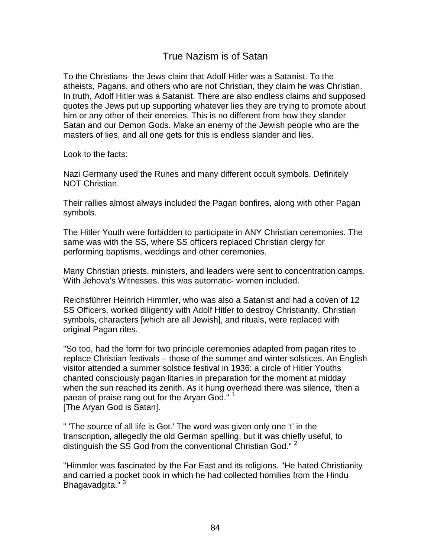## True Nazism is of Satan

To the Christians- the Jews claim that Adolf Hitler was a Satanist. To the atheists, Pagans, and others who are not Christian, they claim he was Christian. In truth, Adolf Hitler was a Satanist. There are also endless claims and supposed quotes the Jews put up supporting whatever lies they are trying to promote about him or any other of their enemies. This is no different from how they slander Satan and our Demon Gods. Make an enemy of the Jewish people who are the masters of lies, and all one gets for this is endless slander and lies.

Look to the facts:

Nazi Germany used the Runes and many different occult symbols. Definitely NOT Christian.

Their rallies almost always included the Pagan bonfires, along with other Pagan symbols.

The Hitler Youth were forbidden to participate in ANY Christian ceremonies. The same was with the SS, where SS officers replaced Christian clergy for performing baptisms, weddings and other ceremonies.

Many Christian priests, ministers, and leaders were sent to concentration camps. With Jehova's Witnesses, this was automatic- women included.

Reichsführer Heinrich Himmler, who was also a Satanist and had a coven of 12 SS Officers, worked diligently with Adolf Hitler to destroy Christianity. Christian symbols, characters [which are all Jewish], and rituals, were replaced with original Pagan rites.

"So too, had the form for two principle ceremonies adapted from pagan rites to replace Christian festivals – those of the summer and winter solstices. An English visitor attended a summer solstice festival in 1936: a circle of Hitler Youths chanted consciously pagan litanies in preparation for the moment at midday when the sun reached its zenith. As it hung overhead there was silence, 'then a paean of praise rang out for the Aryan God." <sup>1</sup> [The Aryan God is Satan].

" 'The source of all life is Got.' The word was given only one 't' in the transcription, allegedly the old German spelling, but it was chiefly useful, to distinguish the SS God from the conventional Christian God." <sup>2</sup>

"Himmler was fascinated by the Far East and its religions. "He hated Christianity and carried a pocket book in which he had collected homilies from the Hindu Bhagavadgita." 3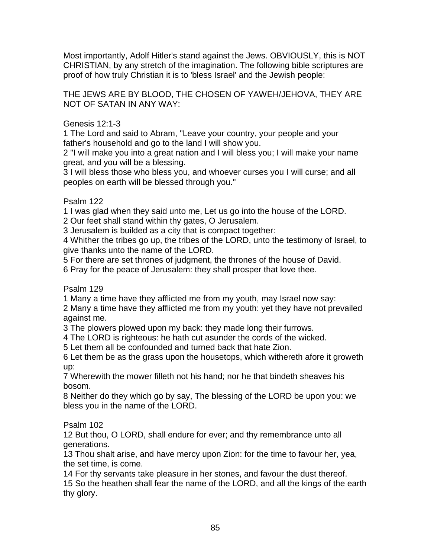Most importantly, Adolf Hitler's stand against the Jews. OBVIOUSLY, this is NOT CHRISTIAN, by any stretch of the imagination. The following bible scriptures are proof of how truly Christian it is to 'bless Israel' and the Jewish people:

THE JEWS ARE BY BLOOD, THE CHOSEN OF YAWEH/JEHOVA, THEY ARE NOT OF SATAN IN ANY WAY:

Genesis 12:1-3

1 The Lord and said to Abram, "Leave your country, your people and your father's household and go to the land I will show you.

2 "I will make you into a great nation and I will bless you; I will make your name great, and you will be a blessing.

3 I will bless those who bless you, and whoever curses you I will curse; and all peoples on earth will be blessed through you."

## Psalm 122

1 I was glad when they said unto me, Let us go into the house of the LORD.

2 Our feet shall stand within thy gates, O Jerusalem.

3 Jerusalem is builded as a city that is compact together:

4 Whither the tribes go up, the tribes of the LORD, unto the testimony of Israel, to give thanks unto the name of the LORD.

5 For there are set thrones of judgment, the thrones of the house of David.

6 Pray for the peace of Jerusalem: they shall prosper that love thee.

Psalm 129

1 Many a time have they afflicted me from my youth, may Israel now say:

2 Many a time have they afflicted me from my youth: yet they have not prevailed against me.

3 The plowers plowed upon my back: they made long their furrows.

4 The LORD is righteous: he hath cut asunder the cords of the wicked.

5 Let them all be confounded and turned back that hate Zion.

6 Let them be as the grass upon the housetops, which withereth afore it groweth up:

7 Wherewith the mower filleth not his hand; nor he that bindeth sheaves his bosom.

8 Neither do they which go by say, The blessing of the LORD be upon you: we bless you in the name of the LORD.

Psalm 102

12 But thou, O LORD, shall endure for ever; and thy remembrance unto all generations.

13 Thou shalt arise, and have mercy upon Zion: for the time to favour her, yea, the set time, is come.

14 For thy servants take pleasure in her stones, and favour the dust thereof. 15 So the heathen shall fear the name of the LORD, and all the kings of the earth

thy glory.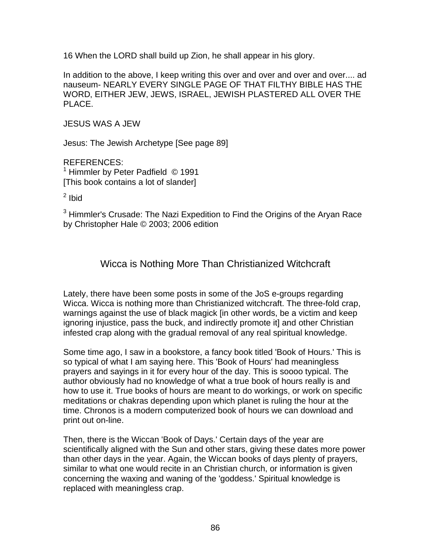16 When the LORD shall build up Zion, he shall appear in his glory.

In addition to the above, I keep writing this over and over and over and over.... ad nauseum- NEARLY EVERY SINGLE PAGE OF THAT FILTHY BIBLE HAS THE WORD, EITHER JEW, JEWS, ISRAEL, JEWISH PLASTERED ALL OVER THE PLACE.

JESUS WAS A JEW

Jesus: The Jewish Archetype [See page 89]

REFERENCES:  $1$  Himmler by Peter Padfield  $\odot$  1991 [This book contains a lot of slander]

 $2$  Ibid

 $3$  Himmler's Crusade: The Nazi Expedition to Find the Origins of the Aryan Race by Christopher Hale © 2003; 2006 edition

Wicca is Nothing More Than Christianized Witchcraft

Lately, there have been some posts in some of the JoS e-groups regarding Wicca. Wicca is nothing more than Christianized witchcraft. The three-fold crap, warnings against the use of black magick [in other words, be a victim and keep ignoring injustice, pass the buck, and indirectly promote it] and other Christian infested crap along with the gradual removal of any real spiritual knowledge.

Some time ago, I saw in a bookstore, a fancy book titled 'Book of Hours.' This is so typical of what I am saying here. This 'Book of Hours' had meaningless prayers and sayings in it for every hour of the day. This is soooo typical. The author obviously had no knowledge of what a true book of hours really is and how to use it. True books of hours are meant to do workings, or work on specific meditations or chakras depending upon which planet is ruling the hour at the time. Chronos is a modern computerized book of hours we can download and print out on-line.

Then, there is the Wiccan 'Book of Days.' Certain days of the year are scientifically aligned with the Sun and other stars, giving these dates more power than other days in the year. Again, the Wiccan books of days plenty of prayers, similar to what one would recite in an Christian church, or information is given concerning the waxing and waning of the 'goddess.' Spiritual knowledge is replaced with meaningless crap.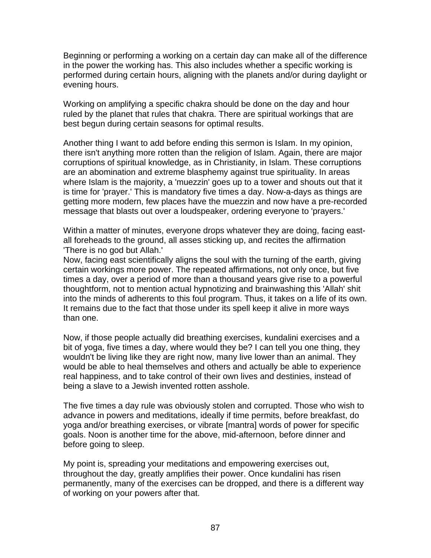Beginning or performing a working on a certain day can make all of the difference in the power the working has. This also includes whether a specific working is performed during certain hours, aligning with the planets and/or during daylight or evening hours.

Working on amplifying a specific chakra should be done on the day and hour ruled by the planet that rules that chakra. There are spiritual workings that are best begun during certain seasons for optimal results.

Another thing I want to add before ending this sermon is Islam. In my opinion, there isn't anything more rotten than the religion of Islam. Again, there are major corruptions of spiritual knowledge, as in Christianity, in Islam. These corruptions are an abomination and extreme blasphemy against true spirituality. In areas where Islam is the majority, a 'muezzin' goes up to a tower and shouts out that it is time for 'prayer.' This is mandatory five times a day. Now-a-days as things are getting more modern, few places have the muezzin and now have a pre-recorded message that blasts out over a loudspeaker, ordering everyone to 'prayers.'

Within a matter of minutes, everyone drops whatever they are doing, facing eastall foreheads to the ground, all asses sticking up, and recites the affirmation 'There is no god but Allah.'

Now, facing east scientifically aligns the soul with the turning of the earth, giving certain workings more power. The repeated affirmations, not only once, but five times a day, over a period of more than a thousand years give rise to a powerful thoughtform, not to mention actual hypnotizing and brainwashing this 'Allah' shit into the minds of adherents to this foul program. Thus, it takes on a life of its own. It remains due to the fact that those under its spell keep it alive in more ways than one.

Now, if those people actually did breathing exercises, kundalini exercises and a bit of yoga, five times a day, where would they be? I can tell you one thing, they wouldn't be living like they are right now, many live lower than an animal. They would be able to heal themselves and others and actually be able to experience real happiness, and to take control of their own lives and destinies, instead of being a slave to a Jewish invented rotten asshole.

The five times a day rule was obviously stolen and corrupted. Those who wish to advance in powers and meditations, ideally if time permits, before breakfast, do yoga and/or breathing exercises, or vibrate [mantra] words of power for specific goals. Noon is another time for the above, mid-afternoon, before dinner and before going to sleep.

My point is, spreading your meditations and empowering exercises out, throughout the day, greatly amplifies their power. Once kundalini has risen permanently, many of the exercises can be dropped, and there is a different way of working on your powers after that.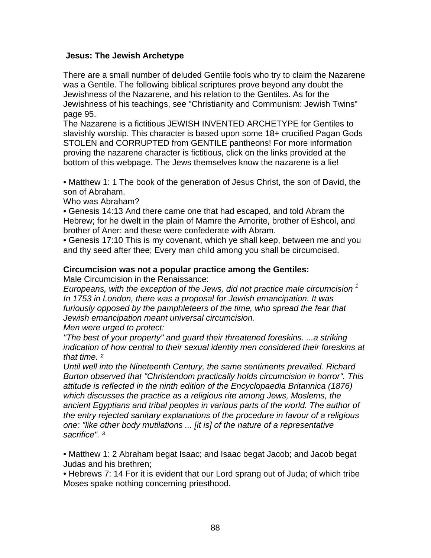#### **Jesus: The Jewish Archetype**

There are a small number of deluded Gentile fools who try to claim the Nazarene was a Gentile. The following biblical scriptures prove beyond any doubt the Jewishness of the Nazarene, and his relation to the Gentiles. As for the Jewishness of his teachings, see "Christianity and Communism: Jewish Twins" page 95.

The Nazarene is a fictitious JEWISH INVENTED ARCHETYPE for Gentiles to slavishly worship. This character is based upon some 18+ crucified Pagan Gods STOLEN and CORRUPTED from GENTILE pantheons! For more information proving the nazarene character is fictitious, click on the links provided at the bottom of this webpage. The Jews themselves know the nazarene is a lie!

• Matthew 1: 1 The book of the generation of Jesus Christ, the son of David, the son of Abraham.

Who was Abraham?

• Genesis 14:13 And there came one that had escaped, and told Abram the Hebrew; for he dwelt in the plain of Mamre the Amorite, brother of Eshcol, and brother of Aner: and these were confederate with Abram.

• Genesis 17:10 This is my covenant, which ye shall keep, between me and you and thy seed after thee; Every man child among you shall be circumcised.

#### **Circumcision was not a popular practice among the Gentiles:**

Male Circumcision in the Renaissance:

*Europeans, with the exception of the Jews, did not practice male circumcision <sup>1</sup> In 1753 in London, there was a proposal for Jewish emancipation. It was furiously opposed by the pamphleteers of the time, who spread the fear that Jewish emancipation meant universal circumcision.* 

*Men were urged to protect:* 

*"The best of your property" and guard their threatened foreskins. ...a striking indication of how central to their sexual identity men considered their foreskins at that time. ²* 

*Until well into the Nineteenth Century, the same sentiments prevailed. Richard Burton observed that "Christendom practically holds circumcision in horror". This attitude is reflected in the ninth edition of the Encyclopaedia Britannica (1876) which discusses the practice as a religious rite among Jews, Moslems, the ancient Egyptians and tribal peoples in various parts of the world. The author of the entry rejected sanitary explanations of the procedure in favour of a religious one: "like other body mutilations ... [it is] of the nature of a representative sacrifice". ³* 

• Matthew 1: 2 Abraham begat Isaac; and Isaac begat Jacob; and Jacob begat Judas and his brethren;

• Hebrews 7: 14 For it is evident that our Lord sprang out of Juda; of which tribe Moses spake nothing concerning priesthood.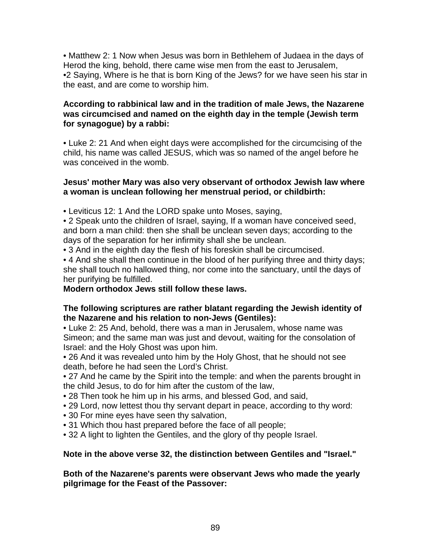• Matthew 2: 1 Now when Jesus was born in Bethlehem of Judaea in the days of Herod the king, behold, there came wise men from the east to Jerusalem, •2 Saying, Where is he that is born King of the Jews? for we have seen his star in the east, and are come to worship him.

### **According to rabbinical law and in the tradition of male Jews, the Nazarene was circumcised and named on the eighth day in the temple (Jewish term for synagogue) by a rabbi:**

• Luke 2: 21 And when eight days were accomplished for the circumcising of the child, his name was called JESUS, which was so named of the angel before he was conceived in the womb.

#### **Jesus' mother Mary was also very observant of orthodox Jewish law where a woman is unclean following her menstrual period, or childbirth:**

• Leviticus 12: 1 And the LORD spake unto Moses, saying,

• 2 Speak unto the children of Israel, saying, If a woman have conceived seed, and born a man child: then she shall be unclean seven days; according to the days of the separation for her infirmity shall she be unclean.

• 3 And in the eighth day the flesh of his foreskin shall be circumcised.

• 4 And she shall then continue in the blood of her purifying three and thirty days; she shall touch no hallowed thing, nor come into the sanctuary, until the days of her purifying be fulfilled.

## **Modern orthodox Jews still follow these laws.**

### **The following scriptures are rather blatant regarding the Jewish identity of the Nazarene and his relation to non-Jews (Gentiles):**

• Luke 2: 25 And, behold, there was a man in Jerusalem, whose name was Simeon; and the same man was just and devout, waiting for the consolation of Israel: and the Holy Ghost was upon him.

• 26 And it was revealed unto him by the Holy Ghost, that he should not see death, before he had seen the Lord's Christ.

• 27 And he came by the Spirit into the temple: and when the parents brought in the child Jesus, to do for him after the custom of the law,

- 28 Then took he him up in his arms, and blessed God, and said,
- 29 Lord, now lettest thou thy servant depart in peace, according to thy word:
- 30 For mine eyes have seen thy salvation,
- 31 Which thou hast prepared before the face of all people;
- 32 A light to lighten the Gentiles, and the glory of thy people Israel.

#### **Note in the above verse 32, the distinction between Gentiles and "Israel."**

**Both of the Nazarene's parents were observant Jews who made the yearly pilgrimage for the Feast of the Passover:**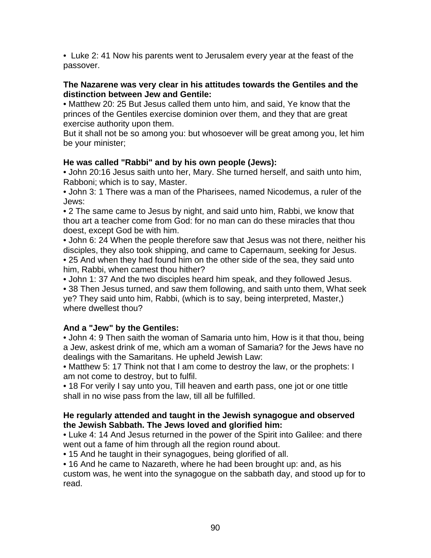• Luke 2: 41 Now his parents went to Jerusalem every year at the feast of the passover.

#### **The Nazarene was very clear in his attitudes towards the Gentiles and the distinction between Jew and Gentile:**

• Matthew 20: 25 But Jesus called them unto him, and said, Ye know that the princes of the Gentiles exercise dominion over them, and they that are great exercise authority upon them.

But it shall not be so among you: but whosoever will be great among you, let him be your minister;

### **He was called "Rabbi" and by his own people (Jews):**

• John 20:16 Jesus saith unto her, Mary. She turned herself, and saith unto him, Rabboni; which is to say, Master.

• John 3: 1 There was a man of the Pharisees, named Nicodemus, a ruler of the Jews:

• 2 The same came to Jesus by night, and said unto him, Rabbi, we know that thou art a teacher come from God: for no man can do these miracles that thou doest, except God be with him.

• John 6: 24 When the people therefore saw that Jesus was not there, neither his disciples, they also took shipping, and came to Capernaum, seeking for Jesus.

• 25 And when they had found him on the other side of the sea, they said unto him, Rabbi, when camest thou hither?

• John 1: 37 And the two disciples heard him speak, and they followed Jesus.

• 38 Then Jesus turned, and saw them following, and saith unto them, What seek ye? They said unto him, Rabbi, (which is to say, being interpreted, Master,) where dwellest thou?

## **And a "Jew" by the Gentiles:**

• John 4: 9 Then saith the woman of Samaria unto him, How is it that thou, being a Jew, askest drink of me, which am a woman of Samaria? for the Jews have no dealings with the Samaritans. He upheld Jewish Law:

• Matthew 5: 17 Think not that I am come to destroy the law, or the prophets: I am not come to destroy, but to fulfil.

• 18 For verily I say unto you, Till heaven and earth pass, one jot or one tittle shall in no wise pass from the law, till all be fulfilled.

#### **He regularly attended and taught in the Jewish synagogue and observed the Jewish Sabbath. The Jews loved and glorified him:**

• Luke 4: 14 And Jesus returned in the power of the Spirit into Galilee: and there went out a fame of him through all the region round about.

• 15 And he taught in their synagogues, being glorified of all.

• 16 And he came to Nazareth, where he had been brought up: and, as his custom was, he went into the synagogue on the sabbath day, and stood up for to read.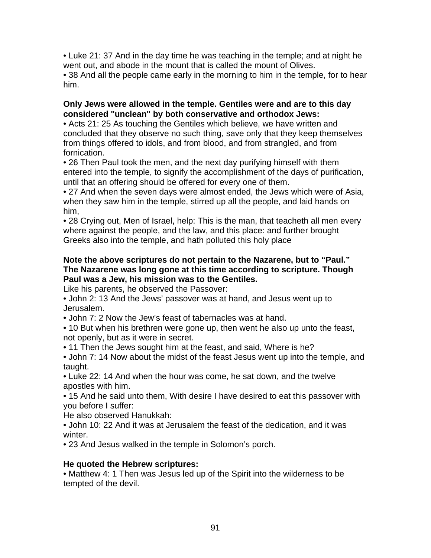• Luke 21: 37 And in the day time he was teaching in the temple; and at night he went out, and abode in the mount that is called the mount of Olives.

• 38 And all the people came early in the morning to him in the temple, for to hear him.

#### **Only Jews were allowed in the temple. Gentiles were and are to this day considered "unclean" by both conservative and orthodox Jews:**

• Acts 21: 25 As touching the Gentiles which believe, we have written and concluded that they observe no such thing, save only that they keep themselves from things offered to idols, and from blood, and from strangled, and from fornication.

• 26 Then Paul took the men, and the next day purifying himself with them entered into the temple, to signify the accomplishment of the days of purification, until that an offering should be offered for every one of them.

• 27 And when the seven days were almost ended, the Jews which were of Asia, when they saw him in the temple, stirred up all the people, and laid hands on him,

• 28 Crying out, Men of Israel, help: This is the man, that teacheth all men every where against the people, and the law, and this place: and further brought Greeks also into the temple, and hath polluted this holy place

## **Note the above scriptures do not pertain to the Nazarene, but to "Paul." The Nazarene was long gone at this time according to scripture. Though Paul was a Jew, his mission was to the Gentiles.**

Like his parents, he observed the Passover:

• John 2: 13 And the Jews' passover was at hand, and Jesus went up to Jerusalem.

• John 7: 2 Now the Jew's feast of tabernacles was at hand.

• 10 But when his brethren were gone up, then went he also up unto the feast, not openly, but as it were in secret.

• 11 Then the Jews sought him at the feast, and said, Where is he?

• John 7: 14 Now about the midst of the feast Jesus went up into the temple, and taught.

• Luke 22: 14 And when the hour was come, he sat down, and the twelve apostles with him.

• 15 And he said unto them, With desire I have desired to eat this passover with you before I suffer:

He also observed Hanukkah:

• John 10: 22 And it was at Jerusalem the feast of the dedication, and it was winter.

• 23 And Jesus walked in the temple in Solomon's porch.

## **He quoted the Hebrew scriptures:**

• Matthew 4: 1 Then was Jesus led up of the Spirit into the wilderness to be tempted of the devil.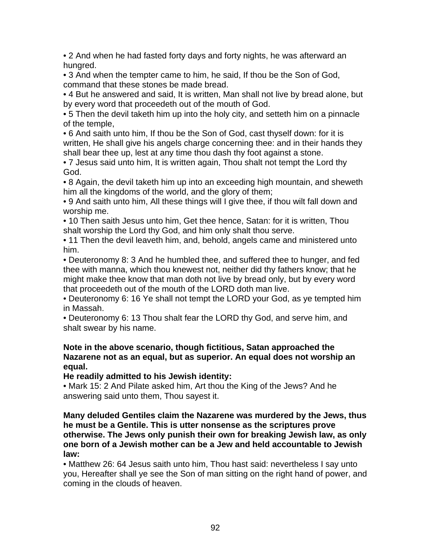• 2 And when he had fasted forty days and forty nights, he was afterward an hungred.

• 3 And when the tempter came to him, he said, If thou be the Son of God, command that these stones be made bread.

• 4 But he answered and said, It is written, Man shall not live by bread alone, but by every word that proceedeth out of the mouth of God.

• 5 Then the devil taketh him up into the holy city, and setteth him on a pinnacle of the temple,

• 6 And saith unto him, If thou be the Son of God, cast thyself down: for it is written, He shall give his angels charge concerning thee: and in their hands they shall bear thee up, lest at any time thou dash thy foot against a stone.

• 7 Jesus said unto him, It is written again, Thou shalt not tempt the Lord thy God.

• 8 Again, the devil taketh him up into an exceeding high mountain, and sheweth him all the kingdoms of the world, and the glory of them;

• 9 And saith unto him, All these things will I give thee, if thou wilt fall down and worship me.

• 10 Then saith Jesus unto him, Get thee hence, Satan: for it is written, Thou shalt worship the Lord thy God, and him only shalt thou serve.

• 11 Then the devil leaveth him, and, behold, angels came and ministered unto him.

• Deuteronomy 8: 3 And he humbled thee, and suffered thee to hunger, and fed thee with manna, which thou knewest not, neither did thy fathers know; that he might make thee know that man doth not live by bread only, but by every word that proceedeth out of the mouth of the LORD doth man live.

• Deuteronomy 6: 16 Ye shall not tempt the LORD your God, as ye tempted him in Massah.

• Deuteronomy 6: 13 Thou shalt fear the LORD thy God, and serve him, and shalt swear by his name.

### **Note in the above scenario, though fictitious, Satan approached the Nazarene not as an equal, but as superior. An equal does not worship an equal.**

**He readily admitted to his Jewish identity:** 

• Mark 15: 2 And Pilate asked him, Art thou the King of the Jews? And he answering said unto them, Thou sayest it.

**Many deluded Gentiles claim the Nazarene was murdered by the Jews, thus he must be a Gentile. This is utter nonsense as the scriptures prove otherwise. The Jews only punish their own for breaking Jewish law, as only one born of a Jewish mother can be a Jew and held accountable to Jewish law:** 

• Matthew 26: 64 Jesus saith unto him, Thou hast said: nevertheless I say unto you, Hereafter shall ye see the Son of man sitting on the right hand of power, and coming in the clouds of heaven.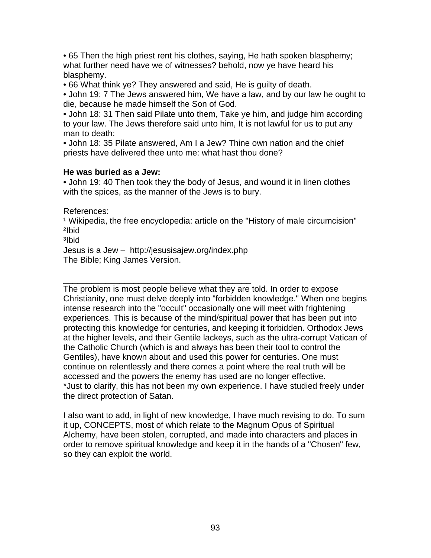• 65 Then the high priest rent his clothes, saying, He hath spoken blasphemy; what further need have we of witnesses? behold, now ye have heard his blasphemy.

• 66 What think ye? They answered and said, He is guilty of death.

• John 19: 7 The Jews answered him, We have a law, and by our law he ought to die, because he made himself the Son of God.

• John 18: 31 Then said Pilate unto them, Take ye him, and judge him according to your law. The Jews therefore said unto him, It is not lawful for us to put any man to death:

• John 18: 35 Pilate answered, Am I a Jew? Thine own nation and the chief priests have delivered thee unto me: what hast thou done?

#### **He was buried as a Jew:**

• John 19: 40 Then took they the body of Jesus, and wound it in linen clothes with the spices, as the manner of the Jews is to bury.

References:

<sup>1</sup> Wikipedia, the free encyclopedia: article on the "History of male circumcision" ²Ibid

³Ibid

Jesus is a Jew – http://jesusisajew.org/index.php

\_\_\_\_\_\_\_\_\_\_\_\_\_\_\_\_\_\_\_\_\_\_\_\_\_\_\_\_\_\_\_\_\_\_\_\_\_\_\_\_

The Bible; King James Version.

The problem is most people believe what they are told. In order to expose Christianity, one must delve deeply into "forbidden knowledge." When one begins intense research into the "occult" occasionally one will meet with frightening experiences. This is because of the mind/spiritual power that has been put into protecting this knowledge for centuries, and keeping it forbidden. Orthodox Jews at the higher levels, and their Gentile lackeys, such as the ultra-corrupt Vatican of the Catholic Church (which is and always has been their tool to control the Gentiles), have known about and used this power for centuries. One must continue on relentlessly and there comes a point where the real truth will be accessed and the powers the enemy has used are no longer effective. \*Just to clarify, this has not been my own experience. I have studied freely under the direct protection of Satan.

I also want to add, in light of new knowledge, I have much revising to do. To sum it up, CONCEPTS, most of which relate to the Magnum Opus of Spiritual Alchemy, have been stolen, corrupted, and made into characters and places in order to remove spiritual knowledge and keep it in the hands of a "Chosen" few, so they can exploit the world.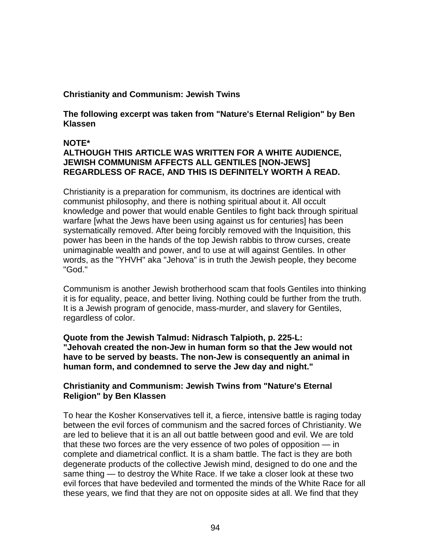### **Christianity and Communism: Jewish Twins**

**The following excerpt was taken from "Nature's Eternal Religion" by Ben Klassen** 

### **NOTE\* ALTHOUGH THIS ARTICLE WAS WRITTEN FOR A WHITE AUDIENCE, JEWISH COMMUNISM AFFECTS ALL GENTILES [NON-JEWS] REGARDLESS OF RACE, AND THIS IS DEFINITELY WORTH A READ.**

Christianity is a preparation for communism, its doctrines are identical with communist philosophy, and there is nothing spiritual about it. All occult knowledge and power that would enable Gentiles to fight back through spiritual warfare [what the Jews have been using against us for centuries] has been systematically removed. After being forcibly removed with the Inquisition, this power has been in the hands of the top Jewish rabbis to throw curses, create unimaginable wealth and power, and to use at will against Gentiles. In other words, as the "YHVH" aka "Jehova" is in truth the Jewish people, they become "God."

Communism is another Jewish brotherhood scam that fools Gentiles into thinking it is for equality, peace, and better living. Nothing could be further from the truth. It is a Jewish program of genocide, mass-murder, and slavery for Gentiles, regardless of color.

**Quote from the Jewish Talmud: Nidrasch Talpioth, p. 225-L: "Jehovah created the non-Jew in human form so that the Jew would not have to be served by beasts. The non-Jew is consequently an animal in human form, and condemned to serve the Jew day and night."** 

### **Christianity and Communism: Jewish Twins from "Nature's Eternal Religion" by Ben Klassen**

To hear the Kosher Konservatives tell it, a fierce, intensive battle is raging today between the evil forces of communism and the sacred forces of Christianity. We are led to believe that it is an all out battle between good and evil. We are told that these two forces are the very essence of two poles of opposition — in complete and diametrical conflict. It is a sham battle. The fact is they are both degenerate products of the collective Jewish mind, designed to do one and the same thing — to destroy the White Race. If we take a closer look at these two evil forces that have bedeviled and tormented the minds of the White Race for all these years, we find that they are not on opposite sides at all. We find that they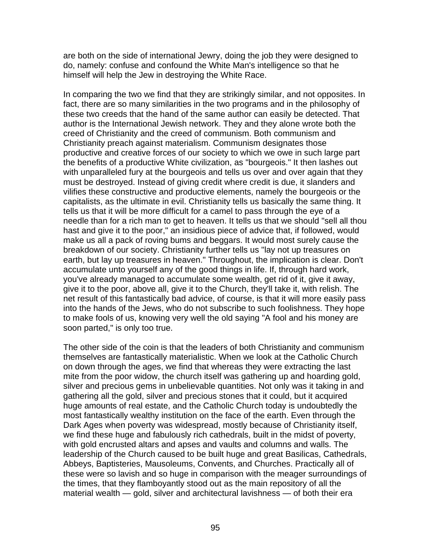are both on the side of international Jewry, doing the job they were designed to do, namely: confuse and confound the White Man's intelligence so that he himself will help the Jew in destroying the White Race.

In comparing the two we find that they are strikingly similar, and not opposites. In fact, there are so many similarities in the two programs and in the philosophy of these two creeds that the hand of the same author can easily be detected. That author is the International Jewish network. They and they alone wrote both the creed of Christianity and the creed of communism. Both communism and Christianity preach against materialism. Communism designates those productive and creative forces of our society to which we owe in such large part the benefits of a productive White civilization, as "bourgeois." It then lashes out with unparalleled fury at the bourgeois and tells us over and over again that they must be destroyed. Instead of giving credit where credit is due, it slanders and vilifies these constructive and productive elements, namely the bourgeois or the capitalists, as the ultimate in evil. Christianity tells us basically the same thing. It tells us that it will be more difficult for a camel to pass through the eye of a needle than for a rich man to get to heaven. It tells us that we should "sell all thou hast and give it to the poor," an insidious piece of advice that, if followed, would make us all a pack of roving bums and beggars. It would most surely cause the breakdown of our society. Christianity further tells us "lay not up treasures on earth, but lay up treasures in heaven." Throughout, the implication is clear. Don't accumulate unto yourself any of the good things in life. If, through hard work, you've already managed to accumulate some wealth, get rid of it, give it away, give it to the poor, above all, give it to the Church, they'll take it, with relish. The net result of this fantastically bad advice, of course, is that it will more easily pass into the hands of the Jews, who do not subscribe to such foolishness. They hope to make fools of us, knowing very well the old saying "A fool and his money are soon parted," is only too true.

The other side of the coin is that the leaders of both Christianity and communism themselves are fantastically materialistic. When we look at the Catholic Church on down through the ages, we find that whereas they were extracting the last mite from the poor widow, the church itself was gathering up and hoarding gold, silver and precious gems in unbelievable quantities. Not only was it taking in and gathering all the gold, silver and precious stones that it could, but it acquired huge amounts of real estate, and the Catholic Church today is undoubtedly the most fantastically wealthy institution on the face of the earth. Even through the Dark Ages when poverty was widespread, mostly because of Christianity itself, we find these huge and fabulously rich cathedrals, built in the midst of poverty, with gold encrusted altars and apses and vaults and columns and walls. The leadership of the Church caused to be built huge and great Basilicas, Cathedrals, Abbeys, Baptisteries, Mausoleums, Convents, and Churches. Practically all of these were so lavish and so huge in comparison with the meager surroundings of the times, that they flamboyantly stood out as the main repository of all the material wealth — gold, silver and architectural lavishness — of both their era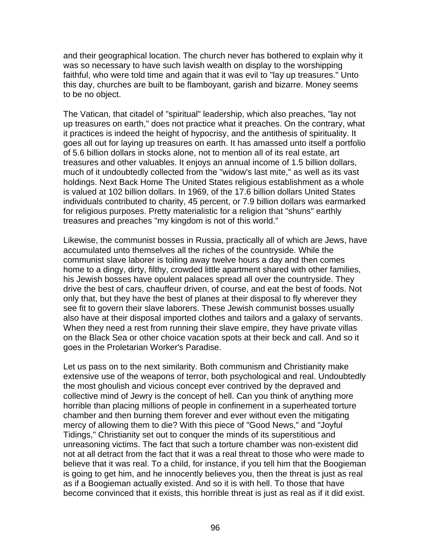and their geographical location. The church never has bothered to explain why it was so necessary to have such lavish wealth on display to the worshipping faithful, who were told time and again that it was evil to "lay up treasures." Unto this day, churches are built to be flamboyant, garish and bizarre. Money seems to be no object.

The Vatican, that citadel of "spiritual" leadership, which also preaches, "lay not up treasures on earth," does not practice what it preaches. On the contrary, what it practices is indeed the height of hypocrisy, and the antithesis of spirituality. It goes all out for laying up treasures on earth. It has amassed unto itself a portfolio of 5.6 billion dollars in stocks alone, not to mention all of its real estate, art treasures and other valuables. It enjoys an annual income of 1.5 billion dollars, much of it undoubtedly collected from the "widow's last mite," as well as its vast holdings. Next Back Home The United States religious establishment as a whole is valued at 102 billion dollars. In 1969, of the 17.6 billion dollars United States individuals contributed to charity, 45 percent, or 7.9 billion dollars was earmarked for religious purposes. Pretty materialistic for a religion that "shuns" earthly treasures and preaches "my kingdom is not of this world."

Likewise, the communist bosses in Russia, practically all of which are Jews, have accumulated unto themselves all the riches of the countryside. While the communist slave laborer is toiling away twelve hours a day and then comes home to a dingy, dirty, filthy, crowded little apartment shared with other families, his Jewish bosses have opulent palaces spread all over the countryside. They drive the best of cars, chauffeur driven, of course, and eat the best of foods. Not only that, but they have the best of planes at their disposal to fly wherever they see fit to govern their slave laborers. These Jewish communist bosses usually also have at their disposal imported clothes and tailors and a galaxy of servants. When they need a rest from running their slave empire, they have private villas on the Black Sea or other choice vacation spots at their beck and call. And so it goes in the Proletarian Worker's Paradise.

Let us pass on to the next similarity. Both communism and Christianity make extensive use of the weapons of terror, both psychological and real. Undoubtedly the most ghoulish and vicious concept ever contrived by the depraved and collective mind of Jewry is the concept of hell. Can you think of anything more horrible than placing millions of people in confinement in a superheated torture chamber and then burning them forever and ever without even the mitigating mercy of allowing them to die? With this piece of "Good News," and "Joyful Tidings," Christianity set out to conquer the minds of its superstitious and unreasoning victims. The fact that such a torture chamber was non-existent did not at all detract from the fact that it was a real threat to those who were made to believe that it was real. To a child, for instance, if you tell him that the Boogieman is going to get him, and he innocently believes you, then the threat is just as real as if a Boogieman actually existed. And so it is with hell. To those that have become convinced that it exists, this horrible threat is just as real as if it did exist.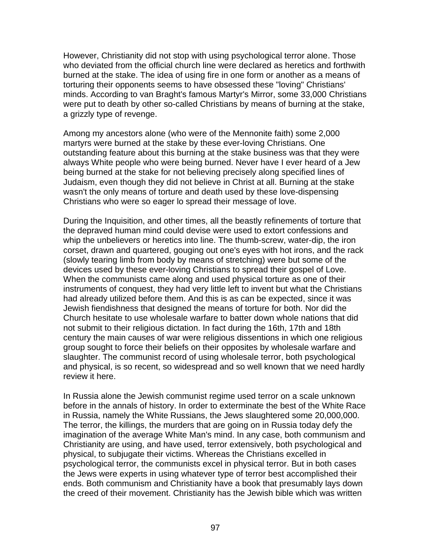However, Christianity did not stop with using psychological terror alone. Those who deviated from the official church line were declared as heretics and forthwith burned at the stake. The idea of using fire in one form or another as a means of torturing their opponents seems to have obsessed these "loving" Christians' minds. According to van Braght's famous Martyr's Mirror, some 33,000 Christians were put to death by other so-called Christians by means of burning at the stake, a grizzly type of revenge.

Among my ancestors alone (who were of the Mennonite faith) some 2,000 martyrs were burned at the stake by these ever-loving Christians. One outstanding feature about this burning at the stake business was that they were always White people who were being burned. Never have I ever heard of a Jew being burned at the stake for not believing precisely along specified lines of Judaism, even though they did not believe in Christ at all. Burning at the stake wasn't the only means of torture and death used by these love-dispensing Christians who were so eager lo spread their message of love.

During the Inquisition, and other times, all the beastly refinements of torture that the depraved human mind could devise were used to extort confessions and whip the unbelievers or heretics into line. The thumb-screw, water-dip, the iron corset, drawn and quartered, gouging out one's eyes with hot irons, and the rack (slowly tearing limb from body by means of stretching) were but some of the devices used by these ever-loving Christians to spread their gospel of Love. When the communists came along and used physical torture as one of their instruments of conquest, they had very little left to invent but what the Christians had already utilized before them. And this is as can be expected, since it was Jewish fiendishness that designed the means of torture for both. Nor did the Church hesitate to use wholesale warfare to batter down whole nations that did not submit to their religious dictation. In fact during the 16th, 17th and 18th century the main causes of war were religious dissentions in which one religious group sought to force their beliefs on their opposites by wholesale warfare and slaughter. The communist record of using wholesale terror, both psychological and physical, is so recent, so widespread and so well known that we need hardly review it here.

In Russia alone the Jewish communist regime used terror on a scale unknown before in the annals of history. In order to exterminate the best of the White Race in Russia, namely the White Russians, the Jews slaughtered some 20,000,000. The terror, the killings, the murders that are going on in Russia today defy the imagination of the average White Man's mind. In any case, both communism and Christianity are using, and have used, terror extensively, both psychological and physical, to subjugate their victims. Whereas the Christians excelled in psychological terror, the communists excel in physical terror. But in both cases the Jews were experts in using whatever type of terror best accomplished their ends. Both communism and Christianity have a book that presumably lays down the creed of their movement. Christianity has the Jewish bible which was written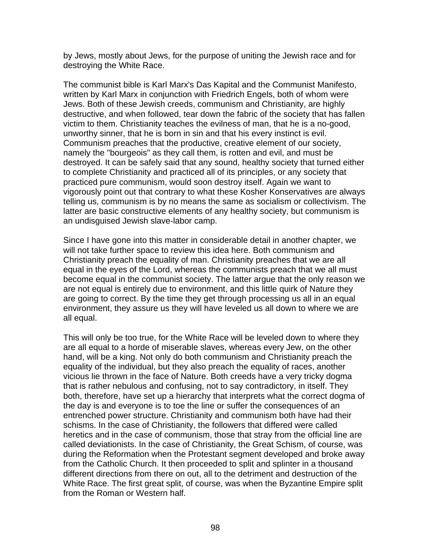by Jews, mostly about Jews, for the purpose of uniting the Jewish race and for destroying the White Race.

The communist bible is Karl Marx's Das Kapital and the Communist Manifesto, written by Karl Marx in conjunction with Friedrich Engels, both of whom were Jews. Both of these Jewish creeds, communism and Christianity, are highly destructive, and when followed, tear down the fabric of the society that has fallen victim to them. Christianity teaches the evilness of man, that he is a no-good, unworthy sinner, that he is born in sin and that his every instinct is evil. Communism preaches that the productive, creative element of our society, namely the "bourgeois" as they call them, is rotten and evil, and must be destroyed. It can be safely said that any sound, healthy society that turned either to complete Christianity and practiced all of its principles, or any society that practiced pure communism, would soon destroy itself. Again we want to vigorously point out that contrary to what these Kosher Konservatives are always telling us, communism is by no means the same as socialism or collectivism. The latter are basic constructive elements of any healthy society, but communism is an undisguised Jewish slave-labor camp.

Since I have gone into this matter in considerable detail in another chapter, we will not take further space to review this idea here. Both communism and Christianity preach the equality of man. Christianity preaches that we are all equal in the eyes of the Lord, whereas the communists preach that we all must become equal in the communist society. The latter argue that the only reason we are not equal is entirely due to environment, and this little quirk of Nature they are going to correct. By the time they get through processing us all in an equal environment, they assure us they will have leveled us all down to where we are all equal.

This will only be too true, for the White Race will be leveled down to where they are all equal to a horde of miserable slaves, whereas every Jew, on the other hand, will be a king. Not only do both communism and Christianity preach the equality of the individual, but they also preach the equality of races, another vicious lie thrown in the face of Nature. Both creeds have a very tricky dogma that is rather nebulous and confusing, not to say contradictory, in itself. They both, therefore, have set up a hierarchy that interprets what the correct dogma of the day is and everyone is to toe the line or suffer the consequences of an entrenched power structure. Christianity and communism both have had their schisms. In the case of Christianity, the followers that differed were called heretics and in the case of communism, those that stray from the official line are called deviationists. In the case of Christianity, the Great Schism, of course, was during the Reformation when the Protestant segment developed and broke away from the Catholic Church. It then proceeded to split and splinter in a thousand different directions from there on out, all to the detriment and destruction of the White Race. The first great split, of course, was when the Byzantine Empire split from the Roman or Western half.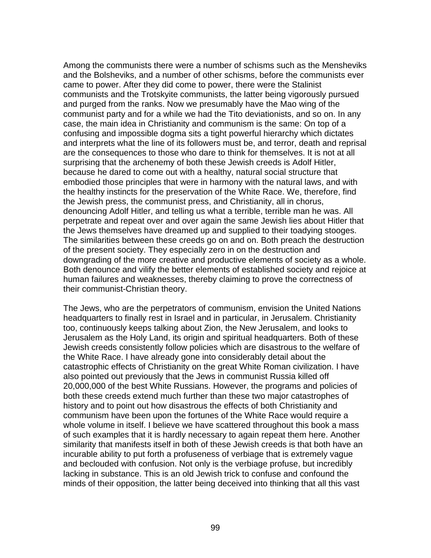Among the communists there were a number of schisms such as the Mensheviks and the Bolsheviks, and a number of other schisms, before the communists ever came to power. After they did come to power, there were the Stalinist communists and the Trotskyite communists, the latter being vigorously pursued and purged from the ranks. Now we presumably have the Mao wing of the communist party and for a while we had the Tito deviationists, and so on. In any case, the main idea in Christianity and communism is the same: On top of a confusing and impossible dogma sits a tight powerful hierarchy which dictates and interprets what the line of its followers must be, and terror, death and reprisal are the consequences to those who dare to think for themselves. It is not at all surprising that the archenemy of both these Jewish creeds is Adolf Hitler, because he dared to come out with a healthy, natural social structure that embodied those principles that were in harmony with the natural laws, and with the healthy instincts for the preservation of the White Race. We, therefore, find the Jewish press, the communist press, and Christianity, all in chorus, denouncing Adolf Hitler, and telling us what a terrible, terrible man he was. All perpetrate and repeat over and over again the same Jewish lies about Hitler that the Jews themselves have dreamed up and supplied to their toadying stooges. The similarities between these creeds go on and on. Both preach the destruction of the present society. They especially zero in on the destruction and downgrading of the more creative and productive elements of society as a whole. Both denounce and vilify the better elements of established society and rejoice at human failures and weaknesses, thereby claiming to prove the correctness of their communist-Christian theory.

The Jews, who are the perpetrators of communism, envision the United Nations headquarters to finally rest in Israel and in particular, in Jerusalem. Christianity too, continuously keeps talking about Zion, the New Jerusalem, and looks to Jerusalem as the Holy Land, its origin and spiritual headquarters. Both of these Jewish creeds consistently follow policies which are disastrous to the welfare of the White Race. I have already gone into considerably detail about the catastrophic effects of Christianity on the great White Roman civilization. I have also pointed out previously that the Jews in communist Russia killed off 20,000,000 of the best White Russians. However, the programs and policies of both these creeds extend much further than these two major catastrophes of history and to point out how disastrous the effects of both Christianity and communism have been upon the fortunes of the White Race would require a whole volume in itself. I believe we have scattered throughout this book a mass of such examples that it is hardly necessary to again repeat them here. Another similarity that manifests itself in both of these Jewish creeds is that both have an incurable ability to put forth a profuseness of verbiage that is extremely vague and beclouded with confusion. Not only is the verbiage profuse, but incredibly lacking in substance. This is an old Jewish trick to confuse and confound the minds of their opposition, the latter being deceived into thinking that all this vast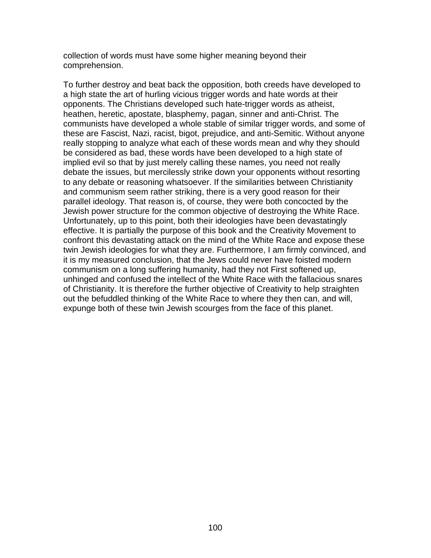collection of words must have some higher meaning beyond their comprehension.

To further destroy and beat back the opposition, both creeds have developed to a high state the art of hurling vicious trigger words and hate words at their opponents. The Christians developed such hate-trigger words as atheist, heathen, heretic, apostate, blasphemy, pagan, sinner and anti-Christ. The communists have developed a whole stable of similar trigger words, and some of these are Fascist, Nazi, racist, bigot, prejudice, and anti-Semitic. Without anyone really stopping to analyze what each of these words mean and why they should be considered as bad, these words have been developed to a high state of implied evil so that by just merely calling these names, you need not really debate the issues, but mercilessly strike down your opponents without resorting to any debate or reasoning whatsoever. If the similarities between Christianity and communism seem rather striking, there is a very good reason for their parallel ideology. That reason is, of course, they were both concocted by the Jewish power structure for the common objective of destroying the White Race. Unfortunately, up to this point, both their ideologies have been devastatingly effective. It is partially the purpose of this book and the Creativity Movement to confront this devastating attack on the mind of the White Race and expose these twin Jewish ideologies for what they are. Furthermore, I am firmly convinced, and it is my measured conclusion, that the Jews could never have foisted modern communism on a long suffering humanity, had they not First softened up, unhinged and confused the intellect of the White Race with the fallacious snares of Christianity. It is therefore the further objective of Creativity to help straighten out the befuddled thinking of the White Race to where they then can, and will, expunge both of these twin Jewish scourges from the face of this planet.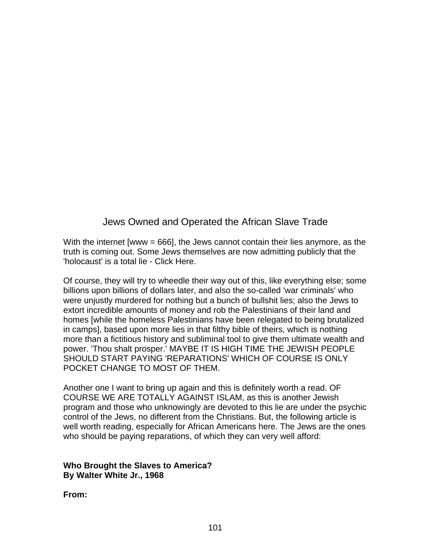# Jews Owned and Operated the African Slave Trade

With the internet [www = 666], the Jews cannot contain their lies anymore, as the truth is coming out. Some Jews themselves are now admitting publicly that the 'holocaust' is a total lie - Click Here.

Of course, they will try to wheedle their way out of this, like everything else; some billions upon billions of dollars later, and also the so-called 'war criminals' who were unjustly murdered for nothing but a bunch of bullshit lies; also the Jews to extort incredible amounts of money and rob the Palestinians of their land and homes [while the homeless Palestinians have been relegated to being brutalized in camps], based upon more lies in that filthy bible of theirs, which is nothing more than a fictitious history and subliminal tool to give them ultimate wealth and power. 'Thou shalt prosper.' MAYBE IT IS HIGH TIME THE JEWISH PEOPLE SHOULD START PAYING 'REPARATIONS' WHICH OF COURSE IS ONLY POCKET CHANGE TO MOST OF THEM.

Another one I want to bring up again and this is definitely worth a read. OF COURSE WE ARE TOTALLY AGAINST ISLAM, as this is another Jewish program and those who unknowingly are devoted to this lie are under the psychic control of the Jews, no different from the Christians. But, the following article is well worth reading, especially for African Americans here. The Jews are the ones who should be paying reparations, of which they can very well afford:

#### **Who Brought the Slaves to America? By Walter White Jr., 1968**

**From:**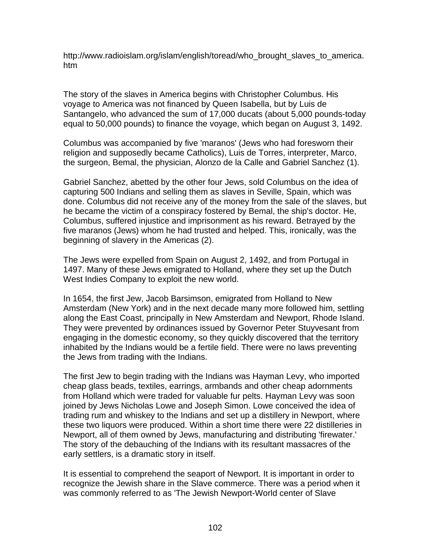http://www.radioislam.org/islam/english/toread/who\_brought\_slaves\_to\_america. htm

The story of the slaves in America begins with Christopher Columbus. His voyage to America was not financed by Queen Isabella, but by Luis de Santangelo, who advanced the sum of 17,000 ducats (about 5,000 pounds-today equal to 50,000 pounds) to finance the voyage, which began on August 3, 1492.

Columbus was accompanied by five 'maranos' (Jews who had foresworn their religion and supposedly became Catholics), Luis de Torres, interpreter, Marco, the surgeon, Bemal, the physician, Alonzo de la Calle and Gabriel Sanchez (1).

Gabriel Sanchez, abetted by the other four Jews, sold Columbus on the idea of capturing 500 Indians and selling them as slaves in Seville, Spain, which was done. Columbus did not receive any of the money from the sale of the slaves, but he became the victim of a conspiracy fostered by Bemal, the ship's doctor. He, Columbus, suffered injustice and imprisonment as his reward. Betrayed by the five maranos (Jews) whom he had trusted and helped. This, ironically, was the beginning of slavery in the Americas (2).

The Jews were expelled from Spain on August 2, 1492, and from Portugal in 1497. Many of these Jews emigrated to Holland, where they set up the Dutch West Indies Company to exploit the new world.

In 1654, the first Jew, Jacob Barsimson, emigrated from Holland to New Amsterdam (New York) and in the next decade many more followed him, settling along the East Coast, principally in New Amsterdam and Newport, Rhode Island. They were prevented by ordinances issued by Governor Peter Stuyvesant from engaging in the domestic economy, so they quickly discovered that the territory inhabited by the Indians would be a fertile field. There were no laws preventing the Jews from trading with the Indians.

The first Jew to begin trading with the Indians was Hayman Levy, who imported cheap glass beads, textiles, earrings, armbands and other cheap adornments from Holland which were traded for valuable fur pelts. Hayman Levy was soon joined by Jews Nicholas Lowe and Joseph Simon. Lowe conceived the idea of trading rum and whiskey to the Indians and set up a distillery in Newport, where these two liquors were produced. Within a short time there were 22 distilleries in Newport, all of them owned by Jews, manufacturing and distributing 'firewater.' The story of the debauching of the Indians with its resultant massacres of the early settlers, is a dramatic story in itself.

It is essential to comprehend the seaport of Newport. It is important in order to recognize the Jewish share in the Slave commerce. There was a period when it was commonly referred to as 'The Jewish Newport-World center of Slave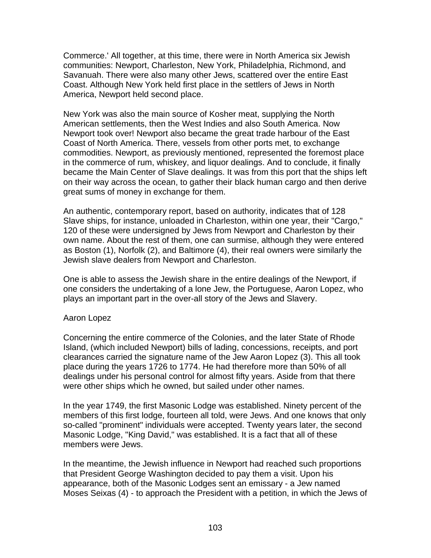Commerce.' All together, at this time, there were in North America six Jewish communities: Newport, Charleston, New York, Philadelphia, Richmond, and Savanuah. There were also many other Jews, scattered over the entire East Coast. Although New York held first place in the settlers of Jews in North America, Newport held second place.

New York was also the main source of Kosher meat, supplying the North American settlements, then the West Indies and also South America. Now Newport took over! Newport also became the great trade harbour of the East Coast of North America. There, vessels from other ports met, to exchange commodities. Newport, as previously mentioned, represented the foremost place in the commerce of rum, whiskey, and liquor dealings. And to conclude, it finally became the Main Center of Slave dealings. It was from this port that the ships left on their way across the ocean, to gather their black human cargo and then derive great sums of money in exchange for them.

An authentic, contemporary report, based on authority, indicates that of 128 Slave ships, for instance, unloaded in Charleston, within one year, their "Cargo," 120 of these were undersigned by Jews from Newport and Charleston by their own name. About the rest of them, one can surmise, although they were entered as Boston (1), Norfolk (2), and Baltimore (4), their real owners were similarly the Jewish slave dealers from Newport and Charleston.

One is able to assess the Jewish share in the entire dealings of the Newport, if one considers the undertaking of a lone Jew, the Portuguese, Aaron Lopez, who plays an important part in the over-all story of the Jews and Slavery.

#### Aaron Lopez

Concerning the entire commerce of the Colonies, and the later State of Rhode Island, (which included Newport) bills of lading, concessions, receipts, and port clearances carried the signature name of the Jew Aaron Lopez (3). This all took place during the years 1726 to 1774. He had therefore more than 50% of all dealings under his personal control for almost fifty years. Aside from that there were other ships which he owned, but sailed under other names.

In the year 1749, the first Masonic Lodge was established. Ninety percent of the members of this first lodge, fourteen all told, were Jews. And one knows that only so-called "prominent" individuals were accepted. Twenty years later, the second Masonic Lodge, "King David," was established. It is a fact that all of these members were Jews.

In the meantime, the Jewish influence in Newport had reached such proportions that President George Washington decided to pay them a visit. Upon his appearance, both of the Masonic Lodges sent an emissary - a Jew named Moses Seixas (4) - to approach the President with a petition, in which the Jews of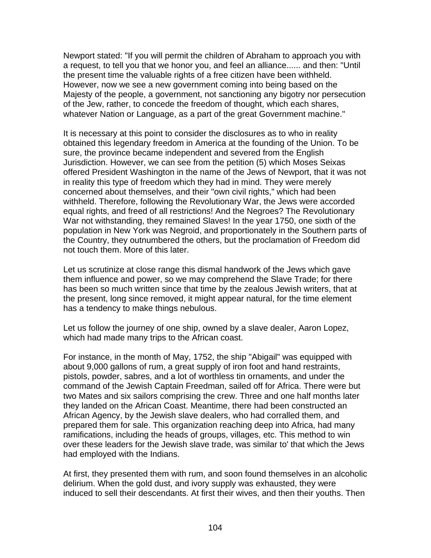Newport stated: "If you will permit the children of Abraham to approach you with a request, to tell you that we honor you, and feel an alliance...... and then: "Until the present time the valuable rights of a free citizen have been withheld. However, now we see a new government coming into being based on the Majesty of the people, a government, not sanctioning any bigotry nor persecution of the Jew, rather, to concede the freedom of thought, which each shares, whatever Nation or Language, as a part of the great Government machine."

It is necessary at this point to consider the disclosures as to who in reality obtained this legendary freedom in America at the founding of the Union. To be sure, the province became independent and severed from the English Jurisdiction. However, we can see from the petition (5) which Moses Seixas offered President Washington in the name of the Jews of Newport, that it was not in reality this type of freedom which they had in mind. They were merely concerned about themselves, and their "own civil rights," which had been withheld. Therefore, following the Revolutionary War, the Jews were accorded equal rights, and freed of all restrictions! And the Negroes? The Revolutionary War not withstanding, they remained Slaves! In the year 1750, one sixth of the population in New York was Negroid, and proportionately in the Southern parts of the Country, they outnumbered the others, but the proclamation of Freedom did not touch them. More of this later.

Let us scrutinize at close range this dismal handwork of the Jews which gave them influence and power, so we may comprehend the Slave Trade; for there has been so much written since that time by the zealous Jewish writers, that at the present, long since removed, it might appear natural, for the time element has a tendency to make things nebulous.

Let us follow the journey of one ship, owned by a slave dealer, Aaron Lopez, which had made many trips to the African coast.

For instance, in the month of May, 1752, the ship "Abigail" was equipped with about 9,000 gallons of rum, a great supply of iron foot and hand restraints, pistols, powder, sabres, and a lot of worthless tin ornaments, and under the command of the Jewish Captain Freedman, sailed off for Africa. There were but two Mates and six sailors comprising the crew. Three and one half months later they landed on the African Coast. Meantime, there had been constructed an African Agency, by the Jewish slave dealers, who had corralled them, and prepared them for sale. This organization reaching deep into Africa, had many ramifications, including the heads of groups, villages, etc. This method to win over these leaders for the Jewish slave trade, was similar to' that which the Jews had employed with the Indians.

At first, they presented them with rum, and soon found themselves in an alcoholic delirium. When the gold dust, and ivory supply was exhausted, they were induced to sell their descendants. At first their wives, and then their youths. Then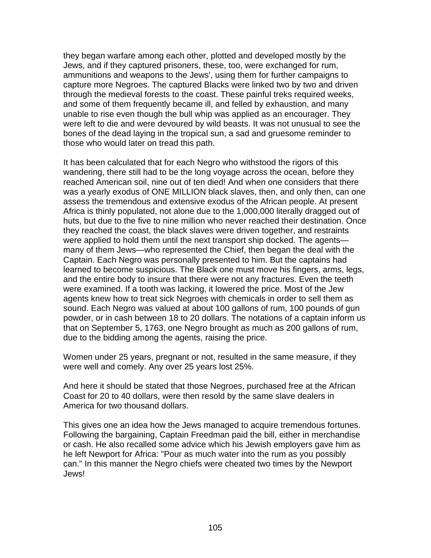they began warfare among each other, plotted and developed mostly by the Jews, and if they captured prisoners, these, too, were exchanged for rum, ammunitions and weapons to the Jews', using them for further campaigns to capture more Negroes. The captured Blacks were linked two by two and driven through the medieval forests to the coast. These painful treks required weeks, and some of them frequently became ill, and felled by exhaustion, and many unable to rise even though the bull whip was applied as an encourager. They were left to die and were devoured by wild beasts. It was not unusual to see the bones of the dead laying in the tropical sun, a sad and gruesome reminder to those who would later on tread this path.

It has been calculated that for each Negro who withstood the rigors of this wandering, there still had to be the long voyage across the ocean, before they reached American soil, nine out of ten died! And when one considers that there was a yearly exodus of ONE MILLION black slaves, then, and only then, can one assess the tremendous and extensive exodus of the African people. At present Africa is thinly populated, not alone due to the 1,000,000 literally dragged out of huts, but due to the five to nine million who never reached their destination. Once they reached the coast, the black slaves were driven together, and restraints were applied to hold them until the next transport ship docked. The agentsmany of them Jews—who represented the Chief, then began the deal with the Captain. Each Negro was personally presented to him. But the captains had learned to become suspicious. The Black one must move his fingers, arms, legs, and the entire body to insure that there were not any fractures. Even the teeth were examined. If a tooth was lacking, it lowered the price. Most of the Jew agents knew how to treat sick Negroes with chemicals in order to sell them as sound. Each Negro was valued at about 100 gallons of rum, 100 pounds of gun powder, or in cash between 18 to 20 dollars. The notations of a captain inform us that on September 5, 1763, one Negro brought as much as 200 gallons of rum, due to the bidding among the agents, raising the price.

Women under 25 years, pregnant or not, resulted in the same measure, if they were well and comely. Any over 25 years lost 25%.

And here it should be stated that those Negroes, purchased free at the African Coast for 20 to 40 dollars, were then resold by the same slave dealers in America for two thousand dollars.

This gives one an idea how the Jews managed to acquire tremendous fortunes. Following the bargaining, Captain Freedman paid the bill, either in merchandise or cash. He also recalled some advice which his Jewish employers gave him as he left Newport for Africa: "Pour as much water into the rum as you possibly can." In this manner the Negro chiefs were cheated two times by the Newport Jews!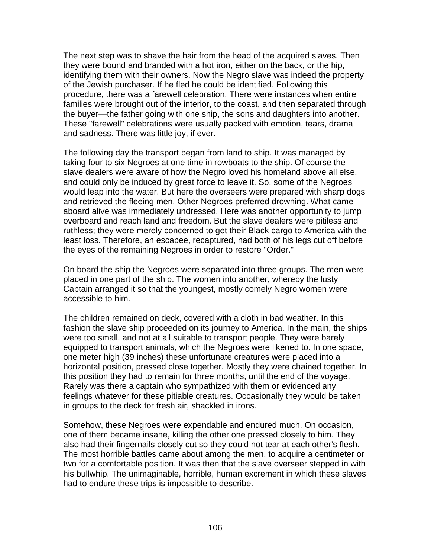The next step was to shave the hair from the head of the acquired slaves. Then they were bound and branded with a hot iron, either on the back, or the hip, identifying them with their owners. Now the Negro slave was indeed the property of the Jewish purchaser. If he fled he could be identified. Following this procedure, there was a farewell celebration. There were instances when entire families were brought out of the interior, to the coast, and then separated through the buyer—the father going with one ship, the sons and daughters into another. These "farewell" celebrations were usually packed with emotion, tears, drama and sadness. There was little joy, if ever.

The following day the transport began from land to ship. It was managed by taking four to six Negroes at one time in rowboats to the ship. Of course the slave dealers were aware of how the Negro loved his homeland above all else, and could only be induced by great force to leave it. So, some of the Negroes would leap into the water. But here the overseers were prepared with sharp dogs and retrieved the fleeing men. Other Negroes preferred drowning. What came aboard alive was immediately undressed. Here was another opportunity to jump overboard and reach land and freedom. But the slave dealers were pitiless and ruthless; they were merely concerned to get their Black cargo to America with the least loss. Therefore, an escapee, recaptured, had both of his legs cut off before the eyes of the remaining Negroes in order to restore "Order."

On board the ship the Negroes were separated into three groups. The men were placed in one part of the ship. The women into another, whereby the lusty Captain arranged it so that the youngest, mostly comely Negro women were accessible to him.

The children remained on deck, covered with a cloth in bad weather. In this fashion the slave ship proceeded on its journey to America. In the main, the ships were too small, and not at all suitable to transport people. They were barely equipped to transport animals, which the Negroes were likened to. In one space, one meter high (39 inches) these unfortunate creatures were placed into a horizontal position, pressed close together. Mostly they were chained together. In this position they had to remain for three months, until the end of the voyage. Rarely was there a captain who sympathized with them or evidenced any feelings whatever for these pitiable creatures. Occasionally they would be taken in groups to the deck for fresh air, shackled in irons.

Somehow, these Negroes were expendable and endured much. On occasion, one of them became insane, killing the other one pressed closely to him. They also had their fingernails closely cut so they could not tear at each other's flesh. The most horrible battles came about among the men, to acquire a centimeter or two for a comfortable position. It was then that the slave overseer stepped in with his bullwhip. The unimaginable, horrible, human excrement in which these slaves had to endure these trips is impossible to describe.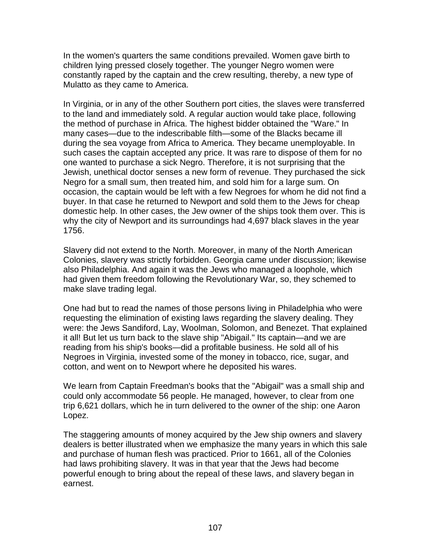In the women's quarters the same conditions prevailed. Women gave birth to children lying pressed closely together. The younger Negro women were constantly raped by the captain and the crew resulting, thereby, a new type of Mulatto as they came to America.

In Virginia, or in any of the other Southern port cities, the slaves were transferred to the land and immediately sold. A regular auction would take place, following the method of purchase in Africa. The highest bidder obtained the "Ware." In many cases—due to the indescribable filth—some of the Blacks became ill during the sea voyage from Africa to America. They became unemployable. In such cases the captain accepted any price. It was rare to dispose of them for no one wanted to purchase a sick Negro. Therefore, it is not surprising that the Jewish, unethical doctor senses a new form of revenue. They purchased the sick Negro for a small sum, then treated him, and sold him for a large sum. On occasion, the captain would be left with a few Negroes for whom he did not find a buyer. In that case he returned to Newport and sold them to the Jews for cheap domestic help. In other cases, the Jew owner of the ships took them over. This is why the city of Newport and its surroundings had 4,697 black slaves in the year 1756.

Slavery did not extend to the North. Moreover, in many of the North American Colonies, slavery was strictly forbidden. Georgia came under discussion; likewise also Philadelphia. And again it was the Jews who managed a loophole, which had given them freedom following the Revolutionary War, so, they schemed to make slave trading legal.

One had but to read the names of those persons living in Philadelphia who were requesting the elimination of existing laws regarding the slavery dealing. They were: the Jews Sandiford, Lay, Woolman, Solomon, and Benezet. That explained it all! But let us turn back to the slave ship "Abigail." Its captain—and we are reading from his ship's books—did a profitable business. He sold all of his Negroes in Virginia, invested some of the money in tobacco, rice, sugar, and cotton, and went on to Newport where he deposited his wares.

We learn from Captain Freedman's books that the "Abigail" was a small ship and could only accommodate 56 people. He managed, however, to clear from one trip 6,621 dollars, which he in turn delivered to the owner of the ship: one Aaron Lopez.

The staggering amounts of money acquired by the Jew ship owners and slavery dealers is better illustrated when we emphasize the many years in which this sale and purchase of human flesh was practiced. Prior to 1661, all of the Colonies had laws prohibiting slavery. It was in that year that the Jews had become powerful enough to bring about the repeal of these laws, and slavery began in earnest.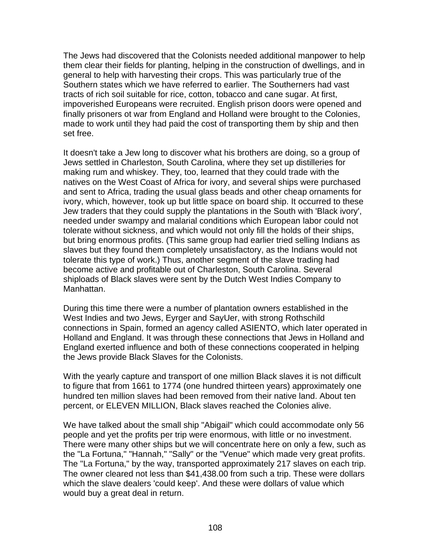The Jews had discovered that the Colonists needed additional manpower to help them clear their fields for planting, helping in the construction of dwellings, and in general to help with harvesting their crops. This was particularly true of the Southern states which we have referred to earlier. The Southerners had vast tracts of rich soil suitable for rice, cotton, tobacco and cane sugar. At first, impoverished Europeans were recruited. English prison doors were opened and finally prisoners ot war from England and Holland were brought to the Colonies, made to work until they had paid the cost of transporting them by ship and then set free.

It doesn't take a Jew long to discover what his brothers are doing, so a group of Jews settled in Charleston, South Carolina, where they set up distilleries for making rum and whiskey. They, too, learned that they could trade with the natives on the West Coast of Africa for ivory, and several ships were purchased and sent to Africa, trading the usual glass beads and other cheap ornaments for ivory, which, however, took up but little space on board ship. It occurred to these Jew traders that they could supply the plantations in the South with 'Black ivory', needed under swampy and malarial conditions which European labor could not tolerate without sickness, and which would not only fill the holds of their ships, but bring enormous profits. (This same group had earlier tried selling Indians as slaves but they found them completely unsatisfactory, as the Indians would not tolerate this type of work.) Thus, another segment of the slave trading had become active and profitable out of Charleston, South Carolina. Several shiploads of Black slaves were sent by the Dutch West Indies Company to Manhattan.

During this time there were a number of plantation owners established in the West Indies and two Jews, Eyrger and SayUer, with strong Rothschild connections in Spain, formed an agency called ASIENTO, which later operated in Holland and England. It was through these connections that Jews in Holland and England exerted influence and both of these connections cooperated in helping the Jews provide Black Slaves for the Colonists.

With the yearly capture and transport of one million Black slaves it is not difficult to figure that from 1661 to 1774 (one hundred thirteen years) approximately one hundred ten million slaves had been removed from their native land. About ten percent, or ELEVEN MILLION, Black slaves reached the Colonies alive.

We have talked about the small ship "Abigail" which could accommodate only 56 people and yet the profits per trip were enormous, with little or no investment. There were many other ships but we will concentrate here on only a few, such as the "La Fortuna," "Hannah," "Sally" or the "Venue" which made very great profits. The "La Fortuna," by the way, transported approximately 217 slaves on each trip. The owner cleared not less than \$41,438.00 from such a trip. These were dollars which the slave dealers 'could keep'. And these were dollars of value which would buy a great deal in return.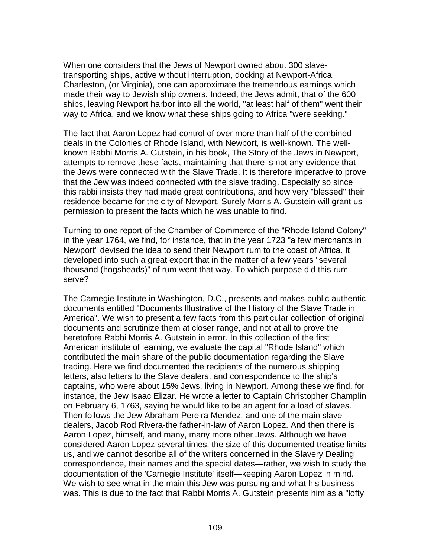When one considers that the Jews of Newport owned about 300 slavetransporting ships, active without interruption, docking at Newport-Africa, Charleston, (or Virginia), one can approximate the tremendous earnings which made their way to Jewish ship owners. Indeed, the Jews admit, that of the 600 ships, leaving Newport harbor into all the world, "at least half of them" went their way to Africa, and we know what these ships going to Africa "were seeking."

The fact that Aaron Lopez had control of over more than half of the combined deals in the Colonies of Rhode Island, with Newport, is well-known. The wellknown Rabbi Morris A. Gutstein, in his book, The Story of the Jews in Newport, attempts to remove these facts, maintaining that there is not any evidence that the Jews were connected with the Slave Trade. It is therefore imperative to prove that the Jew was indeed connected with the slave trading. Especially so since this rabbi insists they had made great contributions, and how very "blessed" their residence became for the city of Newport. Surely Morris A. Gutstein will grant us permission to present the facts which he was unable to find.

Turning to one report of the Chamber of Commerce of the "Rhode Island Colony" in the year 1764, we find, for instance, that in the year 1723 "a few merchants in Newport" devised the idea to send their Newport rum to the coast of Africa. It developed into such a great export that in the matter of a few years "several thousand (hogsheads)" of rum went that way. To which purpose did this rum serve?

The Carnegie Institute in Washington, D.C., presents and makes public authentic documents entitled "Documents Illustrative of the History of the Slave Trade in America". We wish to present a few facts from this particular collection of original documents and scrutinize them at closer range, and not at all to prove the heretofore Rabbi Morris A. Gutstein in error. In this collection of the first American institute of learning, we evaluate the capital "Rhode Island" which contributed the main share of the public documentation regarding the Slave trading. Here we find documented the recipients of the numerous shipping letters, also letters to the Slave dealers, and correspondence to the ship's captains, who were about 15% Jews, living in Newport. Among these we find, for instance, the Jew Isaac Elizar. He wrote a letter to Captain Christopher Champlin on February 6, 1763, saying he would like to be an agent for a load of slaves. Then follows the Jew Abraham Pereira Mendez, and one of the main slave dealers, Jacob Rod Rivera-the father-in-law of Aaron Lopez. And then there is Aaron Lopez, himself, and many, many more other Jews. Although we have considered Aaron Lopez several times, the size of this documented treatise limits us, and we cannot describe all of the writers concerned in the Slavery Dealing correspondence, their names and the special dates—rather, we wish to study the documentation of the 'Carnegie Institute' itself—keeping Aaron Lopez in mind. We wish to see what in the main this Jew was pursuing and what his business was. This is due to the fact that Rabbi Morris A. Gutstein presents him as a "lofty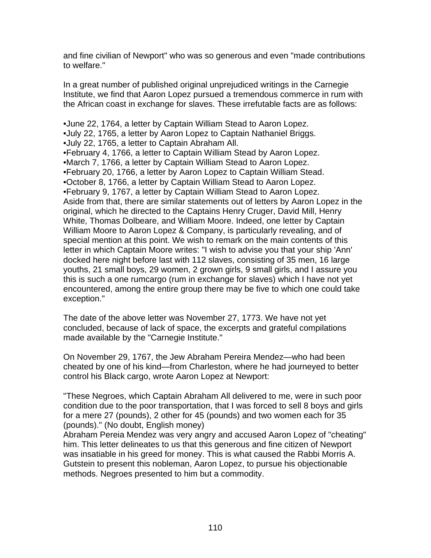and fine civilian of Newport" who was so generous and even "made contributions to welfare."

In a great number of published original unprejudiced writings in the Carnegie Institute, we find that Aaron Lopez pursued a tremendous commerce in rum with the African coast in exchange for slaves. These irrefutable facts are as follows:

•June 22, 1764, a letter by Captain William Stead to Aaron Lopez.

•July 22, 1765, a letter by Aaron Lopez to Captain Nathaniel Briggs.

•July 22, 1765, a letter to Captain Abraham All.

•February 4, 1766, a letter to Captain William Stead by Aaron Lopez.

•March 7, 1766, a letter by Captain William Stead to Aaron Lopez.

•February 20, 1766, a letter by Aaron Lopez to Captain William Stead.

•October 8, 1766, a letter by Captain William Stead to Aaron Lopez.

•February 9, 1767, a letter by Captain William Stead to Aaron Lopez.

Aside from that, there are similar statements out of letters by Aaron Lopez in the original, which he directed to the Captains Henry Cruger, David Mill, Henry White, Thomas Dolbeare, and William Moore. Indeed, one letter by Captain William Moore to Aaron Lopez & Company, is particularly revealing, and of special mention at this point. We wish to remark on the main contents of this letter in which Captain Moore writes: "I wish to advise you that your ship 'Ann' docked here night before last with 112 slaves, consisting of 35 men, 16 large youths, 21 small boys, 29 women, 2 grown girls, 9 small girls, and I assure you this is such a one rumcargo (rum in exchange for slaves) which I have not yet encountered, among the entire group there may be five to which one could take exception."

The date of the above letter was November 27, 1773. We have not yet concluded, because of lack of space, the excerpts and grateful compilations made available by the "Carnegie Institute."

On November 29, 1767, the Jew Abraham Pereira Mendez—who had been cheated by one of his kind—from Charleston, where he had journeyed to better control his Black cargo, wrote Aaron Lopez at Newport:

"These Negroes, which Captain Abraham All delivered to me, were in such poor condition due to the poor transportation, that I was forced to sell 8 boys and girls for a mere 27 (pounds), 2 other for 45 (pounds) and two women each for 35 (pounds)." (No doubt, English money)

Abraham Pereia Mendez was very angry and accused Aaron Lopez of "cheating" him. This letter delineates to us that this generous and fine citizen of Newport was insatiable in his greed for money. This is what caused the Rabbi Morris A. Gutstein to present this nobleman, Aaron Lopez, to pursue his objectionable methods. Negroes presented to him but a commodity.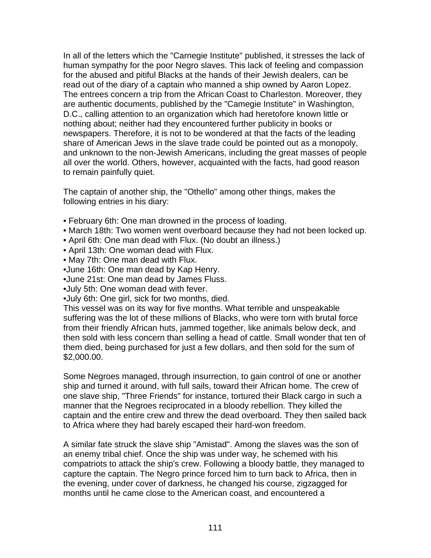In all of the letters which the "Carnegie Institute" published, it stresses the lack of human sympathy for the poor Negro slaves. This lack of feeling and compassion for the abused and pitiful Blacks at the hands of their Jewish dealers, can be read out of the diary of a captain who manned a ship owned by Aaron Lopez. The entrees concern a trip from the African Coast to Charleston. Moreover, they are authentic documents, published by the "Camegie Institute" in Washington, D.C., calling attention to an organization which had heretofore known little or nothing about; neither had they encountered further publicity in books or newspapers. Therefore, it is not to be wondered at that the facts of the leading share of American Jews in the slave trade could be pointed out as a monopoly, and unknown to the non-Jewish Americans, including the great masses of people all over the world. Others, however, acquainted with the facts, had good reason to remain painfully quiet.

The captain of another ship, the "Othello" among other things, makes the following entries in his diary:

- February 6th: One man drowned in the process of loading.
- March 18th: Two women went overboard because they had not been locked up.
- April 6th: One man dead with Flux. (No doubt an illness.)
- April 13th: One woman dead with Flux.
- May 7th: One man dead with Flux.
- •June 16th: One man dead by Kap Henry.
- •June 21st: One man dead by James Fluss.
- •July 5th: One woman dead with fever.
- •July 6th: One girl, sick for two months, died.

This vessel was on its way for five months. What terrible and unspeakable suffering was the lot of these millions of Blacks, who were torn with brutal force from their friendly African huts, jammed together, like animals below deck, and then sold with less concern than selling a head of cattle. Small wonder that ten of them died, being purchased for just a few dollars, and then sold for the sum of \$2,000.00.

Some Negroes managed, through insurrection, to gain control of one or another ship and turned it around, with full sails, toward their African home. The crew of one slave ship, "Three Friends" for instance, tortured their Black cargo in such a manner that the Negroes reciprocated in a bloody rebellion. They killed the captain and the entire crew and threw the dead overboard. They then sailed back to Africa where they had barely escaped their hard-won freedom.

A similar fate struck the slave ship "Amistad". Among the slaves was the son of an enemy tribal chief. Once the ship was under way, he schemed with his compatriots to attack the ship's crew. Following a bloody battle, they managed to capture the captain. The Negro prince forced him to turn back to Africa, then in the evening, under cover of darkness, he changed his course, zigzagged for months until he came close to the American coast, and encountered a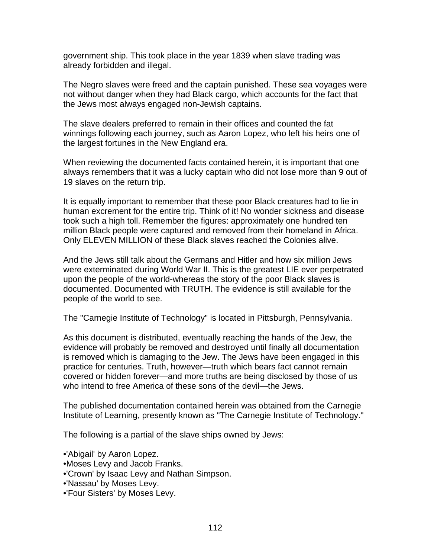government ship. This took place in the year 1839 when slave trading was already forbidden and illegal.

The Negro slaves were freed and the captain punished. These sea voyages were not without danger when they had Black cargo, which accounts for the fact that the Jews most always engaged non-Jewish captains.

The slave dealers preferred to remain in their offices and counted the fat winnings following each journey, such as Aaron Lopez, who left his heirs one of the largest fortunes in the New England era.

When reviewing the documented facts contained herein, it is important that one always remembers that it was a lucky captain who did not lose more than 9 out of 19 slaves on the return trip.

It is equally important to remember that these poor Black creatures had to lie in human excrement for the entire trip. Think of it! No wonder sickness and disease took such a high toll. Remember the figures: approximately one hundred ten million Black people were captured and removed from their homeland in Africa. Only ELEVEN MILLION of these Black slaves reached the Colonies alive.

And the Jews still talk about the Germans and Hitler and how six million Jews were exterminated during World War II. This is the greatest LIE ever perpetrated upon the people of the world-whereas the story of the poor Black slaves is documented. Documented with TRUTH. The evidence is still available for the people of the world to see.

The "Carnegie Institute of Technology" is located in Pittsburgh, Pennsylvania.

As this document is distributed, eventually reaching the hands of the Jew, the evidence will probably be removed and destroyed until finally all documentation is removed which is damaging to the Jew. The Jews have been engaged in this practice for centuries. Truth, however—truth which bears fact cannot remain covered or hidden forever—and more truths are being disclosed by those of us who intend to free America of these sons of the devil—the Jews.

The published documentation contained herein was obtained from the Carnegie Institute of Learning, presently known as "The Carnegie Institute of Technology."

The following is a partial of the slave ships owned by Jews:

•'Abigail' by Aaron Lopez.

- •Moses Levy and Jacob Franks.
- •'Crown' by Isaac Levy and Nathan Simpson.
- •'Nassau' by Moses Levy.
- •'Four Sisters' by Moses Levy.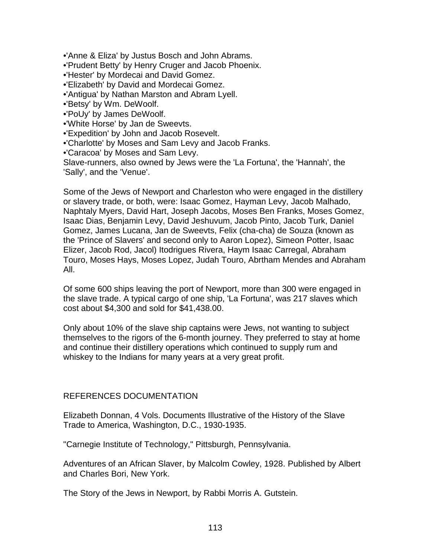•'Anne & Eliza' by Justus Bosch and John Abrams.

•'Prudent Betty' by Henry Cruger and Jacob Phoenix.

- •'Hester' by Mordecai and David Gomez.
- •'Elizabeth' by David and Mordecai Gomez.
- •'Antigua' by Nathan Marston and Abram Lyell.
- •'Betsy' by Wm. DeWoolf.
- •'PoUy' by James DeWoolf.
- •'White Horse' by Jan de Sweevts.
- •'Expedition' by John and Jacob Rosevelt.
- •'Charlotte' by Moses and Sam Levy and Jacob Franks.

•'Caracoa' by Moses and Sam Levy.

Slave-runners, also owned by Jews were the 'La Fortuna', the 'Hannah', the 'Sally', and the 'Venue'.

Some of the Jews of Newport and Charleston who were engaged in the distillery or slavery trade, or both, were: Isaac Gomez, Hayman Levy, Jacob Malhado, Naphtaly Myers, David Hart, Joseph Jacobs, Moses Ben Franks, Moses Gomez, Isaac Dias, Benjamin Levy, David Jeshuvum, Jacob Pinto, Jacob Turk, Daniel Gomez, James Lucana, Jan de Sweevts, Felix (cha-cha) de Souza (known as the 'Prince of Slavers' and second only to Aaron Lopez), Simeon Potter, Isaac Elizer, Jacob Rod, Jacol) Itodrigues Rivera, Haym Isaac Carregal, Abraham Touro, Moses Hays, Moses Lopez, Judah Touro, Abrtham Mendes and Abraham All.

Of some 600 ships leaving the port of Newport, more than 300 were engaged in the slave trade. A typical cargo of one ship, 'La Fortuna', was 217 slaves which cost about \$4,300 and sold for \$41,438.00.

Only about 10% of the slave ship captains were Jews, not wanting to subject themselves to the rigors of the 6-month journey. They preferred to stay at home and continue their distillery operations which continued to supply rum and whiskey to the Indians for many years at a very great profit.

## REFERENCES DOCUMENTATION

Elizabeth Donnan, 4 Vols. Documents Illustrative of the History of the Slave Trade to America, Washington, D.C., 1930-1935.

"Carnegie Institute of Technology," Pittsburgh, Pennsylvania.

Adventures of an African Slaver, by Malcolm Cowley, 1928. Published by Albert and Charles Bori, New York.

The Story of the Jews in Newport, by Rabbi Morris A. Gutstein.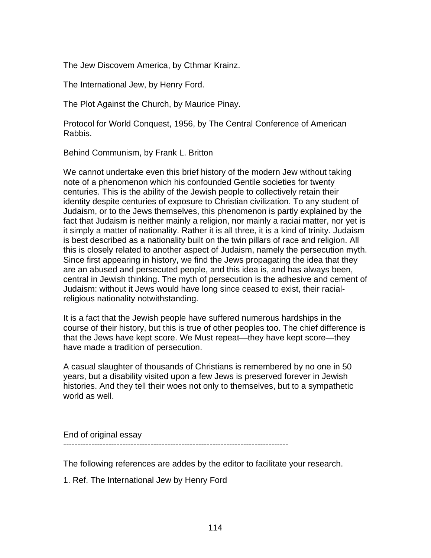The Jew Discovem America, by Cthmar Krainz.

The International Jew, by Henry Ford.

The Plot Against the Church, by Maurice Pinay.

Protocol for World Conquest, 1956, by The Central Conference of American Rabbis.

Behind Communism, by Frank L. Britton

We cannot undertake even this brief history of the modern Jew without taking note of a phenomenon which his confounded Gentile societies for twenty centuries. This is the ability of the Jewish people to collectively retain their identity despite centuries of exposure to Christian civilization. To any student of Judaism, or to the Jews themselves, this phenomenon is partly explained by the fact that Judaism is neither mainly a religion, nor mainly a raciai matter, nor yet is it simply a matter of nationality. Rather it is all three, it is a kind of trinity. Judaism is best described as a nationality built on the twin pillars of race and religion. All this is closely related to another aspect of Judaism, namely the persecution myth. Since first appearing in history, we find the Jews propagating the idea that they are an abused and persecuted people, and this idea is, and has always been, central in Jewish thinking. The myth of persecution is the adhesive and cement of Judaism: without it Jews would have long since ceased to exist, their racialreligious nationality notwithstanding.

It is a fact that the Jewish people have suffered numerous hardships in the course of their history, but this is true of other peoples too. The chief difference is that the Jews have kept score. We Must repeat—they have kept score—they have made a tradition of persecution.

A casual slaughter of thousands of Christians is remembered by no one in 50 years, but a disability visited upon a few Jews is preserved forever in Jewish histories. And they tell their woes not only to themselves, but to a sympathetic world as well.

End of original essay

--------------------------------------------------------------------------------

The following references are addes by the editor to facilitate your research.

1. Ref. The International Jew by Henry Ford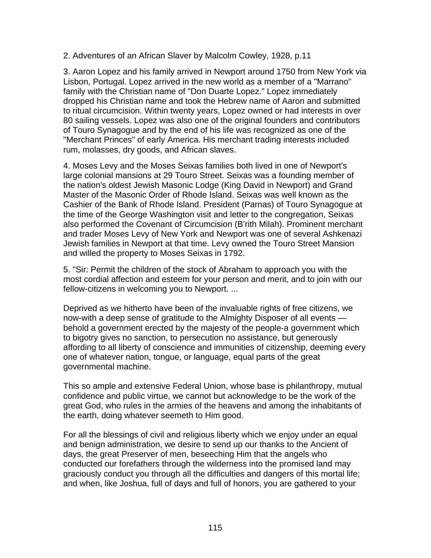2. Adventures of an African Slaver by Malcolm Cowley, 1928, p.11

3. Aaron Lopez and his family arrived in Newport around 1750 from New York via Lisbon, Portugal. Lopez arrived in the new world as a member of a "Marrano" family with the Christian name of "Don Duarte Lopez." Lopez immediately dropped his Christian name and took the Hebrew name of Aaron and submitted to ritual circumcision. Within twenty years, Lopez owned or had interests in over 80 sailing vessels. Lopez was also one of the original founders and contributors of Touro Synagogue and by the end of his life was recognized as one of the "Merchant Princes" of early America. His merchant trading interests included rum, molasses, dry goods, and African slaves.

4. Moses Levy and the Moses Seixas families both lived in one of Newport's large colonial mansions at 29 Touro Street. Seixas was a founding member of the nation's oldest Jewish Masonic Lodge (King David in Newport) and Grand Master of the Masonic Order of Rhode Island. Seixas was well known as the Cashier of the Bank of Rhode Island. President (Parnas) of Touro Synagogue at the time of the George Washington visit and letter to the congregation, Seixas also performed the Covenant of Circumcision (B'rith Milah). Prominent merchant and trader Moses Levy of New York and Newport was one of several Ashkenazi Jewish families in Newport at that time. Levy owned the Touro Street Mansion and willed the property to Moses Seixas in 1792.

5. "Sir: Permit the children of the stock of Abraham to approach you with the most cordial affection and esteem for your person and merit, and to join with our fellow-citizens in welcoming you to Newport. ...

Deprived as we hitherto have been of the invaluable rights of free citizens, we now-with a deep sense of gratitude to the Almighty Disposer of all events behold a government erected by the majesty of the people-a government which to bigotry gives no sanction, to persecution no assistance, but generously affording to all liberty of conscience and immunities of citizenship, deeming every one of whatever nation, tongue, or language, equal parts of the great governmental machine.

This so ample and extensive Federal Union, whose base is philanthropy, mutual confidence and public virtue, we cannot but acknowledge to be the work of the great God, who rules in the armies of the heavens and among the inhabitants of the earth, doing whatever seemeth to Him good.

For all the blessings of civil and religious liberty which we enjoy under an equal and benign administration, we desire to send up our thanks to the Ancient of days, the great Preserver of men, beseeching Him that the angels who conducted our forefathers through the wilderness into the promised land may graciously conduct you through all the difficulties and dangers of this mortal life; and when, like Joshua, full of days and full of honors, you are gathered to your